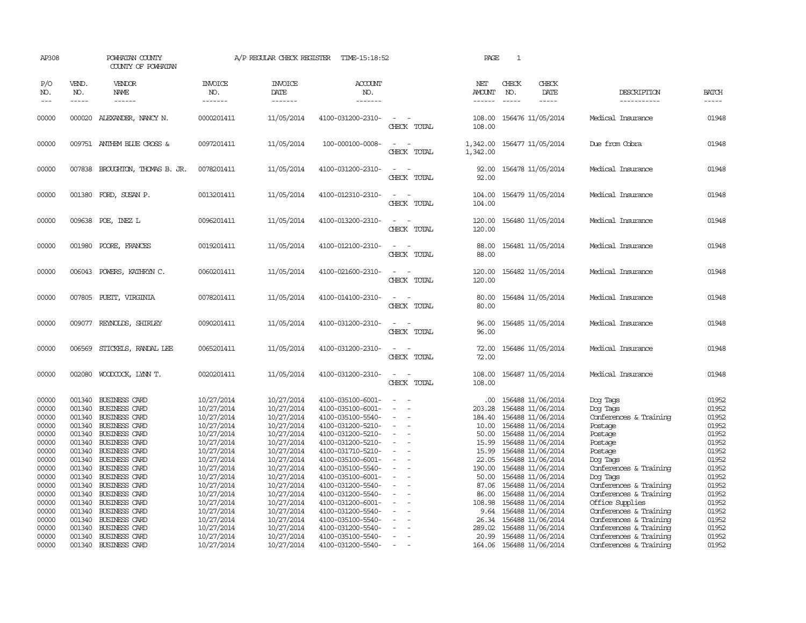| AP308               |                             | POWHATAN COUNTY<br>COUNTY OF POWHATAN        |                                  | A/P REGULAR CHECK REGISTER                | TIME-15:18:52                          |                                         | PAGE                           | $\mathbf{1}$                                                  |                                                  |                       |
|---------------------|-----------------------------|----------------------------------------------|----------------------------------|-------------------------------------------|----------------------------------------|-----------------------------------------|--------------------------------|---------------------------------------------------------------|--------------------------------------------------|-----------------------|
| P/O<br>NO.<br>$---$ | VEND.<br>NO.<br>$- - - - -$ | <b>VENDOR</b><br>NAME                        | <b>INVOICE</b><br>NO.<br>------- | <b>INVOICE</b><br><b>DATE</b><br>-------- | <b>ACCOUNT</b><br>NO.<br>-------       |                                         | NET<br>AMOUNT<br>$- - - - - -$ | CHECK<br>CHECK<br>NO.<br>DATE<br>$\frac{1}{2}$<br>$- - - - -$ | DESCRIPTION<br>-----------                       | <b>BATCH</b><br>----- |
| 00000               |                             | 000020 ALEXANDER, NANCY N.                   | 0000201411                       | 11/05/2014                                | 4100-031200-2310-                      | $\equiv$<br>CHECK TOTAL                 | 108.00<br>108,00               | 156476 11/05/2014                                             | Medical Insurance                                | 01948                 |
| 00000               |                             | 009751 ANTHEM BLUE CROSS &                   | 0097201411                       | 11/05/2014                                | 100-000100-0008-                       | $\overline{\phantom{a}}$<br>CHECK TOTAL | 1,342.00<br>1,342.00           | 156477 11/05/2014                                             | Due from Cobra                                   | 01948                 |
| 00000               |                             | 007838 BROUGHTON, THOMAS B. JR.              | 0078201411                       | 11/05/2014                                | 4100-031200-2310-                      | CHECK TOTAL                             | 92.00<br>92.00                 | 156478 11/05/2014                                             | Medical Insurance                                | 01948                 |
| 00000               |                             | 001380 FORD, SUSAN P.                        | 0013201411                       | 11/05/2014                                | 4100-012310-2310-                      | $\sim$ $\sim$<br>CHECK TOTAL            | 104.00<br>104.00               | 156479 11/05/2014                                             | Medical Insurance                                | 01948                 |
| 00000               |                             | 009638 POE, INEZ L                           | 0096201411                       | 11/05/2014                                | 4100-013200-2310-                      | $\sim$ $\sim$<br>CHECK TOTAL            | 120.00<br>120.00               | 156480 11/05/2014                                             | Medical Insurance                                | 01948                 |
| 00000               |                             | 001980 POORE, FRANCES                        | 0019201411                       | 11/05/2014                                | 4100-012100-2310-                      | $\sim$<br>CHECK TOTAL                   | 88.00<br>88.00                 | 156481 11/05/2014                                             | Medical Insurance                                | 01948                 |
| 00000               |                             | 006043 POWERS, KATHRYN C.                    | 0060201411                       | 11/05/2014                                | 4100-021600-2310-                      | CHECK TOTAL                             | 120.00<br>120.00               | 156482 11/05/2014                                             | Medical Insurance                                | 01948                 |
| 00000               | 007805                      | PUEIT, VIRGINIA                              | 0078201411                       | 11/05/2014                                | 4100-014100-2310-                      | $\sim$<br>CHECK TOTAL                   | 80.00<br>80.00                 | 156484 11/05/2014                                             | Medical Insurance                                | 01948                 |
| 00000               | 009077                      | REYNOLDS, SHIRLEY                            | 0090201411                       | 11/05/2014                                | 4100-031200-2310-                      | CHECK TOTAL                             | 96.00<br>96.00                 | 156485 11/05/2014                                             | Medical Insurance                                | 01948                 |
| 00000               | 006569                      | STICKELS, RANDAL LEE                         | 0065201411                       | 11/05/2014                                | 4100-031200-2310-                      | $\equiv$<br>CHECK TOTAL                 | 72.00<br>72.00                 | 156486 11/05/2014                                             | Medical Insurance                                | 01948                 |
| 00000               |                             | 002080 WOODCOCK, LYNN T.                     | 0020201411                       | 11/05/2014                                | 4100-031200-2310-                      | CHECK TOTAL                             | 108.00<br>108.00               | 156487 11/05/2014                                             | Medical Insurance                                | 01948                 |
| 00000<br>00000      |                             | 001340 BUSINESS CARD<br>001340 BUSINESS CARD | 10/27/2014<br>10/27/2014         | 10/27/2014<br>10/27/2014                  | 4100-035100-6001-<br>4100-035100-6001- | $\overline{\phantom{a}}$                | $.00 \cdot$<br>203.28          | 156488 11/06/2014<br>156488 11/06/2014                        | Dog Tags<br>Dog Tags                             | 01952<br>01952        |
| 00000               |                             | 001340 BUSINESS CARD                         | 10/27/2014                       | 10/27/2014                                | 4100-035100-5540-                      |                                         | 184.40                         | 156488 11/06/2014                                             | Conferences & Training                           | 01952                 |
| 00000               |                             | 001340 BUSINESS CARD                         | 10/27/2014                       | 10/27/2014                                | 4100-031200-5210-                      |                                         | 10.00                          | 156488 11/06/2014                                             | Postage                                          | 01952                 |
| 00000               |                             | 001340 BUSINESS CARD                         | 10/27/2014                       | 10/27/2014                                | 4100-031200-5210-                      | $\equiv$                                | 50.00                          | 156488 11/06/2014                                             | Postage                                          | 01952                 |
| 00000               |                             | 001340 BUSINESS CARD                         | 10/27/2014                       | 10/27/2014                                | 4100-031200-5210-                      |                                         | 15.99                          | 156488 11/06/2014                                             | Postage                                          | 01952                 |
| 00000               |                             | 001340 BUSINESS CARD                         | 10/27/2014                       | 10/27/2014                                | 4100-031710-5210-                      |                                         | 15.99                          | 156488 11/06/2014                                             | Postage                                          | 01952                 |
| 00000               |                             | 001340 BUSINESS CARD                         | 10/27/2014                       | 10/27/2014                                | 4100-035100-6001-                      |                                         | 22.05                          | 156488 11/06/2014                                             | Dog Tags                                         | 01952                 |
| 00000               |                             | 001340 BUSINESS CARD                         | 10/27/2014                       | 10/27/2014                                | 4100-035100-5540-                      | $\sim$                                  | 190.00                         | 156488 11/06/2014                                             | Conferences & Training                           | 01952                 |
| 00000               |                             | 001340 BUSINESS CARD                         | 10/27/2014                       | 10/27/2014                                | 4100-035100-6001-                      |                                         | 50.00                          | 156488 11/06/2014                                             | Dog Tags                                         | 01952                 |
| 00000               |                             | 001340 BUSINESS CARD                         | 10/27/2014                       | 10/27/2014                                | 4100-031200-5540-                      |                                         | 87.06                          | 156488 11/06/2014                                             | Conferences & Training                           | 01952                 |
| 00000               |                             | 001340 BUSINESS CARD                         | 10/27/2014                       | 10/27/2014                                | 4100-031200-5540-                      | $\equiv$                                | 86.00                          | 156488 11/06/2014                                             | Conferences & Training                           | 01952                 |
| 00000               |                             | 001340 BUSINESS CARD                         | 10/27/2014                       | 10/27/2014                                | 4100-031200-6001-                      |                                         | 108.98                         | 156488 11/06/2014                                             | Office Supplies                                  | 01952                 |
| 00000               |                             | 001340 BUSINESS CARD                         | 10/27/2014                       | 10/27/2014                                | 4100-031200-5540-                      |                                         | 9.64                           | 156488 11/06/2014                                             | Conferences & Training                           | 01952                 |
| 00000               |                             | 001340 BUSINESS CARD                         | 10/27/2014                       | 10/27/2014                                | 4100-035100-5540-                      |                                         | 26.34                          | 156488 11/06/2014                                             | Conferences & Training                           | 01952                 |
| 00000<br>00000      |                             | 001340 BUSINESS CARD<br>001340 BUSINESS CARD | 10/27/2014<br>10/27/2014         | 10/27/2014<br>10/27/2014                  | 4100-031200-5540-<br>4100-035100-5540- | $\sim$                                  | 289.02<br>20.99                | 156488 11/06/2014<br>156488 11/06/2014                        | Conferences & Training<br>Conferences & Training | 01952<br>01952        |
| 00000               |                             | 001340 BUSINESS CARD                         | 10/27/2014                       | 10/27/2014                                | 4100-031200-5540-                      | $\sim$                                  |                                | 164.06 156488 11/06/2014                                      | Conferences & Training                           | 01952                 |
|                     |                             |                                              |                                  |                                           |                                        |                                         |                                |                                                               |                                                  |                       |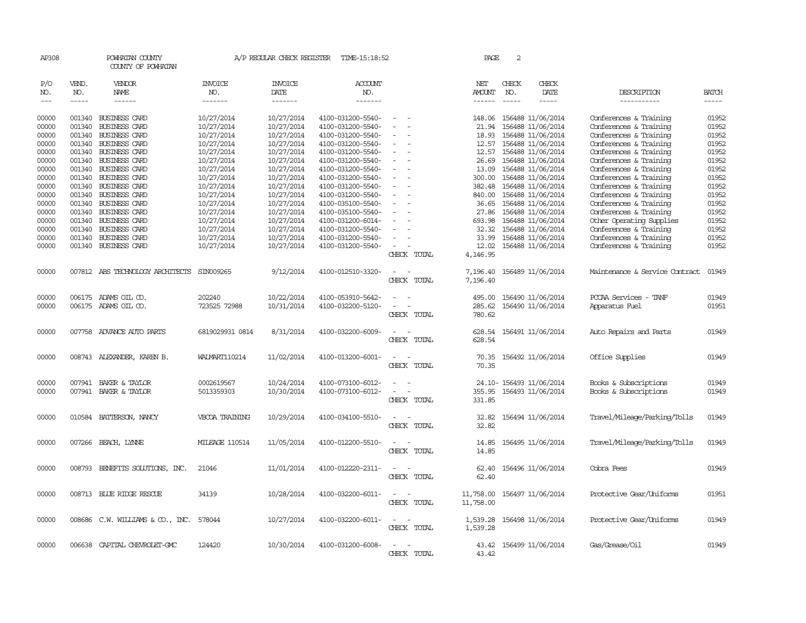| AP308                             |                             | POWHATAN COUNTY<br>COUNTY OF POWHATAN   |                                  | A/P REGULAR CHECK REGISTER        | TIME-15:18:52                          |                                    | PAGE                    | $\overline{2}$                |                                              |                                                  |                                                                                                                                                                                                                                                                                                                                                                                                                                                                                                    |
|-----------------------------------|-----------------------------|-----------------------------------------|----------------------------------|-----------------------------------|----------------------------------------|------------------------------------|-------------------------|-------------------------------|----------------------------------------------|--------------------------------------------------|----------------------------------------------------------------------------------------------------------------------------------------------------------------------------------------------------------------------------------------------------------------------------------------------------------------------------------------------------------------------------------------------------------------------------------------------------------------------------------------------------|
| P/O<br>NO.<br>$\qquad \qquad - -$ | VEND.<br>NO.<br>$- - - - -$ | <b>VENDOR</b><br>NAME<br>$- - - - - -$  | <b>INVOICE</b><br>NO.<br>------- | <b>INVOICE</b><br>DATE<br>------- | <b>ACCOUNT</b><br>NO.<br>-------       |                                    | NET<br>AMOUNT<br>------ | CHECK<br>NO.<br>$\frac{1}{2}$ | CHECK<br>DATE<br>-----                       | DESCRIPTION<br>-----------                       | <b>BATCH</b><br>$\begin{tabular}{ccccc} \multicolumn{2}{c }{\multicolumn{2}{c }{\multicolumn{2}{c }{\multicolumn{2}{c}}}{\multicolumn{2}{c }{\multicolumn{2}{c}}}\end{tabular} \end{tabular} \begin{tabular}{c c }{\multicolumn{2}{c }{\multicolumn{2}{c }{\multicolumn{2}{c}}}{\multicolumn{2}{c }{\multicolumn{2}{c}}}{\multicolumn{2}{c }{\multicolumn{2}{c}}}{\multicolumn{2}{c }{\multicolumn{2}{c}}}{\multicolumn{2}{c }{\multicolumn{2}{c}}}{\end{tabular}} \end{array} \begin{tabular}{c $ |
|                                   |                             |                                         |                                  |                                   |                                        |                                    |                         |                               |                                              |                                                  |                                                                                                                                                                                                                                                                                                                                                                                                                                                                                                    |
| 00000                             |                             | 001340 BUSINESS CARD                    | 10/27/2014                       | 10/27/2014                        | 4100-031200-5540-                      |                                    | 148.06                  |                               | 156488 11/06/2014                            | Conferences & Training                           | 01952                                                                                                                                                                                                                                                                                                                                                                                                                                                                                              |
| 00000                             | 001340                      | <b>BUSINESS CARD</b>                    | 10/27/2014                       | 10/27/2014                        | 4100-031200-5540-                      | $\sim$<br>$\overline{\phantom{a}}$ | 21.94                   |                               | 156488 11/06/2014                            | Conferences & Training                           | 01952                                                                                                                                                                                                                                                                                                                                                                                                                                                                                              |
| 00000                             |                             | 001340 BUSINESS CARD                    | 10/27/2014                       | 10/27/2014                        | 4100-031200-5540-                      |                                    | 18.93                   |                               | 156488 11/06/2014                            | Conferences & Training                           | 01952                                                                                                                                                                                                                                                                                                                                                                                                                                                                                              |
| 00000                             |                             | 001340 BUSINESS CARD                    | 10/27/2014                       | 10/27/2014                        | 4100-031200-5540-                      |                                    | 12.57                   |                               | 156488 11/06/2014                            | Conferences & Training                           | 01952                                                                                                                                                                                                                                                                                                                                                                                                                                                                                              |
| 00000                             |                             | 001340 BUSINESS CARD                    | 10/27/2014                       | 10/27/2014                        | 4100-031200-5540-                      | $\equiv$                           | 12.57                   |                               | 156488 11/06/2014                            | Conferences & Training                           | 01952                                                                                                                                                                                                                                                                                                                                                                                                                                                                                              |
| 00000                             |                             | 001340 BUSINESS CARD                    | 10/27/2014                       | 10/27/2014                        | 4100-031200-5540-                      | $\sim$                             | 26.69                   |                               | 156488 11/06/2014                            | Conferences & Training                           | 01952                                                                                                                                                                                                                                                                                                                                                                                                                                                                                              |
| 00000<br>00000                    | 001340                      | 001340 BUSINESS CARD<br>BUSINESS CARD   | 10/27/2014<br>10/27/2014         | 10/27/2014<br>10/27/2014          | 4100-031200-5540-<br>4100-031200-5540- |                                    | 300.00                  |                               | 13.09 156488 11/06/2014<br>156488 11/06/2014 | Conferences & Training<br>Conferences & Training | 01952<br>01952                                                                                                                                                                                                                                                                                                                                                                                                                                                                                     |
| 00000                             |                             | 001340 BUSINESS CARD                    | 10/27/2014                       | 10/27/2014                        | 4100-031200-5540-                      | $\sim$                             | 382.48                  |                               | 156488 11/06/2014                            | Conferences & Training                           | 01952                                                                                                                                                                                                                                                                                                                                                                                                                                                                                              |
| 00000                             |                             | 001340 BUSINESS CARD                    | 10/27/2014                       | 10/27/2014                        | 4100-031200-5540-                      |                                    | 840.00                  |                               | 156488 11/06/2014                            | Conferences & Training                           | 01952                                                                                                                                                                                                                                                                                                                                                                                                                                                                                              |
| 00000                             |                             | 001340 BUSINESS CARD                    | 10/27/2014                       | 10/27/2014                        | 4100-035100-5540-                      |                                    | 36.65                   |                               | 156488 11/06/2014                            | Conferences & Training                           | 01952                                                                                                                                                                                                                                                                                                                                                                                                                                                                                              |
| 00000                             |                             | 001340 BUSINESS CARD                    | 10/27/2014                       | 10/27/2014                        | 4100-035100-5540-                      | $\sim$                             | 27.86                   |                               | 156488 11/06/2014                            | Conferences & Training                           | 01952                                                                                                                                                                                                                                                                                                                                                                                                                                                                                              |
| 00000                             |                             | 001340 BUSINESS CARD                    | 10/27/2014                       | 10/27/2014                        | 4100-031200-6014-                      |                                    | 693.98                  |                               | 156488 11/06/2014                            | Other Operating Supplies                         | 01952                                                                                                                                                                                                                                                                                                                                                                                                                                                                                              |
| 00000                             | 001340                      | BUSINESS CARD                           | 10/27/2014                       | 10/27/2014                        | 4100-031200-5540-                      |                                    | 32.32                   |                               | 156488 11/06/2014                            | Conferences & Training                           | 01952                                                                                                                                                                                                                                                                                                                                                                                                                                                                                              |
| 00000                             |                             | 001340 BUSINESS CARD                    | 10/27/2014                       | 10/27/2014                        | 4100-031200-5540-                      |                                    | 33.99                   |                               | 156488 11/06/2014                            | Conferences & Training                           | 01952                                                                                                                                                                                                                                                                                                                                                                                                                                                                                              |
| 00000                             |                             | 001340 BUSINESS CARD                    | 10/27/2014                       | 10/27/2014                        | 4100-031200-5540-                      | $\sim$                             | 12.02                   |                               | 156488 11/06/2014                            | Conferences & Training                           | 01952                                                                                                                                                                                                                                                                                                                                                                                                                                                                                              |
|                                   |                             |                                         |                                  |                                   |                                        | CHECK TOTAL                        | 4,146.95                |                               |                                              |                                                  |                                                                                                                                                                                                                                                                                                                                                                                                                                                                                                    |
|                                   |                             |                                         |                                  |                                   |                                        |                                    |                         |                               |                                              |                                                  |                                                                                                                                                                                                                                                                                                                                                                                                                                                                                                    |
| 00000                             |                             | 007812 ABS TECHNOLOGY ARCHITECTS        | SIN009265                        | 9/12/2014                         | 4100-012510-3320-                      | CHECK TOTAL                        | 7,196.40<br>7,196.40    |                               | 156489 11/06/2014                            | Maintenance & Service Contract                   | 01949                                                                                                                                                                                                                                                                                                                                                                                                                                                                                              |
| 00000                             |                             | 006175 ADAMS OIL CO.                    | 202240                           | 10/22/2014                        | 4100-053910-5642-                      |                                    | 495.00                  |                               | 156490 11/06/2014                            | PCCAA Services - TANF                            | 01949                                                                                                                                                                                                                                                                                                                                                                                                                                                                                              |
| 00000                             |                             | 006175 ADAMS OIL CO.                    | 723525 72988                     | 10/31/2014                        | 4100-032200-5120-                      | $\overline{\phantom{a}}$           | 285.62                  |                               | 156490 11/06/2014                            | Apparatus Fuel                                   | 01951                                                                                                                                                                                                                                                                                                                                                                                                                                                                                              |
|                                   |                             |                                         |                                  |                                   |                                        | CHECK TOTAL                        | 780.62                  |                               |                                              |                                                  |                                                                                                                                                                                                                                                                                                                                                                                                                                                                                                    |
| 00000                             |                             | 007758 ADVANCE AUTO PARTS               | 6819029931 0814                  | 8/31/2014                         | 4100-032200-6009-                      | $\sim$<br>CHECK TOTAL              | 628.54                  |                               | 628.54 156491 11/06/2014                     | Auto Repairs and Parts                           | 01949                                                                                                                                                                                                                                                                                                                                                                                                                                                                                              |
|                                   |                             |                                         |                                  |                                   |                                        |                                    |                         |                               |                                              |                                                  |                                                                                                                                                                                                                                                                                                                                                                                                                                                                                                    |
| 00000                             |                             | 008743 ALEXANDER, KAREN B.              | WALMART110214                    | 11/02/2014                        | 4100-013200-6001-                      | $\sim$                             |                         |                               | 70.35 156492 11/06/2014                      | Office Supplies                                  | 01949                                                                                                                                                                                                                                                                                                                                                                                                                                                                                              |
|                                   |                             |                                         |                                  |                                   |                                        | CHECK TOTAL                        | 70.35                   |                               |                                              |                                                  |                                                                                                                                                                                                                                                                                                                                                                                                                                                                                                    |
| 00000                             | 007941                      | BAKER & TAYLOR                          | 0002619567                       | 10/24/2014                        | 4100-073100-6012-                      |                                    |                         |                               | 24.10-156493 11/06/2014                      | Books & Subscriptions                            | 01949                                                                                                                                                                                                                                                                                                                                                                                                                                                                                              |
| 00000                             |                             | 007941 BAKER & TAYLOR                   | 5013359303                       | 10/30/2014                        | 4100-073100-6012-                      |                                    |                         |                               | 355.95 156493 11/06/2014                     | Books & Subscriptions                            | 01949                                                                                                                                                                                                                                                                                                                                                                                                                                                                                              |
|                                   |                             |                                         |                                  |                                   |                                        | CHECK TOTAL                        | 331.85                  |                               |                                              |                                                  |                                                                                                                                                                                                                                                                                                                                                                                                                                                                                                    |
|                                   |                             |                                         |                                  |                                   |                                        |                                    |                         |                               |                                              |                                                  |                                                                                                                                                                                                                                                                                                                                                                                                                                                                                                    |
| 00000                             |                             | 010584 BATTERSON, NANCY                 | VBCOA TRAINING                   | 10/29/2014                        | 4100-034100-5510-                      |                                    | 32.82                   |                               | 156494 11/06/2014                            | Travel/Mileage/Parking/Tolls                     | 01949                                                                                                                                                                                                                                                                                                                                                                                                                                                                                              |
|                                   |                             |                                         |                                  |                                   |                                        | CHECK TOTAL                        | 32.82                   |                               |                                              |                                                  |                                                                                                                                                                                                                                                                                                                                                                                                                                                                                                    |
|                                   |                             |                                         |                                  |                                   |                                        |                                    |                         |                               |                                              |                                                  |                                                                                                                                                                                                                                                                                                                                                                                                                                                                                                    |
| 00000                             | 007266                      | BEACH, LYNNE                            | <b>MILEAGE 110514</b>            | 11/05/2014                        | 4100-012200-5510-                      | CHECK TOTAL                        | 14.85<br>14.85          |                               | 156495 11/06/2014                            | Travel/Mileage/Parking/Tolls                     | 01949                                                                                                                                                                                                                                                                                                                                                                                                                                                                                              |
|                                   |                             |                                         |                                  |                                   |                                        |                                    |                         |                               |                                              |                                                  |                                                                                                                                                                                                                                                                                                                                                                                                                                                                                                    |
| 00000                             | 008793                      | BENEFITS SOLUTIONS, INC.                | 21046                            | 11/01/2014                        | 4100-012220-2311-                      | $\overline{\phantom{a}}$           | 62.40                   |                               | 156496 11/06/2014                            | Cobra Fees                                       | 01949                                                                                                                                                                                                                                                                                                                                                                                                                                                                                              |
|                                   |                             |                                         |                                  |                                   |                                        | CHECK TOTAL                        | 62.40                   |                               |                                              |                                                  |                                                                                                                                                                                                                                                                                                                                                                                                                                                                                                    |
|                                   |                             |                                         |                                  |                                   |                                        |                                    |                         |                               |                                              |                                                  |                                                                                                                                                                                                                                                                                                                                                                                                                                                                                                    |
| 00000                             |                             | 008713 BLUE RIDGE RESCUE                | 34139                            | 10/28/2014                        | 4100-032200-6011-                      | $\overline{\phantom{a}}$           | 11,758.00               |                               | 156497 11/06/2014                            | Protective Gear/Uniforms                         | 01951                                                                                                                                                                                                                                                                                                                                                                                                                                                                                              |
|                                   |                             |                                         |                                  |                                   |                                        | CHECK TOTAL                        | 11,758.00               |                               |                                              |                                                  |                                                                                                                                                                                                                                                                                                                                                                                                                                                                                                    |
|                                   |                             |                                         |                                  |                                   |                                        |                                    |                         |                               |                                              |                                                  |                                                                                                                                                                                                                                                                                                                                                                                                                                                                                                    |
| 00000                             |                             | 008686 C.W. WILLIAMS & CO., INC. 578044 |                                  | 10/27/2014                        | 4100-032200-6011-                      | $\sim$ $\sim$                      | 1,539.28                |                               | 156498 11/06/2014                            | Protective Gear/Uniforms                         | 01949                                                                                                                                                                                                                                                                                                                                                                                                                                                                                              |
|                                   |                             |                                         |                                  |                                   |                                        | CHECK TOTAL                        | 1,539.28                |                               |                                              |                                                  |                                                                                                                                                                                                                                                                                                                                                                                                                                                                                                    |
| 00000                             |                             | 006638 CAPITAL CHEVROLET-GMC            | 124420                           | 10/30/2014                        | 4100-031200-6008-                      |                                    |                         |                               | 43.42 156499 11/06/2014                      | Gas/Grease/Oil                                   | 01949                                                                                                                                                                                                                                                                                                                                                                                                                                                                                              |
|                                   |                             |                                         |                                  |                                   |                                        | CHECK TOTAL                        | 43.42                   |                               |                                              |                                                  |                                                                                                                                                                                                                                                                                                                                                                                                                                                                                                    |
|                                   |                             |                                         |                                  |                                   |                                        |                                    |                         |                               |                                              |                                                  |                                                                                                                                                                                                                                                                                                                                                                                                                                                                                                    |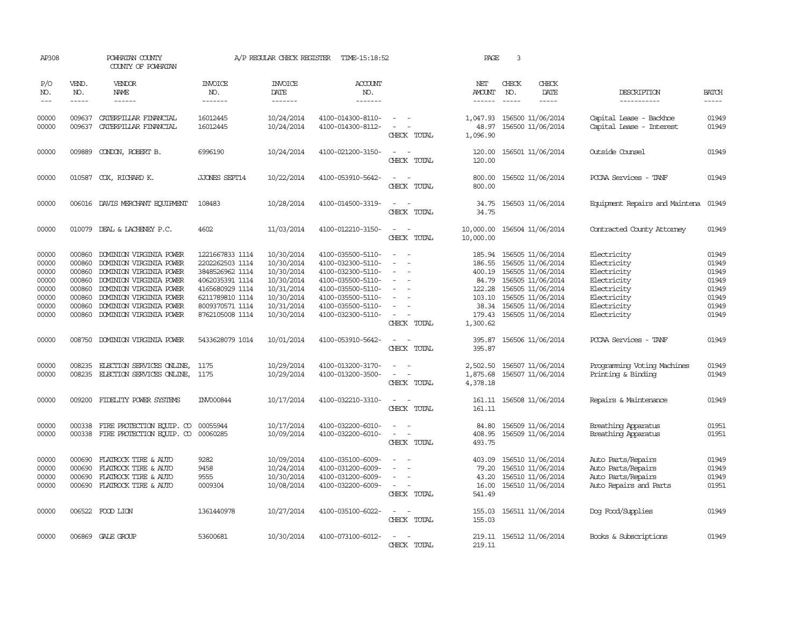| AP308                                                                |                                                                              | POWHATAN COUNTY<br>COUNTY OF POWHATAN                                                                                                                                                                                |                                                                                                                                                      | A/P REGULAR CHECK REGISTER                                                                                   | TIME-15:18:52                                                                                                                                                        |                                                                                                 | PAGE                                                                          | 3                                                                                                                                                                          |                                        |                                                                                                                      |                                                                      |
|----------------------------------------------------------------------|------------------------------------------------------------------------------|----------------------------------------------------------------------------------------------------------------------------------------------------------------------------------------------------------------------|------------------------------------------------------------------------------------------------------------------------------------------------------|--------------------------------------------------------------------------------------------------------------|----------------------------------------------------------------------------------------------------------------------------------------------------------------------|-------------------------------------------------------------------------------------------------|-------------------------------------------------------------------------------|----------------------------------------------------------------------------------------------------------------------------------------------------------------------------|----------------------------------------|----------------------------------------------------------------------------------------------------------------------|----------------------------------------------------------------------|
| P/O<br>NO.<br>$---$                                                  | VEND.<br>NO.<br>$- - - - -$                                                  | VENDOR<br>NAME<br>$- - - - - -$                                                                                                                                                                                      | <b>INVOICE</b><br>NO.<br>-------                                                                                                                     | <b>INVOICE</b><br>DATE<br>-------                                                                            | <b>ACCOUNT</b><br>NO.<br>-------                                                                                                                                     |                                                                                                 | NET<br>AMOUNT                                                                 | CHECK<br>NO.<br>$\frac{1}{2}$                                                                                                                                              | CHECK<br>DATE<br>$- - - - -$           | DESCRIPTION<br>-----------                                                                                           | <b>BATCH</b><br>-----                                                |
| 00000<br>00000                                                       | 009637<br>009637                                                             | CATERPILLAR FINANCIAL<br>CATERPILLAR FINANCIAL                                                                                                                                                                       | 16012445<br>16012445                                                                                                                                 | 10/24/2014<br>10/24/2014                                                                                     | 4100-014300-8110-<br>4100-014300-8112-                                                                                                                               | $\sim$ $-$<br>$\sim$<br>CHECK TOTAL                                                             | 1,047.93<br>48.97<br>1,096.90                                                 | 156500 11/06/2014<br>156500 11/06/2014                                                                                                                                     |                                        | Capital Lease - Backhoe<br>Capital Lease - Interest                                                                  | 01949<br>01949                                                       |
| 00000                                                                | 009889                                                                       | CONDON, ROBERT B.                                                                                                                                                                                                    | 6996190                                                                                                                                              | 10/24/2014                                                                                                   | 4100-021200-3150-                                                                                                                                                    | $\equiv$<br>CHECK TOTAL                                                                         | 120.00<br>120.00                                                              |                                                                                                                                                                            | 156501 11/06/2014                      | Outside Counsel                                                                                                      | 01949                                                                |
| 00000                                                                |                                                                              | 010587 COX, RICHARD K.                                                                                                                                                                                               | <b>JJONES SEPT14</b>                                                                                                                                 | 10/22/2014                                                                                                   | 4100-053910-5642-                                                                                                                                                    | $\sim$<br>CHECK TOTAL                                                                           | 800.00<br>800.00                                                              |                                                                                                                                                                            | 156502 11/06/2014                      | PCCAA Services<br>- TANF                                                                                             | 01949                                                                |
| 00000                                                                |                                                                              | 006016 DAVIS MERCHANT EQUIPMENT                                                                                                                                                                                      | 108483                                                                                                                                               | 10/28/2014                                                                                                   | 4100-014500-3319-                                                                                                                                                    | $\sim$<br>CHECK TOTAL                                                                           | 34.75<br>34.75                                                                |                                                                                                                                                                            | 156503 11/06/2014                      | Equipment Repairs and Maintena                                                                                       | 01949                                                                |
| 00000                                                                |                                                                              | 010079 DEAL & LACHENEY P.C.                                                                                                                                                                                          | 4602                                                                                                                                                 | 11/03/2014                                                                                                   | 4100-012210-3150-                                                                                                                                                    | $\sim$<br>CHECK TOTAL                                                                           | 10,000.00<br>10,000.00                                                        |                                                                                                                                                                            | 156504 11/06/2014                      | Contracted County Attomey                                                                                            | 01949                                                                |
| 00000<br>00000<br>00000<br>00000<br>00000<br>00000<br>00000<br>00000 | 000860<br>000860<br>000860<br>000860<br>000860<br>000860<br>000860<br>000860 | DOMINION VIRGINIA POWER<br>DOMINION VIRGINIA POWER<br>DOMINION VIRGINIA POWER<br>DOMINION VIRGINIA POWER<br>DOMINION VIRGINIA POWER<br>DOMINION VIRGINIA POWER<br>DOMINION VIRGINIA POWER<br>DOMINION VIRGINIA POWER | 1221667833 1114<br>2202262503 1114<br>3848526962 1114<br>4062035391 1114<br>4165680929 1114<br>6211789810 1114<br>8009370571 1114<br>8762105008 1114 | 10/30/2014<br>10/30/2014<br>10/30/2014<br>10/30/2014<br>10/31/2014<br>10/30/2014<br>10/31/2014<br>10/30/2014 | 4100-035500-5110-<br>4100-032300-5110-<br>4100-032300-5110-<br>4100-035500-5110-<br>4100-035500-5110-<br>4100-035500-5110-<br>4100-035500-5110-<br>4100-032300-5110- | $\sim$<br>$\sim$<br>$\overline{\phantom{a}}$<br>$\equiv$<br>$\equiv$<br>$\equiv$<br>CHECK TOTAL | 185.94<br>186.55<br>400.19<br>84.79<br>122.28<br>103.10<br>179.43<br>1,300.62 | 156505 11/06/2014<br>156505 11/06/2014<br>156505 11/06/2014<br>156505 11/06/2014<br>156505 11/06/2014<br>156505 11/06/2014<br>38.34 156505 11/06/2014<br>156505 11/06/2014 |                                        | Electricity<br>Electricity<br>Electricity<br>Electricity<br>Electricity<br>Electricity<br>Electricity<br>Electricity | 01949<br>01949<br>01949<br>01949<br>01949<br>01949<br>01949<br>01949 |
| 00000                                                                | 008750                                                                       | DOMINION VIRGINIA POWER                                                                                                                                                                                              | 5433628079 1014                                                                                                                                      | 10/01/2014                                                                                                   | 4100-053910-5642-                                                                                                                                                    | $\overline{\phantom{a}}$<br>$\sim$ $\sim$<br>CHECK TOTAL                                        | 395.87<br>395.87                                                              | 156506 11/06/2014                                                                                                                                                          |                                        | PCCAA Services - TANF                                                                                                | 01949                                                                |
| 00000<br>00000                                                       | 008235<br>008235                                                             | ELECTION SERVICES ONLINE,<br>ELECTION SERVICES ONLINE,                                                                                                                                                               | 1175<br>1175                                                                                                                                         | 10/29/2014<br>10/29/2014                                                                                     | 4100-013200-3170-<br>4100-013200-3500-                                                                                                                               | CHECK TOTAL                                                                                     | 2,502.50<br>1,875.68<br>4,378.18                                              | 156507 11/06/2014                                                                                                                                                          | 156507 11/06/2014                      | Programming Voting Machines<br>Printing & Binding                                                                    | 01949<br>01949                                                       |
| 00000                                                                | 009200                                                                       | FIDELITY POWER SYSTEMS                                                                                                                                                                                               | INV000844                                                                                                                                            | 10/17/2014                                                                                                   | 4100-032210-3310-                                                                                                                                                    | $\sim$<br>CHECK TOTAL                                                                           | 161.11<br>161.11                                                              | 156508 11/06/2014                                                                                                                                                          |                                        | Repairs & Maintenance                                                                                                | 01949                                                                |
| 00000<br>00000                                                       | 000338                                                                       | FIRE PROTECTION EQUIP. CO<br>000338 FIRE PROTECTION EQUIP. CO                                                                                                                                                        | 00055944<br>00060285                                                                                                                                 | 10/17/2014<br>10/09/2014                                                                                     | 4100-032200-6010-<br>4100-032200-6010-                                                                                                                               | $\sim$ 100 $\mu$<br>CHECK TOTAL                                                                 | 84.80<br>408.95<br>493.75                                                     | 156509 11/06/2014                                                                                                                                                          | 156509 11/06/2014                      | Breathing Apparatus<br>Breathing Apparatus                                                                           | 01951<br>01951                                                       |
| 00000<br>00000<br>00000<br>00000                                     | 000690<br>000690<br>000690                                                   | FLATROCK TIRE & AUTO<br>FLATROCK TIRE & AUTO<br>FLATROCK TIRE & AUTO<br>000690 FLATROCK TIRE & AUTO                                                                                                                  | 9282<br>9458<br>9555<br>0009304                                                                                                                      | 10/09/2014<br>10/24/2014<br>10/30/2014<br>10/08/2014                                                         | 4100-035100-6009-<br>4100-031200-6009-<br>4100-031200-6009-<br>4100-032200-6009-                                                                                     | $\sim$<br>$\overline{\phantom{a}}$<br>CHECK TOTAL                                               | 403.09<br>79.20<br>43.20<br>16.00<br>541.49                                   | 156510 11/06/2014<br>156510 11/06/2014                                                                                                                                     | 156510 11/06/2014<br>156510 11/06/2014 | Auto Parts/Repairs<br>Auto Parts/Repairs<br>Auto Parts/Repairs<br>Auto Repairs and Parts                             | 01949<br>01949<br>01949<br>01951                                     |
| 00000                                                                |                                                                              | 006522 FOOD LION                                                                                                                                                                                                     | 1361440978                                                                                                                                           | 10/27/2014                                                                                                   | 4100-035100-6022-                                                                                                                                                    | $\sim$<br>CHECK TOTAL                                                                           | 155.03<br>155.03                                                              |                                                                                                                                                                            | 156511 11/06/2014                      | Dog Food/Supplies                                                                                                    | 01949                                                                |
| 00000                                                                |                                                                              | 006869 GALE GROUP                                                                                                                                                                                                    | 53600681                                                                                                                                             | 10/30/2014                                                                                                   | 4100-073100-6012-                                                                                                                                                    | $\equiv$<br>CHECK TOTAL                                                                         | 219.11<br>219.11                                                              |                                                                                                                                                                            | 156512 11/06/2014                      | Books & Subscriptions                                                                                                | 01949                                                                |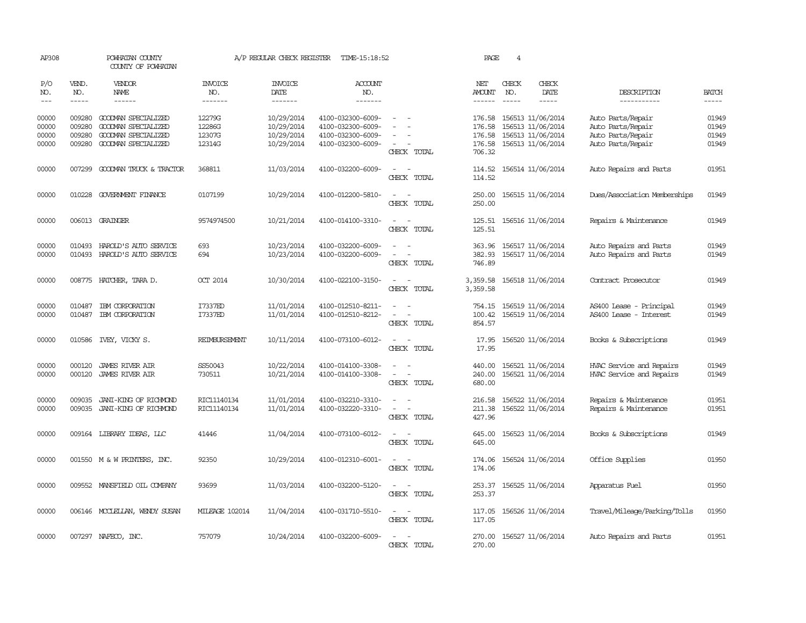| AP308                                                                                                                                                                                                                                                                                                                                                                                                      |                             | POWHATAN COUNTY<br>COUNTY OF POWHATAN            |                                  | A/P REGULAR CHECK REGISTER        | TIME-15:18:52                          |                                                                                                           | PAGE                           | $\overline{4}$        |                                        |                                                      |                             |
|------------------------------------------------------------------------------------------------------------------------------------------------------------------------------------------------------------------------------------------------------------------------------------------------------------------------------------------------------------------------------------------------------------|-----------------------------|--------------------------------------------------|----------------------------------|-----------------------------------|----------------------------------------|-----------------------------------------------------------------------------------------------------------|--------------------------------|-----------------------|----------------------------------------|------------------------------------------------------|-----------------------------|
| P/O<br>NO.<br>$\frac{1}{2} \frac{1}{2} \frac{1}{2} \frac{1}{2} \frac{1}{2} \frac{1}{2} \frac{1}{2} \frac{1}{2} \frac{1}{2} \frac{1}{2} \frac{1}{2} \frac{1}{2} \frac{1}{2} \frac{1}{2} \frac{1}{2} \frac{1}{2} \frac{1}{2} \frac{1}{2} \frac{1}{2} \frac{1}{2} \frac{1}{2} \frac{1}{2} \frac{1}{2} \frac{1}{2} \frac{1}{2} \frac{1}{2} \frac{1}{2} \frac{1}{2} \frac{1}{2} \frac{1}{2} \frac{1}{2} \frac{$ | VEND.<br>NO.<br>$- - - - -$ | VENDOR<br>NAME<br>------                         | <b>INVOICE</b><br>NO.<br>------- | <b>INVOICE</b><br>DATE<br>------- | <b>ACCOUNT</b><br>NO.<br>-------       |                                                                                                           | NET<br>AMOUNT<br>$- - - - - -$ | CHECK<br>NO.<br>----- | CHECK<br>DATE<br>-----                 | DESCRIPTION<br>-----------                           | <b>BATCH</b><br>$- - - - -$ |
|                                                                                                                                                                                                                                                                                                                                                                                                            |                             |                                                  |                                  |                                   |                                        |                                                                                                           |                                |                       |                                        |                                                      |                             |
| 00000<br>00000                                                                                                                                                                                                                                                                                                                                                                                             | 009280<br>009280            | GOODMAN SPECIALIZED<br>GOODWAN SPECIALIZED       | 12279G<br>12286G                 | 10/29/2014<br>10/29/2014          | 4100-032300-6009-<br>4100-032300-6009- |                                                                                                           | 176.58<br>176.58               |                       | 156513 11/06/2014<br>156513 11/06/2014 | Auto Parts/Repair<br>Auto Parts/Repair               | 01949<br>01949              |
| 00000                                                                                                                                                                                                                                                                                                                                                                                                      | 009280                      | GOODMAN SPECIALIZED                              | 12307G                           | 10/29/2014                        | 4100-032300-6009-                      |                                                                                                           | 176.58                         |                       | 156513 11/06/2014                      | Auto Parts/Repair                                    | 01949                       |
| 00000                                                                                                                                                                                                                                                                                                                                                                                                      | 009280                      | GOODMAN SPECIALIZED                              | 12314G                           | 10/29/2014                        | 4100-032300-6009-                      | $\sim$<br>CHECK TOTAL                                                                                     | 176.58<br>706.32               |                       | 156513 11/06/2014                      | Auto Parts/Repair                                    | 01949                       |
| 00000                                                                                                                                                                                                                                                                                                                                                                                                      |                             | 007299 GOODMAN TRUCK & TRACTOR                   | 368811                           | 11/03/2014                        | 4100-032200-6009-                      | $\sim$<br>$\sim$<br>CHECK TOTAL                                                                           | 114.52<br>114.52               |                       | 156514 11/06/2014                      | Auto Repairs and Parts                               | 01951                       |
| 00000                                                                                                                                                                                                                                                                                                                                                                                                      | 010228                      | GOVERNMENT FINANCE                               | 0107199                          | 10/29/2014                        | 4100-012200-5810-                      | $\overline{\phantom{a}}$<br>$\sim$<br>CHECK TOTAL                                                         | 250.00<br>250.00               |                       | 156515 11/06/2014                      | Dues/Association Memberships                         | 01949                       |
| 00000                                                                                                                                                                                                                                                                                                                                                                                                      |                             | 006013 GRAINGER                                  | 9574974500                       | 10/21/2014                        | 4100-014100-3310-                      | $\sim$<br>CHECK TOTAL                                                                                     | 125.51<br>125.51               |                       | 156516 11/06/2014                      | Repairs & Maintenance                                | 01949                       |
| 00000<br>00000                                                                                                                                                                                                                                                                                                                                                                                             | 010493<br>010493            | HAROLD'S AUTO SERVICE<br>HAROLD'S AUTO SERVICE   | 693<br>694                       | 10/23/2014<br>10/23/2014          | 4100-032200-6009-<br>4100-032200-6009- | CHECK TOTAL                                                                                               | 363.96<br>382.93<br>746.89     |                       | 156517 11/06/2014<br>156517 11/06/2014 | Auto Repairs and Parts<br>Auto Repairs and Parts     | 01949<br>01949              |
| 00000                                                                                                                                                                                                                                                                                                                                                                                                      |                             | 008775 HATCHER, TARA D.                          | <b>OCT 2014</b>                  | 10/30/2014                        | 4100-022100-3150-                      | CHECK TOTAL                                                                                               | 3,359.58<br>3,359.58           |                       | 156518 11/06/2014                      | Contract Prosecutor                                  | 01949                       |
| 00000<br>00000                                                                                                                                                                                                                                                                                                                                                                                             | 010487<br>010487            | IBM CORPORATION<br>IBM CORPORATION               | I7337ED<br>I7337ED               | 11/01/2014<br>11/01/2014          | 4100-012510-8211-<br>4100-012510-8212- | $\overline{\phantom{a}}$<br>$\sim$<br>$\overline{\phantom{a}}$<br>$\overline{\phantom{a}}$<br>CHECK TOTAL | 754.15<br>100.42<br>854.57     |                       | 156519 11/06/2014<br>156519 11/06/2014 | AS400 Lease - Principal<br>AS400 Lease - Interest    | 01949<br>01949              |
| 00000                                                                                                                                                                                                                                                                                                                                                                                                      |                             | 010586 IVEY, VICKY S.                            | REIMBURSEMENT                    | 10/11/2014                        | 4100-073100-6012-                      | CHECK TOTAL                                                                                               | 17.95<br>17.95                 |                       | 156520 11/06/2014                      | Books & Subscriptions                                | 01949                       |
| 00000<br>00000                                                                                                                                                                                                                                                                                                                                                                                             | 000120<br>000120            | <b>JAMES RIVER AIR</b><br><b>JAMES RIVER AIR</b> | SS50043<br>730511                | 10/22/2014<br>10/21/2014          | 4100-014100-3308-<br>4100-014100-3308- | $\sim$<br>CHECK TOTAL                                                                                     | 440.00<br>240.00<br>680.00     |                       | 156521 11/06/2014<br>156521 11/06/2014 | HVAC Service and Repairs<br>HVAC Service and Repairs | 01949<br>01949              |
| 00000<br>00000                                                                                                                                                                                                                                                                                                                                                                                             | 009035<br>009035            | JANI-KING OF RICHMOND<br>JANI-KING OF RICHMOND   | RIC11140134<br>RIC11140134       | 11/01/2014<br>11/01/2014          | 4100-032210-3310-<br>4100-032220-3310- | $\sim$<br>$\sim$<br>CHECK TOTAL                                                                           | 216.58<br>211.38<br>427.96     |                       | 156522 11/06/2014<br>156522 11/06/2014 | Repairs & Maintenance<br>Repairs & Maintenance       | 01951<br>01951              |
| 00000                                                                                                                                                                                                                                                                                                                                                                                                      |                             | 009164 LIBRARY IDEAS, LLC                        | 41446                            | 11/04/2014                        | 4100-073100-6012-                      | $\sim$<br>$\overline{\phantom{a}}$<br>CHECK TOTAL                                                         | 645.00<br>645.00               |                       | 156523 11/06/2014                      | Books & Subscriptions                                | 01949                       |
| 00000                                                                                                                                                                                                                                                                                                                                                                                                      |                             | 001550 M & W PRINTERS, INC.                      | 92350                            | 10/29/2014                        | 4100-012310-6001-                      | $\sim$<br>$\overline{\phantom{a}}$<br>CHECK TOTAL                                                         | 174.06<br>174.06               |                       | 156524 11/06/2014                      | Office Supplies                                      | 01950                       |
| 00000                                                                                                                                                                                                                                                                                                                                                                                                      |                             | 009552 MANSFIELD OIL COMPANY                     | 93699                            | 11/03/2014                        | 4100-032200-5120-                      | CHECK TOTAL                                                                                               | 253.37<br>253.37               |                       | 156525 11/06/2014                      | Apparatus Fuel                                       | 01950                       |
| 00000                                                                                                                                                                                                                                                                                                                                                                                                      |                             | 006146 MCCLELLAN, WENDY SUSAN                    | <b>MILEAGE 102014</b>            | 11/04/2014                        | 4100-031710-5510-                      | $\sim$ $\sim$<br>CHECK TOTAL                                                                              | 117.05<br>117.05               |                       | 156526 11/06/2014                      | Travel/Mileage/Parking/Tolls                         | 01950                       |
| 00000                                                                                                                                                                                                                                                                                                                                                                                                      |                             | 007297 NAFECO, INC.                              | 757079                           | 10/24/2014                        | 4100-032200-6009-                      | $\overline{\phantom{a}}$<br>CHECK TOTAL                                                                   | 270.00<br>270.00               |                       | 156527 11/06/2014                      | Auto Repairs and Parts                               | 01951                       |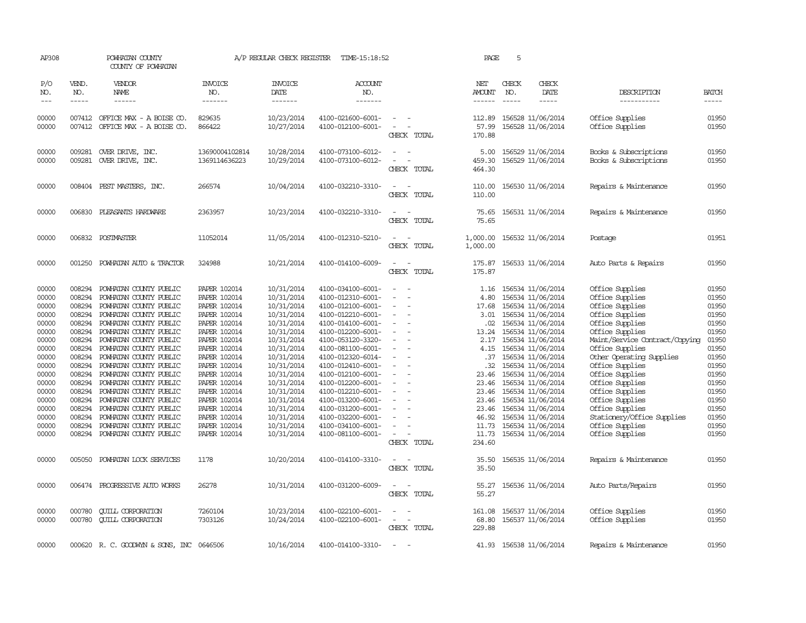| AP308                                                                                                                                                          |                                                                                                                                                                                                                                                                                                                                                                                                                                                                         | POWHATAN COUNTY<br>COUNTY OF POWHATAN                                                                                                                                                                                                                                                                                                                                                                                                                                                   |                                                                                                                                                                                                                                                                                                     | A/P REGULAR CHECK REGISTER                                                                                                                                                                                                                               | TIME-15:18:52                                                                                                                                                                                                                                                                                                                                                                          |                                                                                                                                                                                                                                                                           | PAGE                                                                                               | 5                                                                                                                                                                                                                                                                                                                                                                                                                            |                                                                                                                                                                                                                                                                                                                                                                                       |                                                                                                                                                                |
|----------------------------------------------------------------------------------------------------------------------------------------------------------------|-------------------------------------------------------------------------------------------------------------------------------------------------------------------------------------------------------------------------------------------------------------------------------------------------------------------------------------------------------------------------------------------------------------------------------------------------------------------------|-----------------------------------------------------------------------------------------------------------------------------------------------------------------------------------------------------------------------------------------------------------------------------------------------------------------------------------------------------------------------------------------------------------------------------------------------------------------------------------------|-----------------------------------------------------------------------------------------------------------------------------------------------------------------------------------------------------------------------------------------------------------------------------------------------------|----------------------------------------------------------------------------------------------------------------------------------------------------------------------------------------------------------------------------------------------------------|----------------------------------------------------------------------------------------------------------------------------------------------------------------------------------------------------------------------------------------------------------------------------------------------------------------------------------------------------------------------------------------|---------------------------------------------------------------------------------------------------------------------------------------------------------------------------------------------------------------------------------------------------------------------------|----------------------------------------------------------------------------------------------------|------------------------------------------------------------------------------------------------------------------------------------------------------------------------------------------------------------------------------------------------------------------------------------------------------------------------------------------------------------------------------------------------------------------------------|---------------------------------------------------------------------------------------------------------------------------------------------------------------------------------------------------------------------------------------------------------------------------------------------------------------------------------------------------------------------------------------|----------------------------------------------------------------------------------------------------------------------------------------------------------------|
| P/O<br>NO.<br>$\qquad \qquad -$                                                                                                                                | VEND.<br>NO.<br>$\begin{tabular}{ccccc} \multicolumn{2}{c }{\multicolumn{2}{c }{\multicolumn{2}{c }{\multicolumn{2}{c}}{\hspace{-2.2cm}}}} \multicolumn{2}{c }{\multicolumn{2}{c }{\hspace{-2.2cm}}\hline} \multicolumn{2}{c }{\hspace{-2.2cm}}\hline \multicolumn{2}{c }{\hspace{-2.2cm}}\hline \multicolumn{2}{c }{\hspace{-2.2cm}}\hline \multicolumn{2}{c }{\hspace{-2.2cm}}\hline \multicolumn{2}{c }{\hspace{-2.2cm}}\hline \multicolumn{2}{c }{\hspace{-2.2cm}}$ | <b>VENDOR</b><br>NAME                                                                                                                                                                                                                                                                                                                                                                                                                                                                   | <b>INVOICE</b><br>NO.<br>-------                                                                                                                                                                                                                                                                    | <b>INVOICE</b><br>DATE<br>-------                                                                                                                                                                                                                        | <b>ACCOUNT</b><br>NO.<br>-------                                                                                                                                                                                                                                                                                                                                                       |                                                                                                                                                                                                                                                                           | NET<br><b>AMOUNT</b>                                                                               | CHECK<br>CHECK<br>DATE<br>NO.<br>$\frac{1}{2}$                                                                                                                                                                                                                                                                                                                                                                               | DESCRIPTION<br>-----------                                                                                                                                                                                                                                                                                                                                                            | <b>BATCH</b><br>-----                                                                                                                                          |
| 00000<br>00000                                                                                                                                                 |                                                                                                                                                                                                                                                                                                                                                                                                                                                                         | 007412 OFFICE MAX - A BOISE CO.<br>007412 OFFICE MAX - A BOISE CO.                                                                                                                                                                                                                                                                                                                                                                                                                      | 829635<br>866422                                                                                                                                                                                                                                                                                    | 10/23/2014<br>10/27/2014                                                                                                                                                                                                                                 | 4100-021600-6001-<br>4100-012100-6001-                                                                                                                                                                                                                                                                                                                                                 | $\sim$ $-$<br>$\sim$<br>CHECK TOTAL                                                                                                                                                                                                                                       | 112.89<br>57.99<br>170.88                                                                          | 156528 11/06/2014<br>156528 11/06/2014                                                                                                                                                                                                                                                                                                                                                                                       | Office Supplies<br>Office Supplies                                                                                                                                                                                                                                                                                                                                                    | 01950<br>01950                                                                                                                                                 |
| 00000<br>00000                                                                                                                                                 | 009281                                                                                                                                                                                                                                                                                                                                                                                                                                                                  | OVER DRIVE, INC.<br>009281 OVER DRIVE, INC.                                                                                                                                                                                                                                                                                                                                                                                                                                             | 13690004102814<br>1369114636223                                                                                                                                                                                                                                                                     | 10/28/2014<br>10/29/2014                                                                                                                                                                                                                                 | 4100-073100-6012-<br>4100-073100-6012-                                                                                                                                                                                                                                                                                                                                                 | CHECK TOTAL                                                                                                                                                                                                                                                               | 5.00<br>459.30<br>464.30                                                                           | 156529 11/06/2014<br>156529 11/06/2014                                                                                                                                                                                                                                                                                                                                                                                       | Books & Subscriptions<br>Books & Subscriptions                                                                                                                                                                                                                                                                                                                                        | 01950<br>01950                                                                                                                                                 |
| 00000                                                                                                                                                          |                                                                                                                                                                                                                                                                                                                                                                                                                                                                         | 008404 PEST MASTERS, INC.                                                                                                                                                                                                                                                                                                                                                                                                                                                               | 266574                                                                                                                                                                                                                                                                                              | 10/04/2014                                                                                                                                                                                                                                               | 4100-032210-3310-                                                                                                                                                                                                                                                                                                                                                                      | CHECK TOTAL                                                                                                                                                                                                                                                               | 110.00<br>110.00                                                                                   | 156530 11/06/2014                                                                                                                                                                                                                                                                                                                                                                                                            | Repairs & Maintenance                                                                                                                                                                                                                                                                                                                                                                 | 01950                                                                                                                                                          |
| 00000                                                                                                                                                          | 006830                                                                                                                                                                                                                                                                                                                                                                                                                                                                  | PLEASANTS HARDWARE                                                                                                                                                                                                                                                                                                                                                                                                                                                                      | 2363957                                                                                                                                                                                                                                                                                             | 10/23/2014                                                                                                                                                                                                                                               | 4100-032210-3310-                                                                                                                                                                                                                                                                                                                                                                      | CHECK TOTAL                                                                                                                                                                                                                                                               | 75.65<br>75.65                                                                                     | 156531 11/06/2014                                                                                                                                                                                                                                                                                                                                                                                                            | Repairs & Maintenance                                                                                                                                                                                                                                                                                                                                                                 | 01950                                                                                                                                                          |
| 00000                                                                                                                                                          |                                                                                                                                                                                                                                                                                                                                                                                                                                                                         | 006832 POSTMASTER                                                                                                                                                                                                                                                                                                                                                                                                                                                                       | 11052014                                                                                                                                                                                                                                                                                            | 11/05/2014                                                                                                                                                                                                                                               | 4100-012310-5210-                                                                                                                                                                                                                                                                                                                                                                      | CHECK TOTAL                                                                                                                                                                                                                                                               | 1,000.00<br>1,000.00                                                                               | 156532 11/06/2014                                                                                                                                                                                                                                                                                                                                                                                                            | Postage                                                                                                                                                                                                                                                                                                                                                                               | 01951                                                                                                                                                          |
| 00000                                                                                                                                                          | 001250                                                                                                                                                                                                                                                                                                                                                                                                                                                                  | POWHATAN AUTO & TRACTOR                                                                                                                                                                                                                                                                                                                                                                                                                                                                 | 324988                                                                                                                                                                                                                                                                                              | 10/21/2014                                                                                                                                                                                                                                               | 4100-014100-6009-                                                                                                                                                                                                                                                                                                                                                                      | $\overline{\phantom{a}}$<br>CHECK TOTAL                                                                                                                                                                                                                                   | 175.87<br>175.87                                                                                   | 156533 11/06/2014                                                                                                                                                                                                                                                                                                                                                                                                            | Auto Parts & Repairs                                                                                                                                                                                                                                                                                                                                                                  | 01950                                                                                                                                                          |
| 00000<br>00000<br>00000<br>00000<br>00000<br>00000<br>00000<br>00000<br>00000<br>00000<br>00000<br>00000<br>00000<br>00000<br>00000<br>00000<br>00000<br>00000 | 008294<br>008294<br>008294<br>008294<br>008294<br>008294<br>008294<br>008294<br>008294<br>008294<br>008294<br>008294<br>008294<br>008294<br>008294<br>008294<br>008294                                                                                                                                                                                                                                                                                                  | POWHATAN COUNTY PUBLIC<br>POWHATAN COUNTY PUBLIC<br>POWHATAN COUNTY PUBLIC<br>POWHATAN COUNTY PUBLIC<br>POWHATAN COUNTY PUBLIC<br>POWHATAN COUNTY PUBLIC<br>POWHATAN COUNTY PUBLIC<br>POWHATAN COUNTY PUBLIC<br>POWHATAN COUNTY PUBLIC<br>POWHATAN COUNTY PUBLIC<br>POWHATAN COUNTY PUBLIC<br>POWHATAN COUNTY PUBLIC<br>POWHATAN COUNTY PUBLIC<br>POWHATAN COUNTY PUBLIC<br>POWHATAN COUNTY PUBLIC<br>POWHATAN COUNTY PUBLIC<br>POWHATAN COUNTY PUBLIC<br>008294 POWHATAN COUNTY PUBLIC | PAPER 102014<br>PAPER 102014<br>PAPER 102014<br>PAPER 102014<br>PAPER 102014<br>PAPER 102014<br>PAPER 102014<br>PAPER 102014<br>PAPER 102014<br><b>PAPER 102014</b><br>PAPER 102014<br>PAPER 102014<br>PAPER 102014<br>PAPER 102014<br>PAPER 102014<br>PAPER 102014<br>PAPER 102014<br>PAPER 102014 | 10/31/2014<br>10/31/2014<br>10/31/2014<br>10/31/2014<br>10/31/2014<br>10/31/2014<br>10/31/2014<br>10/31/2014<br>10/31/2014<br>10/31/2014<br>10/31/2014<br>10/31/2014<br>10/31/2014<br>10/31/2014<br>10/31/2014<br>10/31/2014<br>10/31/2014<br>10/31/2014 | 4100-034100-6001-<br>4100-012310-6001-<br>4100-012100-6001-<br>4100-012210-6001-<br>4100-014100-6001-<br>4100-012200-6001-<br>4100-053120-3320-<br>4100-081100-6001-<br>4100-012320-6014-<br>4100-012410-6001-<br>4100-012100-6001-<br>4100-012200-6001-<br>4100-012210-6001-<br>4100-013200-6001-<br>4100-031200-6001-<br>4100-032200-6001-<br>4100-034100-6001-<br>4100-081100-6001- | $\sim$<br>$\overline{\phantom{a}}$<br>$\overline{\phantom{a}}$<br>$\sim$<br>$\overline{\phantom{a}}$<br>$\overline{\phantom{a}}$<br>$\overline{\phantom{a}}$<br>$\overline{\phantom{a}}$<br>$\overline{\phantom{a}}$<br>$\overline{\phantom{a}}$<br>$\sim$<br>CHECK TOTAL | 4.80<br>17.68<br>3.01<br>.02<br>13.24<br>2.17<br>.37<br>23.46<br>23.46<br>46.92<br>11.73<br>234.60 | 1.16 156534 11/06/2014<br>156534 11/06/2014<br>156534 11/06/2014<br>156534 11/06/2014<br>156534 11/06/2014<br>156534 11/06/2014<br>156534 11/06/2014<br>4.15 156534 11/06/2014<br>156534 11/06/2014<br>.32 156534 11/06/2014<br>156534 11/06/2014<br>156534 11/06/2014<br>23.46 156534 11/06/2014<br>23.46 156534 11/06/2014<br>23.46 156534 11/06/2014<br>156534 11/06/2014<br>156534 11/06/2014<br>11.73 156534 11/06/2014 | Office Supplies<br>Office Supplies<br>Office Supplies<br>Office Supplies<br>Office Supplies<br>Office Supplies<br>Maint/Service Contract/Copying<br>Office Supplies<br>Other Operating Supplies<br>Office Supplies<br>Office Supplies<br>Office Supplies<br>Office Supplies<br>Office Supplies<br>Office Supplies<br>Stationery/Office Supplies<br>Office Supplies<br>Office Supplies | 01950<br>01950<br>01950<br>01950<br>01950<br>01950<br>01950<br>01950<br>01950<br>01950<br>01950<br>01950<br>01950<br>01950<br>01950<br>01950<br>01950<br>01950 |
| 00000                                                                                                                                                          | 005050                                                                                                                                                                                                                                                                                                                                                                                                                                                                  | POWHATAN LOCK SERVICES                                                                                                                                                                                                                                                                                                                                                                                                                                                                  | 1178                                                                                                                                                                                                                                                                                                | 10/20/2014                                                                                                                                                                                                                                               | 4100-014100-3310-                                                                                                                                                                                                                                                                                                                                                                      | $ -$<br>CHECK TOTAL                                                                                                                                                                                                                                                       | 35.50<br>35.50                                                                                     | 156535 11/06/2014                                                                                                                                                                                                                                                                                                                                                                                                            | Repairs & Maintenance                                                                                                                                                                                                                                                                                                                                                                 | 01950                                                                                                                                                          |
| 00000                                                                                                                                                          |                                                                                                                                                                                                                                                                                                                                                                                                                                                                         | 006474 PROGRESSIVE AUTO WORKS                                                                                                                                                                                                                                                                                                                                                                                                                                                           | 26278                                                                                                                                                                                                                                                                                               | 10/31/2014                                                                                                                                                                                                                                               | 4100-031200-6009-                                                                                                                                                                                                                                                                                                                                                                      | CHECK TOTAL                                                                                                                                                                                                                                                               | 55.27<br>55.27                                                                                     | 156536 11/06/2014                                                                                                                                                                                                                                                                                                                                                                                                            | Auto Parts/Repairs                                                                                                                                                                                                                                                                                                                                                                    | 01950                                                                                                                                                          |
| 00000<br>00000                                                                                                                                                 | 000780                                                                                                                                                                                                                                                                                                                                                                                                                                                                  | <b>CUILL CORPORATION</b><br>000780 CUILL CORPORATION                                                                                                                                                                                                                                                                                                                                                                                                                                    | 7260104<br>7303126                                                                                                                                                                                                                                                                                  | 10/23/2014<br>10/24/2014                                                                                                                                                                                                                                 | 4100-022100-6001-<br>4100-022100-6001-                                                                                                                                                                                                                                                                                                                                                 | $\overline{\phantom{a}}$<br>$\overline{\phantom{a}}$<br>CHECK TOTAL                                                                                                                                                                                                       | 161.08<br>68.80<br>229.88                                                                          | 156537 11/06/2014<br>156537 11/06/2014                                                                                                                                                                                                                                                                                                                                                                                       | Office Supplies<br>Office Supplies                                                                                                                                                                                                                                                                                                                                                    | 01950<br>01950                                                                                                                                                 |
| 00000                                                                                                                                                          |                                                                                                                                                                                                                                                                                                                                                                                                                                                                         | 000620 R. C. GOODWYN & SONS, INC 0646506                                                                                                                                                                                                                                                                                                                                                                                                                                                |                                                                                                                                                                                                                                                                                                     | 10/16/2014                                                                                                                                                                                                                                               | 4100-014100-3310-                                                                                                                                                                                                                                                                                                                                                                      | $\equiv$                                                                                                                                                                                                                                                                  |                                                                                                    | 41.93 156538 11/06/2014                                                                                                                                                                                                                                                                                                                                                                                                      | Repairs & Maintenance                                                                                                                                                                                                                                                                                                                                                                 | 01950                                                                                                                                                          |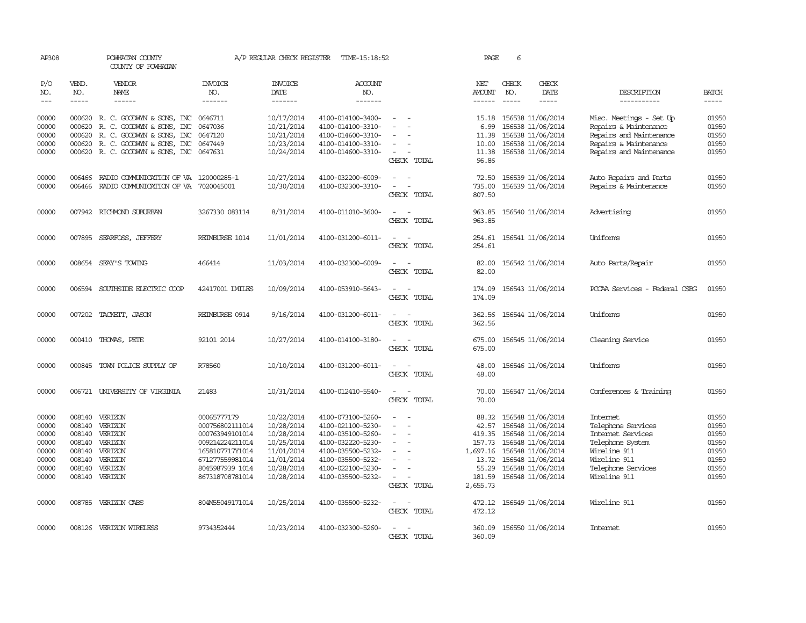| AP308                                                                |                             | POWHATAN COUNTY<br>COUNTY OF POWHATAN                                                                                                                               |                                                                                                                                                  | A/P REGULAR CHECK REGISTER                                                                                   | TIME-15:18:52                                                                                                                                                        |                                                                                                                             | PAGE                                                                                   | 6                           |                                                                                                                                                                      |                                                                                                                                               |                                                                      |
|----------------------------------------------------------------------|-----------------------------|---------------------------------------------------------------------------------------------------------------------------------------------------------------------|--------------------------------------------------------------------------------------------------------------------------------------------------|--------------------------------------------------------------------------------------------------------------|----------------------------------------------------------------------------------------------------------------------------------------------------------------------|-----------------------------------------------------------------------------------------------------------------------------|----------------------------------------------------------------------------------------|-----------------------------|----------------------------------------------------------------------------------------------------------------------------------------------------------------------|-----------------------------------------------------------------------------------------------------------------------------------------------|----------------------------------------------------------------------|
| P/O<br>NO.<br>$---$                                                  | VEND.<br>NO.<br>$- - - - -$ | VENDOR<br>NAME<br>$- - - - - -$                                                                                                                                     | <b>INVOICE</b><br>NO.<br>-------                                                                                                                 | <b>INVOICE</b><br>DATE<br>-------                                                                            | <b>ACCOUNT</b><br>NO.<br>-------                                                                                                                                     |                                                                                                                             | NET<br><b>AMOUNT</b><br>------                                                         | CHECK<br>NO.<br>$- - - - -$ | CHECK<br>DATE<br>-----                                                                                                                                               | DESCRIPTION<br>-----------                                                                                                                    | <b>BATCH</b><br>$- - - - -$                                          |
| 00000<br>00000<br>00000<br>00000<br>00000                            | 000620<br>000620<br>000620  | 000620 R. C. GOODWYN & SONS, INC<br>R. C. GOODWYN & SONS, INC<br>R. C. GOODWYN & SONS, INC<br>R. C. GOODWYN & SONS, INC<br>000620 R. C. GOODWYN & SONS, INC 0647631 | 0646711<br>0647036<br>0647120<br>0647449                                                                                                         | 10/17/2014<br>10/21/2014<br>10/21/2014<br>10/23/2014<br>10/24/2014                                           | 4100-014100-3400-<br>4100-014100-3310-<br>4100-014600-3310-<br>4100-014100-3310-<br>4100-014600-3310-                                                                | $\equiv$<br>$\overline{\phantom{a}}$<br>CHECK TOTAL                                                                         | 15.18<br>6.99<br>11.38<br>10.00<br>11.38<br>96.86                                      |                             | 156538 11/06/2014<br>156538 11/06/2014<br>156538 11/06/2014<br>156538 11/06/2014<br>156538 11/06/2014                                                                | Misc. Meetings - Set Up<br>Repairs & Maintenance<br>Repairs and Maintenance<br>Repairs & Maintenance<br>Repairs and Maintenance               | 01950<br>01950<br>01950<br>01950<br>01950                            |
| 00000<br>00000                                                       | 006466<br>006466            | RADIO COMMUNICATION OF VA 120000285-1<br>RADIO COMMUNICATION OF VA 7020045001                                                                                       |                                                                                                                                                  | 10/27/2014<br>10/30/2014                                                                                     | 4100-032200-6009-<br>4100-032300-3310-                                                                                                                               | $\overline{\phantom{a}}$<br>CHECK TOTAL                                                                                     | 72.50<br>735.00<br>807.50                                                              |                             | 156539 11/06/2014<br>156539 11/06/2014                                                                                                                               | Auto Repairs and Parts<br>Repairs & Maintenance                                                                                               | 01950<br>01950                                                       |
| 00000                                                                |                             | 007942 RICHMOND SUBURBAN                                                                                                                                            | 3267330 083114                                                                                                                                   | 8/31/2014                                                                                                    | 4100-011010-3600-                                                                                                                                                    | $\equiv$<br>CHECK TOTAL                                                                                                     | 963.85<br>963.85                                                                       |                             | 156540 11/06/2014                                                                                                                                                    | Advertising                                                                                                                                   | 01950                                                                |
| 00000                                                                |                             | 007895 SEARFOSS, JEFFERY                                                                                                                                            | REIMBURSE 1014                                                                                                                                   | 11/01/2014                                                                                                   | 4100-031200-6011-                                                                                                                                                    | $\sim$<br>CHECK TOTAL                                                                                                       | 254.61<br>254.61                                                                       |                             | 156541 11/06/2014                                                                                                                                                    | Uniforms                                                                                                                                      | 01950                                                                |
| 00000                                                                |                             | 008654 SEAY'S TOWING                                                                                                                                                | 466414                                                                                                                                           | 11/03/2014                                                                                                   | 4100-032300-6009-                                                                                                                                                    | CHECK TOTAL                                                                                                                 | 82.00<br>82.00                                                                         |                             | 156542 11/06/2014                                                                                                                                                    | Auto Parts/Repair                                                                                                                             | 01950                                                                |
| 00000                                                                |                             | 006594 SOUTHSIDE ELECTRIC COOP                                                                                                                                      | 42417001 IMILES                                                                                                                                  | 10/09/2014                                                                                                   | 4100-053910-5643-                                                                                                                                                    | CHECK TOTAL                                                                                                                 | 174.09<br>174.09                                                                       |                             | 156543 11/06/2014                                                                                                                                                    | PCCAA Services - Federal CSBG                                                                                                                 | 01950                                                                |
| 00000                                                                |                             | 007202 TACKETT, JASON                                                                                                                                               | REIMBURSE 0914                                                                                                                                   | 9/16/2014                                                                                                    | 4100-031200-6011-                                                                                                                                                    | CHECK TOTAL                                                                                                                 | 362.56<br>362.56                                                                       |                             | 156544 11/06/2014                                                                                                                                                    | Uniforms                                                                                                                                      | 01950                                                                |
| 00000                                                                |                             | 000410 THOMAS, PETE                                                                                                                                                 | 92101 2014                                                                                                                                       | 10/27/2014                                                                                                   | 4100-014100-3180-                                                                                                                                                    | CHECK TOTAL                                                                                                                 | 675.00<br>675.00                                                                       |                             | 156545 11/06/2014                                                                                                                                                    | Cleaning Service                                                                                                                              | 01950                                                                |
| 00000                                                                |                             | 000845 TOWN POLICE SUPPLY OF                                                                                                                                        | R78560                                                                                                                                           | 10/10/2014                                                                                                   | 4100-031200-6011-                                                                                                                                                    | $\sim$<br>$\overline{\phantom{a}}$<br>CHECK TOTAL                                                                           | 48.00<br>48.00                                                                         |                             | 156546 11/06/2014                                                                                                                                                    | Uniforms                                                                                                                                      | 01950                                                                |
| 00000                                                                |                             | 006721 UNIVERSITY OF VIRGINIA                                                                                                                                       | 21483                                                                                                                                            | 10/31/2014                                                                                                   | 4100-012410-5540-                                                                                                                                                    | CHECK TOTAL                                                                                                                 | 70.00<br>70.00                                                                         |                             | 156547 11/06/2014                                                                                                                                                    | Conferences & Training                                                                                                                        | 01950                                                                |
| 00000<br>00000<br>00000<br>00000<br>00000<br>00000<br>00000<br>00000 | 008140<br>008140            | 008140 VERIZON<br>VERIZON<br>008140 VERIZON<br>008140 VERIZON<br>008140 VERIZON<br>VERIZON<br>008140 VERIZON<br>008140 VERIZON                                      | 00065777179<br>000756802111014<br>000763949101014<br>009214224211014<br>1658107717Y1014<br>671277559981014<br>8045987939 1014<br>867318708781014 | 10/22/2014<br>10/28/2014<br>10/28/2014<br>10/25/2014<br>11/01/2014<br>11/01/2014<br>10/28/2014<br>10/28/2014 | 4100-073100-5260-<br>4100-021100-5230-<br>4100-035100-5260-<br>4100-032220-5230-<br>4100-035500-5232-<br>4100-035500-5232-<br>4100-022100-5230-<br>4100-035500-5232- | $\overline{\phantom{a}}$<br>$\equiv$<br>CHECK TOTAL                                                                         | 88.32<br>42.57<br>419.35<br>157.73<br>1,697.16<br>13.72<br>55.29<br>181.59<br>2,655.73 |                             | 156548 11/06/2014<br>156548 11/06/2014<br>156548 11/06/2014<br>156548 11/06/2014<br>156548 11/06/2014<br>156548 11/06/2014<br>156548 11/06/2014<br>156548 11/06/2014 | Internet<br>Telephone Services<br>Internet Services<br>Telephone System<br>Wireline 911<br>Wireline 911<br>Telephone Services<br>Wireline 911 | 01950<br>01950<br>01950<br>01950<br>01950<br>01950<br>01950<br>01950 |
| 00000                                                                |                             | 008785 VERIZON CABS                                                                                                                                                 | 804M55049171014                                                                                                                                  | 10/25/2014                                                                                                   | 4100-035500-5232-                                                                                                                                                    | $\frac{1}{2} \left( \frac{1}{2} \right) \left( \frac{1}{2} \right) = \frac{1}{2} \left( \frac{1}{2} \right)$<br>CHECK TOTAL | 472.12<br>472.12                                                                       |                             | 156549 11/06/2014                                                                                                                                                    | Wireline 911                                                                                                                                  | 01950                                                                |
| 00000                                                                |                             | 008126 VERIZON WIRELESS                                                                                                                                             | 9734352444                                                                                                                                       | 10/23/2014                                                                                                   | 4100-032300-5260-                                                                                                                                                    | CHECK<br>TOTAL                                                                                                              | 360.09                                                                                 |                             | 360.09 156550 11/06/2014                                                                                                                                             | Internet.                                                                                                                                     | 01950                                                                |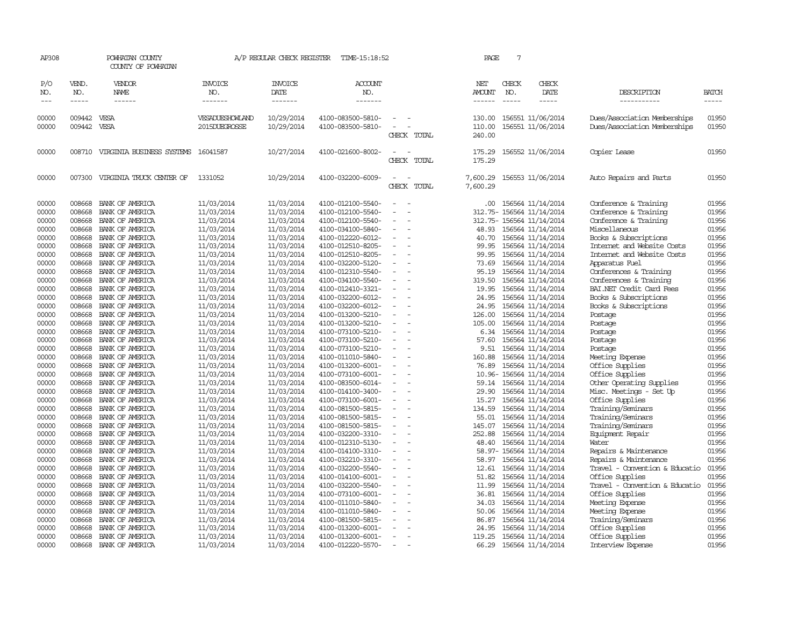| AP308                            |                                      | POWHATAN COUNTY<br>COUNTY OF POWHATAN                                           |                                                      | A/P REGULAR CHECK REGISTER                           | TIME-15:18:52                                                                    |                                                                                  | PAGE                                | 7                             |                                                                                        |                                                                                          |                                  |
|----------------------------------|--------------------------------------|---------------------------------------------------------------------------------|------------------------------------------------------|------------------------------------------------------|----------------------------------------------------------------------------------|----------------------------------------------------------------------------------|-------------------------------------|-------------------------------|----------------------------------------------------------------------------------------|------------------------------------------------------------------------------------------|----------------------------------|
| P/O<br>NO.<br>$---$              | VEND.<br>NO.<br>$- - - - -$          | VENDOR<br><b>NAME</b><br>$- - - - - -$                                          | <b>INVOICE</b><br>NO.<br>-------                     | <b>INVOICE</b><br>DATE<br>-------                    | <b>ACCOUNT</b><br>NO.<br>-------                                                 |                                                                                  | NET<br>AMOUNT<br>$- - - - - -$      | CHECK<br>NO.<br>$\frac{1}{2}$ | CHECK<br>DATE<br>$- - - - -$                                                           | DESCRIPTION<br>-----------                                                               | <b>BATCH</b><br>-----            |
| 00000<br>00000                   | 009442 VESA<br>009442 VESA           |                                                                                 | VESADUESHOWLAND<br>2015DUEGROSSE                     | 10/29/2014<br>10/29/2014                             | 4100-083500-5810-<br>4100-083500-5810-                                           | $\sim$<br>$\sim$<br>CHECK TOTAL                                                  | 130.00<br>110.00<br>240.00          |                               | 156551 11/06/2014<br>156551 11/06/2014                                                 | Dues/Association Memberships<br>Dues/Association Memberships                             | 01950<br>01950                   |
| 00000                            | 008710                               | VIRGINIA BUSINESS SYSTEMS                                                       | 16041587                                             | 10/27/2014                                           | 4100-021600-8002-                                                                | CHECK TOTAL                                                                      | 175.29<br>175.29                    |                               | 156552 11/06/2014                                                                      | Copier Lease                                                                             | 01950                            |
| 00000                            | 007300                               | VIRGINIA TRUCK CENTER OF                                                        | 1331052                                              | 10/29/2014                                           | 4100-032200-6009-                                                                | CHECK TOTAL                                                                      | 7,600.29<br>7,600.29                |                               | 156553 11/06/2014                                                                      | Auto Repairs and Parts                                                                   | 01950                            |
| 00000<br>00000<br>00000          | 008668<br>008668<br>008668           | BANK OF AMERICA<br>BANK OF AMERICA<br>BANK OF AMERICA                           | 11/03/2014<br>11/03/2014<br>11/03/2014               | 11/03/2014<br>11/03/2014<br>11/03/2014               | 4100-012100-5540-<br>4100-012100-5540-<br>4100-012100-5540-                      | $\equiv$<br>$\overline{\phantom{a}}$<br>$\equiv$                                 | .00                                 |                               | 156564 11/14/2014<br>312.75- 156564 11/14/2014<br>312.75- 156564 11/14/2014            | Conference & Training<br>Conference & Training<br>Conference & Training<br>Miscellaneous | 01956<br>01956<br>01956          |
| 00000<br>00000<br>00000<br>00000 | 008668<br>008668<br>008668           | BANK OF AMERICA<br>008668 BANK OF AMERICA<br>BANK OF AMERICA<br>BANK OF AMERICA | 11/03/2014<br>11/03/2014<br>11/03/2014<br>11/03/2014 | 11/03/2014<br>11/03/2014<br>11/03/2014<br>11/03/2014 | 4100-034100-5840-<br>4100-012220-6012-<br>4100-012510-8205-<br>4100-012510-8205- | $\sim$<br>$\sim$<br>$\equiv$<br>$\overline{\phantom{a}}$                         | 40.70<br>99.95<br>99.95             |                               | 48.93 156564 11/14/2014<br>156564 11/14/2014<br>156564 11/14/2014<br>156564 11/14/2014 | Books & Subscriptions<br>Internet and Website Costs<br>Internet and Website Costs        | 01956<br>01956<br>01956<br>01956 |
| 00000<br>00000<br>00000          | 008668<br>008668<br>008668           | BANK OF AMERICA<br>BANK OF AMERICA<br>BANK OF AMERICA                           | 11/03/2014<br>11/03/2014<br>11/03/2014               | 11/03/2014<br>11/03/2014<br>11/03/2014               | 4100-032200-5120-<br>4100-012310-5540-<br>4100-034100-5540-                      | $\overline{\phantom{a}}$<br>$\overline{\phantom{a}}$<br>$\equiv$                 | 73.69<br>95.19<br>319.50            |                               | 156564 11/14/2014<br>156564 11/14/2014<br>156564 11/14/2014                            | Apparatus Fuel<br>Conferences & Training<br>Conferences & Training                       | 01956<br>01956<br>01956          |
| 00000<br>00000<br>00000<br>00000 | 008668<br>008668<br>008668<br>008668 | BANK OF AMERICA<br>BANK OF AMERICA<br>BANK OF AMERICA<br>BANK OF AMERICA        | 11/03/2014<br>11/03/2014<br>11/03/2014<br>11/03/2014 | 11/03/2014<br>11/03/2014<br>11/03/2014<br>11/03/2014 | 4100-012410-3321-<br>4100-032200-6012-<br>4100-032200-6012-<br>4100-013200-5210- | $\overline{\phantom{a}}$<br>$\overline{\phantom{a}}$<br>$\overline{\phantom{a}}$ | 19.95<br>24.95<br>24.95<br>126.00   |                               | 156564 11/14/2014<br>156564 11/14/2014<br>156564 11/14/2014<br>156564 11/14/2014       | BAI.NET Credit Card Fees<br>Books & Subscriptions<br>Books & Subscriptions<br>Postage    | 01956<br>01956<br>01956<br>01956 |
| 00000<br>00000<br>00000          | 008668<br>008668<br>008668           | BANK OF AMERICA<br>BANK OF AMERICA<br>BANK OF AMERICA                           | 11/03/2014<br>11/03/2014<br>11/03/2014               | 11/03/2014<br>11/03/2014<br>11/03/2014               | 4100-013200-5210-<br>4100-073100-5210-<br>4100-073100-5210-                      | $\overline{\phantom{a}}$<br>$\equiv$<br>$\overline{\phantom{a}}$                 | 105.00<br>57.60                     |                               | 156564 11/14/2014<br>6.34 156564 11/14/2014<br>156564 11/14/2014                       | Postage<br>Postage<br>Postage                                                            | 01956<br>01956<br>01956          |
| 00000<br>00000<br>00000<br>00000 | 008668<br>008668<br>008668<br>008668 | BANK OF AMERICA<br>BANK OF AMERICA<br>BANK OF AMERICA<br>BANK OF AMERICA        | 11/03/2014<br>11/03/2014<br>11/03/2014<br>11/03/2014 | 11/03/2014<br>11/03/2014<br>11/03/2014<br>11/03/2014 | 4100-073100-5210-<br>4100-011010-5840-<br>4100-013200-6001-<br>4100-073100-6001- | $\overline{\phantom{a}}$<br>$\overline{\phantom{a}}$<br>$\sim$                   | 9.51<br>160.88<br>76.89             |                               | 156564 11/14/2014<br>156564 11/14/2014<br>156564 11/14/2014<br>10.96-156564 11/14/2014 | Postage<br>Meeting Expense<br>Office Supplies<br>Office Supplies                         | 01956<br>01956<br>01956<br>01956 |
| 00000<br>00000<br>00000          | 008668<br>008668<br>008668           | BANK OF AMERICA<br>BANK OF AMERICA<br>BANK OF AMERICA                           | 11/03/2014<br>11/03/2014<br>11/03/2014               | 11/03/2014<br>11/03/2014<br>11/03/2014               | 4100-083500-6014-<br>4100-014100-3400-<br>4100-073100-6001-                      | $\overline{\phantom{a}}$<br>$\overline{\phantom{a}}$                             | 29.90<br>15.27                      |                               | 59.14 156564 11/14/2014<br>156564 11/14/2014<br>156564 11/14/2014                      | Other Operating Supplies<br>Misc. Meetings - Set Up<br>Office Supplies                   | 01956<br>01956<br>01956          |
| 00000<br>00000<br>00000<br>00000 | 008668<br>008668<br>008668<br>008668 | BANK OF AMERICA<br>BANK OF AMERICA<br>BANK OF AMERICA<br>BANK OF AMERICA        | 11/03/2014<br>11/03/2014<br>11/03/2014<br>11/03/2014 | 11/03/2014<br>11/03/2014<br>11/03/2014<br>11/03/2014 | 4100-081500-5815-<br>4100-081500-5815-<br>4100-081500-5815-<br>4100-032200-3310- | $\overline{\phantom{a}}$<br>$\overline{\phantom{a}}$<br>$\equiv$<br>$\sim$       | 134.59<br>55.01<br>145.07<br>252.88 |                               | 156564 11/14/2014<br>156564 11/14/2014<br>156564 11/14/2014<br>156564 11/14/2014       | Training/Seminars<br>Training/Seminars<br>Training/Seminars<br>Equipment Repair          | 01956<br>01956<br>01956<br>01956 |
| 00000<br>00000<br>00000          | 008668<br>008668<br>008668           | BANK OF AMERICA<br>BANK OF AMERICA<br>BANK OF AMERICA                           | 11/03/2014<br>11/03/2014<br>11/03/2014               | 11/03/2014<br>11/03/2014<br>11/03/2014               | 4100-012310-5130-<br>4100-014100-3310-<br>4100-032210-3310-                      | $\overline{\phantom{a}}$<br>$\overline{\phantom{a}}$<br>$\equiv$                 | 48.40<br>58.97                      |                               | 156564 11/14/2014<br>58.97- 156564 11/14/2014<br>156564 11/14/2014                     | Water<br>Repairs & Maintenance<br>Repairs & Maintenance                                  | 01956<br>01956<br>01956          |
| 00000<br>00000<br>00000          | 008668<br>008668<br>008668           | BANK OF AMERICA<br>BANK OF AMERICA<br>BANK OF AMERICA                           | 11/03/2014<br>11/03/2014<br>11/03/2014               | 11/03/2014<br>11/03/2014<br>11/03/2014               | 4100-032200-5540-<br>4100-014100-6001-<br>4100-032200-5540-                      | $\overline{\phantom{a}}$<br>$\sim$                                               | 12.61<br>51.82<br>11.99             |                               | 156564 11/14/2014<br>156564 11/14/2014<br>156564 11/14/2014                            | Travel - Convention & Educatio<br>Office Supplies<br>Travel - Convention & Educatio      | 01956<br>01956<br>01956          |
| 00000<br>00000<br>00000<br>00000 | 008668<br>008668<br>008668<br>008668 | BANK OF AMERICA<br>BANK OF AMERICA<br>BANK OF AMERICA<br>BANK OF AMERICA        | 11/03/2014<br>11/03/2014<br>11/03/2014<br>11/03/2014 | 11/03/2014<br>11/03/2014<br>11/03/2014<br>11/03/2014 | 4100-073100-6001-<br>4100-011010-5840-<br>4100-011010-5840-<br>4100-081500-5815- | $\overline{\phantom{a}}$<br>$\overline{\phantom{a}}$<br>$\equiv$                 | 36.81<br>34.03<br>50.06<br>86.87    |                               | 156564 11/14/2014<br>156564 11/14/2014<br>156564 11/14/2014<br>156564 11/14/2014       | Office Supplies<br>Meeting Expense<br>Meeting Expense<br>Training/Seminars               | 01956<br>01956<br>01956<br>01956 |
| 00000<br>00000<br>00000          | 008668<br>008668<br>008668           | BANK OF AMERICA<br>BANK OF AMERICA<br>BANK OF AMERICA                           | 11/03/2014<br>11/03/2014<br>11/03/2014               | 11/03/2014<br>11/03/2014<br>11/03/2014               | 4100-013200-6001-<br>4100-013200-6001-<br>4100-012220-5570-                      | $\sim$<br>$\sim$                                                                 | 24.95<br>119.25<br>66.29            |                               | 156564 11/14/2014<br>156564 11/14/2014<br>156564 11/14/2014                            | Office Supplies<br>Office Supplies<br>Interview Expense                                  | 01956<br>01956<br>01956          |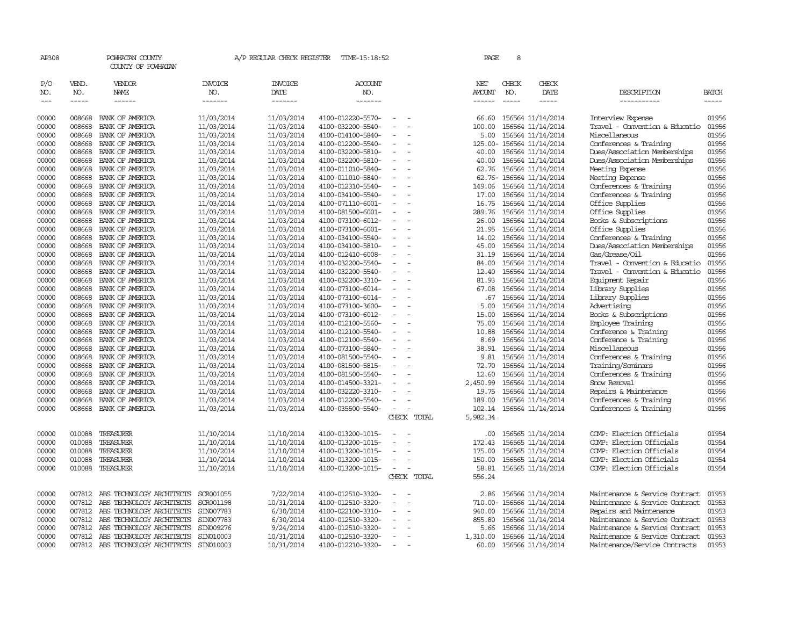| AP308               |                       | POWHATAN COUNTY<br>COUNTY OF POWHATAN                  |                                  | A/P REGULAR CHECK REGISTER               | TIME-15:18:52                          |                          |             | PAGE                    | 8                           |                                        |                                                                  |                       |
|---------------------|-----------------------|--------------------------------------------------------|----------------------------------|------------------------------------------|----------------------------------------|--------------------------|-------------|-------------------------|-----------------------------|----------------------------------------|------------------------------------------------------------------|-----------------------|
| P/O<br>NO.<br>$---$ | VEND.<br>NO.<br>----- | VENDOR<br><b>NAME</b><br>$- - - - - -$                 | <b>INVOICE</b><br>NO.<br>------- | <b>INVOICE</b><br><b>DATE</b><br>------- | ACCOUNT<br>NO.<br>-------              |                          |             | NET<br>AMOUNT<br>------ | CHECK<br>NO.<br>$- - - - -$ | CHECK<br>DATE<br>$- - - - -$           | DESCRIPTION<br>-----------                                       | <b>BATCH</b><br>----- |
|                     |                       |                                                        |                                  |                                          |                                        |                          |             |                         |                             |                                        |                                                                  |                       |
| 00000               | 008668                | BANK OF AMERICA                                        | 11/03/2014                       | 11/03/2014                               | 4100-012220-5570-<br>4100-032200-5540- | $\sim$<br>$\omega$       |             | 66.60                   |                             | 156564 11/14/2014                      | Interview Expense                                                | 01956                 |
| 00000<br>00000      | 008668<br>008668      | BANK OF AMERICA<br>BANK OF AMERICA                     | 11/03/2014<br>11/03/2014         | 11/03/2014<br>11/03/2014                 | 4100-014100-5840-                      | $\overline{\phantom{a}}$ |             | 100.00<br>5.00          |                             | 156564 11/14/2014<br>156564 11/14/2014 | Travel - Convention & Educatio<br>Miscellaneous                  | 01956<br>01956        |
| 00000               | 008668                | BANK OF AMERICA                                        | 11/03/2014                       | 11/03/2014                               | 4100-012200-5540-                      | $\equiv$                 |             |                         |                             | 125.00- 156564 11/14/2014              | Conferences & Training                                           | 01956                 |
| 00000               | 008668                | BANK OF AMERICA                                        | 11/03/2014                       | 11/03/2014                               | 4100-032200-5810-                      | $\overline{\phantom{a}}$ |             | 40.00                   |                             | 156564 11/14/2014                      | Dues/Association Memberships                                     | 01956                 |
| 00000               | 008668                | BANK OF AMERICA                                        | 11/03/2014                       | 11/03/2014                               | 4100-032200-5810-                      | $\overline{\phantom{a}}$ |             | 40.00                   |                             | 156564 11/14/2014                      | Dues/Association Memberships                                     | 01956                 |
| 00000               | 008668                | BANK OF AMERICA                                        | 11/03/2014                       | 11/03/2014                               | 4100-011010-5840-                      | $\equiv$                 |             | 62.76                   |                             | 156564 11/14/2014                      | Meeting Expense                                                  | 01956                 |
| 00000               | 008668                | BANK OF AMERICA                                        | 11/03/2014                       | 11/03/2014                               | 4100-011010-5840-                      | $\sim$                   |             |                         |                             | 62.76-156564 11/14/2014                | Meeting Expense                                                  | 01956                 |
| 00000               | 008668                | BANK OF AMERICA                                        | 11/03/2014                       | 11/03/2014                               | 4100-012310-5540-                      | $\overline{\phantom{a}}$ |             | 149.06                  |                             | 156564 11/14/2014                      | Conferences & Training                                           | 01956                 |
| 00000               | 008668                | BANK OF AMERICA                                        | 11/03/2014                       | 11/03/2014                               | 4100-034100-5540-                      | $\overline{\phantom{a}}$ |             | 17.00                   |                             | 156564 11/14/2014                      | Conferences & Training                                           | 01956                 |
| 00000               | 008668                | BANK OF AMERICA                                        | 11/03/2014                       | 11/03/2014                               | 4100-071110-6001-                      | $\overline{\phantom{a}}$ |             | 16.75                   |                             | 156564 11/14/2014                      | Office Supplies                                                  | 01956                 |
| 00000               | 008668                | BANK OF AMERICA                                        | 11/03/2014                       | 11/03/2014                               | 4100-081500-6001-                      | $\overline{\phantom{a}}$ |             | 289.76                  |                             | 156564 11/14/2014                      | Office Supplies                                                  | 01956                 |
| 00000               | 008668                | BANK OF AMERICA                                        | 11/03/2014                       | 11/03/2014                               | 4100-073100-6012-                      | $\equiv$                 |             | 26.00                   |                             | 156564 11/14/2014                      | Books & Subscriptions                                            | 01956                 |
| 00000               | 008668                | BANK OF AMERICA                                        | 11/03/2014                       | 11/03/2014                               | 4100-073100-6001-                      | $\overline{\phantom{a}}$ |             | 21.95                   |                             | 156564 11/14/2014                      | Office Supplies                                                  | 01956                 |
| 00000               | 008668                | BANK OF AMERICA                                        | 11/03/2014                       | 11/03/2014                               | 4100-034100-5540-                      | $\overline{\phantom{a}}$ |             | 14.02                   |                             | 156564 11/14/2014                      | Conferences & Training                                           | 01956                 |
| 00000               | 008668                | BANK OF AMERICA                                        | 11/03/2014                       | 11/03/2014                               | 4100-034100-5810-                      | $\overline{\phantom{a}}$ |             | 45.00                   |                             | 156564 11/14/2014                      | Dues/Association Memberships                                     | 01956                 |
| 00000               | 008668                | BANK OF AMERICA                                        | 11/03/2014                       | 11/03/2014                               | 4100-012410-6008-                      | $\overline{\phantom{a}}$ |             | 31.19                   |                             | 156564 11/14/2014                      | Gas/Grease/Oil                                                   | 01956                 |
| 00000               | 008668                | BANK OF AMERICA                                        | 11/03/2014                       | 11/03/2014                               | 4100-032200-5540-                      | $\equiv$                 |             | 84.00                   |                             | 156564 11/14/2014                      | Travel - Convention & Educatio                                   | 01956                 |
| 00000               | 008668                | BANK OF AMERICA                                        | 11/03/2014                       | 11/03/2014                               | 4100-032200-5540-                      | $\overline{\phantom{a}}$ |             | 12.40                   |                             | 156564 11/14/2014                      | Travel - Convention & Educatio                                   | 01956                 |
| 00000               | 008668                | BANK OF AMERICA                                        | 11/03/2014                       | 11/03/2014                               | 4100-032200-3310-                      | $\overline{\phantom{a}}$ |             | 81.93                   |                             | 156564 11/14/2014                      | Equipment Repair                                                 | 01956                 |
| 00000               | 008668                | BANK OF AMERICA                                        | 11/03/2014                       | 11/03/2014                               | 4100-073100-6014-                      | $\overline{\phantom{a}}$ |             | 67.08                   |                             | 156564 11/14/2014                      | Library Supplies                                                 | 01956                 |
| 00000               | 008668                | BANK OF AMERICA                                        | 11/03/2014                       | 11/03/2014                               | 4100-073100-6014-                      | $\overline{\phantom{a}}$ |             | .67                     |                             | 156564 11/14/2014                      | Library Supplies                                                 | 01956                 |
| 00000               | 008668                | BANK OF AMERICA                                        | 11/03/2014                       | 11/03/2014                               | 4100-073100-3600-                      | $\overline{\phantom{a}}$ |             | 5.00                    |                             | 156564 11/14/2014                      | Advertising                                                      | 01956                 |
| 00000               | 008668                | BANK OF AMERICA                                        | 11/03/2014                       | 11/03/2014                               | 4100-073100-6012-                      | $\overline{\phantom{a}}$ |             | 15.00                   |                             | 156564 11/14/2014                      | Books & Subscriptions                                            | 01956                 |
| 00000               | 008668                | BANK OF AMERICA                                        | 11/03/2014                       | 11/03/2014                               | 4100-012100-5560-                      | $\overline{\phantom{a}}$ |             | 75.00                   |                             | 156564 11/14/2014                      | <b>Employee Training</b>                                         | 01956                 |
| 00000               | 008668                | BANK OF AMERICA                                        | 11/03/2014                       | 11/03/2014                               | 4100-012100-5540-                      | $\sim$                   |             | 10.88                   |                             | 156564 11/14/2014                      | Conference & Training                                            | 01956                 |
| 00000               | 008668                | BANK OF AMERICA                                        | 11/03/2014                       | 11/03/2014                               | 4100-012100-5540-                      | $\equiv$                 |             | 8.69                    |                             | 156564 11/14/2014                      | Conference & Training                                            | 01956                 |
| 00000               | 008668                | BANK OF AMERICA                                        | 11/03/2014                       | 11/03/2014                               | 4100-073100-5840-                      | $\overline{\phantom{a}}$ |             | 38.91                   |                             | 156564 11/14/2014                      | Miscellaneous                                                    | 01956                 |
| 00000               | 008668                | BANK OF AMERICA                                        | 11/03/2014                       | 11/03/2014                               | 4100-081500-5540-                      | $\overline{\phantom{a}}$ |             | 9.81                    |                             | 156564 11/14/2014                      | Conferences & Training                                           | 01956                 |
| 00000               | 008668                | BANK OF AMERICA                                        | 11/03/2014                       | 11/03/2014                               | 4100-081500-5815-                      |                          |             | 72.70                   |                             | 156564 11/14/2014                      | Training/Seminars                                                | 01956                 |
| 00000               | 008668                | BANK OF AMERICA                                        | 11/03/2014                       | 11/03/2014                               | 4100-081500-5540-                      | $\equiv$                 |             | 12.60                   |                             | 156564 11/14/2014                      | Conferences & Training                                           | 01956                 |
| 00000               | 008668                | BANK OF AMERICA                                        | 11/03/2014                       | 11/03/2014                               | 4100-014500-3321-                      | $\equiv$                 |             | 2,450.99                |                             | 156564 11/14/2014                      | Snow Removal                                                     | 01956                 |
| 00000               | 008668                | BANK OF AMERICA                                        | 11/03/2014                       | 11/03/2014                               | 4100-032220-3310-                      | $\equiv$                 |             | 19.75                   |                             | 156564 11/14/2014                      | Repairs & Maintenance                                            | 01956                 |
| 00000               | 008668                | BANK OF AMERICA                                        | 11/03/2014                       | 11/03/2014                               | 4100-012200-5540-                      | $\overline{\phantom{a}}$ |             | 189.00                  |                             | 156564 11/14/2014                      | Conferences & Training                                           | 01956                 |
| 00000               | 008668                | BANK OF AMERICA                                        | 11/03/2014                       | 11/03/2014                               | 4100-035500-5540-                      | $\equiv$                 |             | 102.14                  |                             | 156564 11/14/2014                      | Conferences & Training                                           | 01956                 |
|                     |                       |                                                        |                                  |                                          |                                        |                          | CHECK TOTAL | 5,982.34                |                             |                                        |                                                                  |                       |
| 00000               | 010088                | TREASURER                                              | 11/10/2014                       | 11/10/2014                               | 4100-013200-1015-                      | $\sim$                   |             | .00.                    |                             | 156565 11/14/2014                      | COMP: Election Officials                                         | 01954                 |
| 00000               | 010088                | TREASURER                                              | 11/10/2014                       | 11/10/2014                               | 4100-013200-1015-                      | $\overline{\phantom{a}}$ |             | 172.43                  |                             | 156565 11/14/2014                      | COMP: Election Officials                                         | 01954                 |
| 00000               | 010088                | TREASURER                                              | 11/10/2014                       | 11/10/2014                               | 4100-013200-1015-                      | $\omega$                 |             | 175.00                  |                             | 156565 11/14/2014                      | COMP: Election Officials                                         | 01954                 |
| 00000               | 010088                | TREASURER                                              | 11/10/2014                       | 11/10/2014                               | 4100-013200-1015-                      | $\equiv$                 |             | 150.00                  |                             | 156565 11/14/2014                      | COMP: Election Officials                                         | 01954                 |
| 00000               | 010088                | TREASURER                                              | 11/10/2014                       | 11/10/2014                               | 4100-013200-1015-                      | $\sim$                   |             | 58.81                   |                             | 156565 11/14/2014                      | COMP: Election Officials                                         | 01954                 |
|                     |                       |                                                        |                                  |                                          |                                        |                          | CHECK TOTAL | 556.24                  |                             |                                        |                                                                  |                       |
|                     |                       |                                                        |                                  |                                          |                                        |                          |             |                         |                             |                                        |                                                                  |                       |
| 00000               | 007812                | ABS TECHNOLOGY ARCHITECTS                              | SCR001055                        | 7/22/2014                                | 4100-012510-3320-                      | $\equiv$                 |             | 2.86                    |                             | 156566 11/14/2014                      | Maintenance & Service Contract                                   | 01953                 |
| 00000               | 007812                | ABS TECHNOLOGY ARCHITECTS                              | SCR001198                        | 10/31/2014                               | 4100-012510-3320-                      | $\sim$<br>$\sim$         |             |                         |                             | 710.00- 156566 11/14/2014              | Maintenance & Service Contract                                   | 01953                 |
| 00000               | 007812                | ABS TECHNOLOGY ARCHITECTS                              | SIN007783                        | 6/30/2014                                | 4100-022100-3310-                      |                          |             |                         |                             | 940.00 156566 11/14/2014               | Repairs and Maintenance                                          | 01953                 |
| 00000               | 007812                | ABS TECHNOLOGY ARCHITECTS                              | SIN007783                        | 6/30/2014                                | 4100-012510-3320-                      | $\equiv$<br>$\sim$       |             | 855.80                  |                             | 156566 11/14/2014                      | Maintenance & Service Contract                                   | 01953                 |
| 00000<br>00000      | 007812<br>007812      | ABS TECHNOLOGY ARCHITECTS<br>ABS TECHNOLOGY ARCHITECTS | SIN009276<br>SIN010003           | 9/24/2014<br>10/31/2014                  | 4100-012510-3320-<br>4100-012510-3320- | $\overline{\phantom{a}}$ |             | 5.66                    |                             | 156566 11/14/2014<br>156566 11/14/2014 | Maintenance & Service Contract<br>Maintenance & Service Contract | 01953<br>01953        |
|                     |                       |                                                        |                                  |                                          |                                        | $\sim$                   |             | 1,310.00                |                             |                                        |                                                                  | 01953                 |
| 00000               | 007812                | ABS TECHNOLOGY ARCHITECTS                              | SIN010003                        | 10/31/2014                               | 4100-012210-3320-                      |                          |             | 60.00                   |                             | 156566 11/14/2014                      | Maintenance/Service Contracts                                    |                       |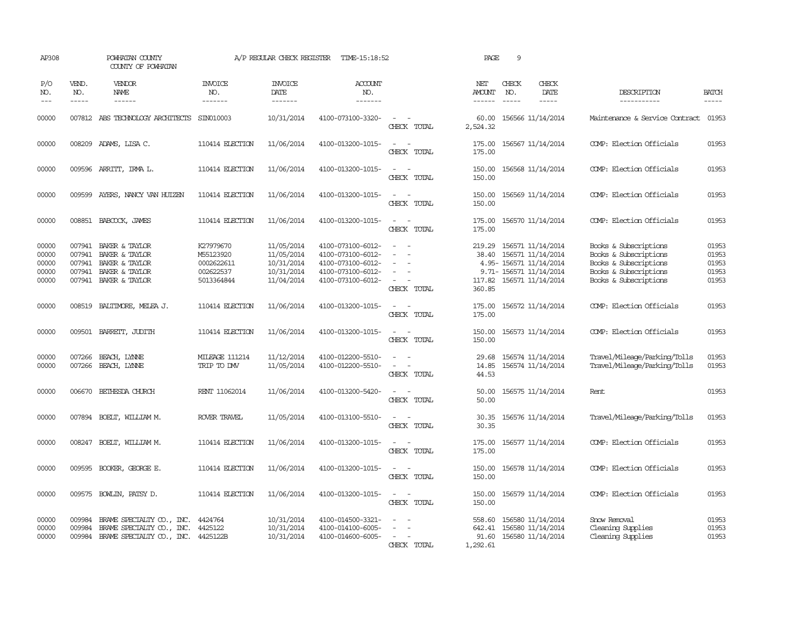| AP308                                     |                                                | POWHATAN COUNTY<br>COUNTY OF POWHATAN                                                                 |                                                                 | A/P REGULAR CHECK REGISTER                                         | TIME-15:18:52                                                                                         |                                                                                                                             | PAGE                                | 9                             |                                                                                                                   |                                                                                                                           |                                           |
|-------------------------------------------|------------------------------------------------|-------------------------------------------------------------------------------------------------------|-----------------------------------------------------------------|--------------------------------------------------------------------|-------------------------------------------------------------------------------------------------------|-----------------------------------------------------------------------------------------------------------------------------|-------------------------------------|-------------------------------|-------------------------------------------------------------------------------------------------------------------|---------------------------------------------------------------------------------------------------------------------------|-------------------------------------------|
| P/O<br>NO.<br>$\frac{1}{2}$               | VEND.<br>NO.<br>$- - - - -$                    | VENDOR<br>NAME<br>------                                                                              | <b>INVOICE</b><br>NO.<br>-------                                | <b>INVOICE</b><br>DATE<br>-------                                  | ACCOUNT<br>NO.<br>-------                                                                             |                                                                                                                             | NET<br>AMOUNT<br>$- - - - - -$      | CHECK<br>NO.<br>$\frac{1}{2}$ | CHECK<br>DATE<br>$- - - - -$                                                                                      | DESCRIPTION<br>-----------                                                                                                | <b>BATCH</b><br>$- - - - -$               |
| 00000                                     |                                                | 007812 ABS TECHNOLOGY ARCHITECTS                                                                      | SIN010003                                                       | 10/31/2014                                                         | 4100-073100-3320-                                                                                     | $\sim$<br>CHECK TOTAL                                                                                                       | 60.00<br>2,524.32                   |                               | 156566 11/14/2014                                                                                                 | Maintenance & Service Contract                                                                                            | 01953                                     |
| 00000                                     |                                                | 008209 ADAMS, LISA C.                                                                                 | 110414 ELECTION                                                 | 11/06/2014                                                         | 4100-013200-1015-                                                                                     | $\sim$<br>CHECK TOTAL                                                                                                       | 175.00<br>175.00                    |                               | 156567 11/14/2014                                                                                                 | COMP: Election Officials                                                                                                  | 01953                                     |
| 00000                                     |                                                | 009596 ARRITT, IRMA L.                                                                                | 110414 ELECTION                                                 | 11/06/2014                                                         | 4100-013200-1015-                                                                                     | $\sim$ $\sim$<br>CHECK TOTAL                                                                                                | 150.00<br>150.00                    |                               | 156568 11/14/2014                                                                                                 | COMP: Election Officials                                                                                                  | 01953                                     |
| 00000                                     | 009599                                         | AYERS, NANCY VAN HUIZEN                                                                               | 110414 ELECTION                                                 | 11/06/2014                                                         | 4100-013200-1015-                                                                                     | $\frac{1}{2} \left( \frac{1}{2} \right) \left( \frac{1}{2} \right) = \frac{1}{2} \left( \frac{1}{2} \right)$<br>CHECK TOTAL | 150.00<br>150.00                    |                               | 156569 11/14/2014                                                                                                 | COMP: Election Officials                                                                                                  | 01953                                     |
| 00000                                     |                                                | 008851 BABCOCK, JAMES                                                                                 | 110414 ELECTION                                                 | 11/06/2014                                                         | 4100-013200-1015-                                                                                     | $\sim$<br>CHECK TOTAL                                                                                                       | 175.00<br>175.00                    |                               | 156570 11/14/2014                                                                                                 | COMP: Election Officials                                                                                                  | 01953                                     |
| 00000<br>00000<br>00000<br>00000<br>00000 | 007941<br>007941<br>007941<br>007941<br>007941 | BAKER & TAYLOR<br>BAKER & TAYLOR<br>BAKER & TAYLOR<br>BAKER & TAYLOR<br>BAKER & TAYLOR                | K27979670<br>M55123920<br>0002622611<br>002622537<br>5013364844 | 11/05/2014<br>11/05/2014<br>10/31/2014<br>10/31/2014<br>11/04/2014 | 4100-073100-6012-<br>4100-073100-6012-<br>4100-073100-6012-<br>4100-073100-6012-<br>4100-073100-6012- | $\equiv$<br>$\sim$<br>$\equiv$<br>$\overline{\phantom{a}}$<br>$\sim$<br>CHECK TOTAL                                         | 219.29<br>38.40<br>117.82<br>360.85 |                               | 156571 11/14/2014<br>156571 11/14/2014<br>4.95- 156571 11/14/2014<br>9.71- 156571 11/14/2014<br>156571 11/14/2014 | Books & Subscriptions<br>Books & Subscriptions<br>Books & Subscriptions<br>Books & Subscriptions<br>Books & Subscriptions | 01953<br>01953<br>01953<br>01953<br>01953 |
| 00000                                     |                                                | 008519 BALTIMORE, MELEA J.                                                                            | 110414 ELECTION                                                 | 11/06/2014                                                         | 4100-013200-1015-                                                                                     | $\sim$<br>CHECK TOTAL                                                                                                       | 175.00<br>175.00                    |                               | 156572 11/14/2014                                                                                                 | COMP: Election Officials                                                                                                  | 01953                                     |
| 00000                                     |                                                | 009501 BARRETT, JUDITH                                                                                | 110414 ELECTION                                                 | 11/06/2014                                                         | 4100-013200-1015-                                                                                     | $\sim$<br>$\overline{\phantom{a}}$<br>CHECK TOTAL                                                                           | 150.00<br>150.00                    |                               | 156573 11/14/2014                                                                                                 | COMP: Election Officials                                                                                                  | 01953                                     |
| 00000<br>00000                            | 007266                                         | BEACH, LYNNE<br>007266 BEACH, LYNNE                                                                   | <b>MILEAGE 111214</b><br>TRIP TO DW                             | 11/12/2014<br>11/05/2014                                           | 4100-012200-5510-<br>4100-012200-5510-                                                                | $\equiv$<br>$\sim$<br>$\sim$<br>CHECK TOTAL                                                                                 | 29.68<br>14.85<br>44.53             |                               | 156574 11/14/2014<br>156574 11/14/2014                                                                            | Travel/Mileage/Parking/Tolls<br>Travel/Mileage/Parking/Tolls                                                              | 01953<br>01953                            |
| 00000                                     |                                                | 006670 BETHESDA CHURCH                                                                                | RENT 11062014                                                   | 11/06/2014                                                         | 4100-013200-5420-                                                                                     | $\sim$<br>CHECK TOTAL                                                                                                       | 50.00<br>50.00                      |                               | 156575 11/14/2014                                                                                                 | Rent                                                                                                                      | 01953                                     |
| 00000                                     |                                                | 007894 BOELT, WILLIAM M.                                                                              | ROVER TRAVEL                                                    | 11/05/2014                                                         | 4100-013100-5510-                                                                                     | $\sim$ 10 $\sim$ 10 $\sim$<br>CHECK TOTAL                                                                                   | 30.35<br>30.35                      |                               | 156576 11/14/2014                                                                                                 | Travel/Mileage/Parking/Tolls                                                                                              | 01953                                     |
| 00000                                     |                                                | 008247 BOELT, WILLIAM M.                                                                              | 110414 ELECTION                                                 | 11/06/2014                                                         | 4100-013200-1015-                                                                                     | $\sim$ $  -$<br>CHECK TOTAL                                                                                                 | 175.00<br>175.00                    |                               | 156577 11/14/2014                                                                                                 | COMP: Election Officials                                                                                                  | 01953                                     |
| 00000                                     |                                                | 009595 BOOKER, GEORGE E.                                                                              | 110414 ELECTION                                                 | 11/06/2014                                                         | 4100-013200-1015-                                                                                     | $\sim$<br>$\overline{\phantom{a}}$<br>CHECK TOTAL                                                                           | 150.00<br>150.00                    |                               | 156578 11/14/2014                                                                                                 | COMP: Election Officials                                                                                                  | 01953                                     |
| 00000                                     | 009575                                         | BOWLIN, PATSY D.                                                                                      | 110414 ELECTION                                                 | 11/06/2014                                                         | 4100-013200-1015-                                                                                     | $\overline{\phantom{a}}$<br>CHECK TOTAL                                                                                     | 150.00<br>150.00                    |                               | 156579 11/14/2014                                                                                                 | COMP: Election Officials                                                                                                  | 01953                                     |
| 00000<br>00000<br>00000                   | 009984<br>009984                               | BRAME SPECIALITY CO., INC.<br>BRAME SPECIALITY CO., INC.<br>009984 BRAME SPECIALIY CO., INC. 4425122B | 4424764<br>4425122                                              | 10/31/2014<br>10/31/2014<br>10/31/2014                             | 4100-014500-3321-<br>4100-014100-6005-<br>4100-014600-6005-                                           | $\equiv$<br>$\sim$<br>$\sim$<br>CHECK TOTAL                                                                                 | 558.60<br>642.41<br>1,292.61        |                               | 156580 11/14/2014<br>156580 11/14/2014<br>91.60 156580 11/14/2014                                                 | Snow Removal<br>Cleaning Supplies<br>Cleaning Supplies                                                                    | 01953<br>01953<br>01953                   |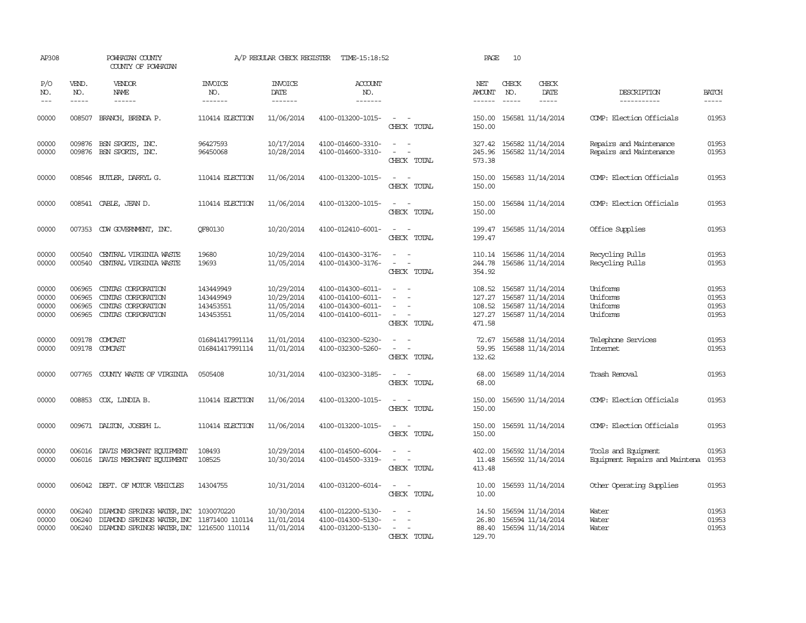| AP308                            |                                      | POWHATAN COUNTY<br>COUNTY OF POWHATAN                                                                                                   |                                                  | A/P REGULAR CHECK REGISTER                           | TIME-15:18:52                                                                    |                                                                                                                             | PAGE                                  | 10                            |                                                                                         |                                                       |                                  |
|----------------------------------|--------------------------------------|-----------------------------------------------------------------------------------------------------------------------------------------|--------------------------------------------------|------------------------------------------------------|----------------------------------------------------------------------------------|-----------------------------------------------------------------------------------------------------------------------------|---------------------------------------|-------------------------------|-----------------------------------------------------------------------------------------|-------------------------------------------------------|----------------------------------|
| P/O<br>NO.<br>$---$              | VEND.<br>NO.<br>$- - - - -$          | <b>VENDOR</b><br>NAME<br>$- - - - - -$                                                                                                  | <b>INVOICE</b><br>NO.<br>-------                 | <b>INVOICE</b><br>DATE<br>-------                    | <b>ACCOUNT</b><br>NO.<br>-------                                                 |                                                                                                                             | NET<br><b>AMOUNT</b><br>$- - - - - -$ | CHECK<br>NO.<br>$\frac{1}{2}$ | CHECK<br>DATE<br>$- - - - -$                                                            | DESCRIPTION<br>-----------                            | <b>BATCH</b><br>-----            |
| 00000                            | 008507                               | BRANCH, BRENDA P.                                                                                                                       | 110414 ELECTION                                  | 11/06/2014                                           | 4100-013200-1015-                                                                | $\sim$<br>CHECK TOTAL                                                                                                       | 150.00<br>150.00                      |                               | 156581 11/14/2014                                                                       | COMP: Election Officials                              | 01953                            |
| 00000<br>00000                   |                                      | 009876 BSN SPORTS, INC.<br>009876 BSN SPORTS, INC.                                                                                      | 96427593<br>96450068                             | 10/17/2014<br>10/28/2014                             | 4100-014600-3310-<br>4100-014600-3310-                                           | $\omega_{\rm{max}}$ and $\omega_{\rm{max}}$<br>$\omega_{\rm{max}}$<br>CHECK TOTAL                                           | 327.42<br>245.96<br>573.38            |                               | 156582 11/14/2014<br>156582 11/14/2014                                                  | Repairs and Maintenance<br>Repairs and Maintenance    | 01953<br>01953                   |
| 00000                            |                                      | 008546 BUILER, DARRYL G.                                                                                                                | 110414 ELECTION                                  | 11/06/2014                                           | 4100-013200-1015-                                                                | $\equiv$<br>CHECK TOTAL                                                                                                     | 150.00<br>150.00                      |                               | 156583 11/14/2014                                                                       | COMP: Election Officials                              | 01953                            |
| 00000                            |                                      | 008541 CABLE, JEAN D.                                                                                                                   | 110414 ELECTION                                  | 11/06/2014                                           | 4100-013200-1015-                                                                | $\overline{\phantom{a}}$<br>$\sim$<br>CHECK TOTAL                                                                           | 150.00<br>150.00                      |                               | 156584 11/14/2014                                                                       | COMP: Election Officials                              | 01953                            |
| 00000                            |                                      | 007353 CDW GOVERNMENT, INC.                                                                                                             | QF80130                                          | 10/20/2014                                           | 4100-012410-6001-                                                                | $\sim$<br>CHECK TOTAL                                                                                                       | 199.47<br>199.47                      |                               | 156585 11/14/2014                                                                       | Office Supplies                                       | 01953                            |
| 00000<br>00000                   | 000540<br>000540                     | CENTRAL VIRGINIA WASTE<br>CENTRAL VIRGINIA WASTE                                                                                        | 19680<br>19693                                   | 10/29/2014<br>11/05/2014                             | 4100-014300-3176-<br>4100-014300-3176-                                           | $\overline{\phantom{a}}$<br>$\sim$<br>CHECK TOTAL                                                                           | 244.78<br>354.92                      |                               | 110.14 156586 11/14/2014<br>156586 11/14/2014                                           | Recycling Pulls<br>Recycling Pulls                    | 01953<br>01953                   |
| 00000<br>00000<br>00000<br>00000 | 006965<br>006965<br>006965<br>006965 | CINTAS CORPORATION<br>CINIAS CORPORATION<br>CINIAS CORPORATION<br>CINIAS CORPORATION                                                    | 143449949<br>143449949<br>143453551<br>143453551 | 10/29/2014<br>10/29/2014<br>11/05/2014<br>11/05/2014 | 4100-014300-6011-<br>4100-014100-6011-<br>4100-014300-6011-<br>4100-014100-6011- | $\equiv$<br>$\overline{\phantom{a}}$<br>CHECK TOTAL                                                                         | 108.52<br>127.27<br>127.27<br>471.58  |                               | 156587 11/14/2014<br>156587 11/14/2014<br>108.52 156587 11/14/2014<br>156587 11/14/2014 | Uniforms<br>Uniforms<br>Uniforms<br>Uniforms          | 01953<br>01953<br>01953<br>01953 |
| 00000<br>00000                   |                                      | 009178 COMCAST<br>009178 COMCAST                                                                                                        | 016841417991114<br>016841417991114               | 11/01/2014<br>11/01/2014                             | 4100-032300-5230-<br>4100-032300-5260-                                           | $\omega_{\rm{max}}$ and $\omega_{\rm{max}}$<br>$\omega_{\rm{max}}$ and $\omega_{\rm{max}}$<br>CHECK TOTAL                   | 72.67<br>132.62                       |                               | 156588 11/14/2014<br>59.95 156588 11/14/2014                                            | Telephone Services<br><b>Internet</b>                 | 01953<br>01953                   |
| 00000                            |                                      | 007765 COUNTY WASTE OF VIRGINIA                                                                                                         | 0505408                                          | 10/31/2014                                           | 4100-032300-3185-                                                                | $\sim$<br>CHECK TOTAL                                                                                                       | 68.00<br>68.00                        |                               | 156589 11/14/2014                                                                       | Trash Removal                                         | 01953                            |
| 00000                            |                                      | 008853 COX, LINDIA B.                                                                                                                   | 110414 ELECTION                                  | 11/06/2014                                           | 4100-013200-1015-                                                                | $\overline{\phantom{a}}$<br>$\sim$<br>CHECK TOTAL                                                                           | 150.00<br>150.00                      |                               | 156590 11/14/2014                                                                       | COMP: Election Officials                              | 01953                            |
| 00000                            |                                      | 009671 DALTON, JOSEPH L.                                                                                                                | 110414 ELECTION                                  | 11/06/2014                                           | 4100-013200-1015-                                                                | $\frac{1}{2} \left( \frac{1}{2} \right) \left( \frac{1}{2} \right) = \frac{1}{2} \left( \frac{1}{2} \right)$<br>CHECK TOTAL | 150.00<br>150.00                      |                               | 156591 11/14/2014                                                                       | COMP: Election Officials                              | 01953                            |
| 00000<br>00000                   | 006016                               | DAVIS MERCHANT EQUIPMENT<br>006016 DAVIS MERCHANT EQUIPMENT                                                                             | 108493<br>108525                                 | 10/29/2014<br>10/30/2014                             | 4100-014500-6004-<br>4100-014500-3319-                                           | $\equiv$<br>CHECK TOTAL                                                                                                     | 402.00<br>11.48<br>413.48             |                               | 156592 11/14/2014<br>156592 11/14/2014                                                  | Tools and Equipment<br>Equipment Repairs and Maintena | 01953<br>01953                   |
| 00000                            | 006042                               | DEPT. OF MOTOR VEHICLES                                                                                                                 | 14304755                                         | 10/31/2014                                           | 4100-031200-6014-                                                                | CHECK TOTAL                                                                                                                 | 10.00<br>10.00                        |                               | 156593 11/14/2014                                                                       | Other Operating Supplies                              | 01953                            |
| 00000<br>00000<br>00000          | 006240<br>006240                     | DIAMOND SPRINGS WATER, INC 1030070220<br>DIAMOND SPRINGS WATER, INC 11871400 110114<br>006240 DIAMOND SPRINGS WATER, INC 1216500 110114 |                                                  | 10/30/2014<br>11/01/2014<br>11/01/2014               | 4100-012200-5130-<br>4100-014300-5130-<br>4100-031200-5130-                      | $\overline{\phantom{a}}$<br>CHECK TOTAL                                                                                     | 14.50<br>26.80<br>129.70              |                               | 156594 11/14/2014<br>156594 11/14/2014<br>88.40 156594 11/14/2014                       | Water<br>Water<br>Water                               | 01953<br>01953<br>01953          |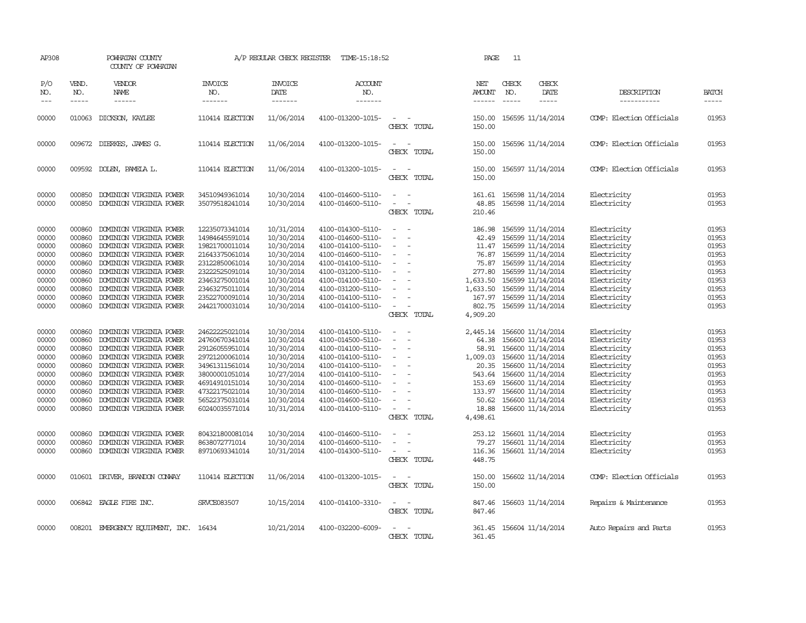| AP308                                                                                                                                                 |                                                                                                                                                                        | POWHATAN COUNTY<br>COUNTY OF POWHATAN                                                                                                                                                                                                                                                                                                                                                                                                                                   |                                                                                                                                                                                                                                                                                                                | A/P REGULAR CHECK REGISTER                                                                                                                                                                                                                 | TIME-15:18:52                                                                                                                                                                                                                                                                                                                                                     |                                                                                                                                                                                                                                                                     | PAGE                                                                                                                                                              | 11                            |                                                                                                                                                                                                                                                                                                                                                                               |                                                                                                                                                                                                                                                             |                                                                                                                                                       |
|-------------------------------------------------------------------------------------------------------------------------------------------------------|------------------------------------------------------------------------------------------------------------------------------------------------------------------------|-------------------------------------------------------------------------------------------------------------------------------------------------------------------------------------------------------------------------------------------------------------------------------------------------------------------------------------------------------------------------------------------------------------------------------------------------------------------------|----------------------------------------------------------------------------------------------------------------------------------------------------------------------------------------------------------------------------------------------------------------------------------------------------------------|--------------------------------------------------------------------------------------------------------------------------------------------------------------------------------------------------------------------------------------------|-------------------------------------------------------------------------------------------------------------------------------------------------------------------------------------------------------------------------------------------------------------------------------------------------------------------------------------------------------------------|---------------------------------------------------------------------------------------------------------------------------------------------------------------------------------------------------------------------------------------------------------------------|-------------------------------------------------------------------------------------------------------------------------------------------------------------------|-------------------------------|-------------------------------------------------------------------------------------------------------------------------------------------------------------------------------------------------------------------------------------------------------------------------------------------------------------------------------------------------------------------------------|-------------------------------------------------------------------------------------------------------------------------------------------------------------------------------------------------------------------------------------------------------------|-------------------------------------------------------------------------------------------------------------------------------------------------------|
| P/O<br>NO.<br>$---$                                                                                                                                   | VEND.<br>NO.<br>$- - - - -$                                                                                                                                            | VENDOR<br><b>NAME</b><br>$- - - - - -$                                                                                                                                                                                                                                                                                                                                                                                                                                  | <b>INVOICE</b><br>NO.<br>-------                                                                                                                                                                                                                                                                               | <b>INVOICE</b><br>DATE<br>-------                                                                                                                                                                                                          | <b>ACCOUNT</b><br>NO.<br>-------                                                                                                                                                                                                                                                                                                                                  |                                                                                                                                                                                                                                                                     | NET<br>AMOUNT<br>$- - - - - -$                                                                                                                                    | CHECK<br>NO.<br>$\frac{1}{2}$ | CHECK<br>DATE<br>$- - - - -$                                                                                                                                                                                                                                                                                                                                                  | DESCRIPTION<br>-----------                                                                                                                                                                                                                                  | <b>BATCH</b><br>$- - - - -$                                                                                                                           |
| 00000                                                                                                                                                 | 010063                                                                                                                                                                 | DICKSON, KAYLEE                                                                                                                                                                                                                                                                                                                                                                                                                                                         | 110414 ELECTION                                                                                                                                                                                                                                                                                                | 11/06/2014                                                                                                                                                                                                                                 | 4100-013200-1015-                                                                                                                                                                                                                                                                                                                                                 | CHECK TOTAL                                                                                                                                                                                                                                                         | 150.00<br>150.00                                                                                                                                                  |                               | 156595 11/14/2014                                                                                                                                                                                                                                                                                                                                                             | COMP: Election Officials                                                                                                                                                                                                                                    | 01953                                                                                                                                                 |
| 00000                                                                                                                                                 | 009672                                                                                                                                                                 | DIERKES, JAMES G.                                                                                                                                                                                                                                                                                                                                                                                                                                                       | 110414 ELECTION                                                                                                                                                                                                                                                                                                | 11/06/2014                                                                                                                                                                                                                                 | 4100-013200-1015-                                                                                                                                                                                                                                                                                                                                                 | $\overline{\phantom{a}}$<br>CHECK TOTAL                                                                                                                                                                                                                             | 150.00<br>150.00                                                                                                                                                  |                               | 156596 11/14/2014                                                                                                                                                                                                                                                                                                                                                             | COMP: Election Officials                                                                                                                                                                                                                                    | 01953                                                                                                                                                 |
| 00000                                                                                                                                                 |                                                                                                                                                                        | 009592 DOLEN, PAMELA L.                                                                                                                                                                                                                                                                                                                                                                                                                                                 | 110414 ELECTION                                                                                                                                                                                                                                                                                                | 11/06/2014                                                                                                                                                                                                                                 | 4100-013200-1015-                                                                                                                                                                                                                                                                                                                                                 | $\sim$<br>CHECK TOTAL                                                                                                                                                                                                                                               | 150.00<br>150.00                                                                                                                                                  |                               | 156597 11/14/2014                                                                                                                                                                                                                                                                                                                                                             | COMP: Election Officials                                                                                                                                                                                                                                    | 01953                                                                                                                                                 |
| 00000                                                                                                                                                 | 000850                                                                                                                                                                 | DOMINION VIRGINIA POWER                                                                                                                                                                                                                                                                                                                                                                                                                                                 | 34510949361014                                                                                                                                                                                                                                                                                                 | 10/30/2014                                                                                                                                                                                                                                 | 4100-014600-5110-                                                                                                                                                                                                                                                                                                                                                 | $\sim$<br>$\sim$                                                                                                                                                                                                                                                    | 161.61                                                                                                                                                            |                               | 156598 11/14/2014                                                                                                                                                                                                                                                                                                                                                             | Electricity                                                                                                                                                                                                                                                 | 01953                                                                                                                                                 |
| 00000                                                                                                                                                 | 000850                                                                                                                                                                 | DOMINION VIRGINIA POWER                                                                                                                                                                                                                                                                                                                                                                                                                                                 | 35079518241014                                                                                                                                                                                                                                                                                                 | 10/30/2014                                                                                                                                                                                                                                 | 4100-014600-5110-                                                                                                                                                                                                                                                                                                                                                 | $\sim$<br>$\overline{\phantom{a}}$<br>CHECK TOTAL                                                                                                                                                                                                                   | 48.85<br>210.46                                                                                                                                                   |                               | 156598 11/14/2014                                                                                                                                                                                                                                                                                                                                                             | Electricity                                                                                                                                                                                                                                                 | 01953                                                                                                                                                 |
| 00000<br>00000<br>00000<br>00000<br>00000<br>00000<br>00000<br>00000<br>00000<br>00000<br>00000<br>00000<br>00000<br>00000<br>00000<br>00000<br>00000 | 000860<br>000860<br>000860<br>000860<br>000860<br>000860<br>000860<br>000860<br>000860<br>000860<br>000860<br>000860<br>000860<br>000860<br>000860<br>000860<br>000860 | DOMINION VIRGINIA POWER<br>DOMINION VIRGINIA POWER<br>DOMINION VIRGINIA POWER<br>DOMINION VIRGINIA POWER<br>DOMINION VIRGINIA POWER<br>DOMINION VIRGINIA POWER<br>DOMINION VIRGINIA POWER<br>DOMINION VIRGINIA POWER<br>DOMINION VIRGINIA POWER<br>DOMINION VIRGINIA POWER<br>DOMINION VIRGINIA POWER<br>DOMINION VIRGINIA POWER<br>DOMINION VIRGINIA POWER<br>DOMINION VIRGINIA POWER<br>DOMINION VIRGINIA POWER<br>DOMINION VIRGINIA POWER<br>DOMINION VIRGINIA POWER | 12235073341014<br>14984645591014<br>19821700011014<br>21643375061014<br>23122850061014<br>23222525091014<br>23463275001014<br>23463275011014<br>23522700091014<br>24421700031014<br>24622225021014<br>24760670341014<br>29126055951014<br>29721200061014<br>34961311561014<br>38000001051014<br>46914910151014 | 10/31/2014<br>10/30/2014<br>10/30/2014<br>10/30/2014<br>10/30/2014<br>10/30/2014<br>10/30/2014<br>10/30/2014<br>10/30/2014<br>10/30/2014<br>10/30/2014<br>10/30/2014<br>10/30/2014<br>10/30/2014<br>10/30/2014<br>10/27/2014<br>10/30/2014 | 4100-014300-5110-<br>4100-014600-5110-<br>4100-014100-5110-<br>4100-014600-5110-<br>4100-014100-5110-<br>4100-031200-5110-<br>4100-014100-5110-<br>4100-031200-5110-<br>4100-014100-5110-<br>4100-014100-5110-<br>4100-014100-5110-<br>4100-014500-5110-<br>4100-014100-5110-<br>4100-014100-5110-<br>4100-014100-5110-<br>4100-014100-5110-<br>4100-014600-5110- | $\equiv$<br>$\equiv$<br>$\sim$<br>$\overline{\phantom{a}}$<br>$\sim$<br>$\overline{\phantom{a}}$<br>$\equiv$<br>$\sim$<br>CHECK TOTAL<br>$\sim$<br>$\sim$<br>$\equiv$<br>$\overline{\phantom{a}}$<br>$\sim$<br>$\overline{\phantom{a}}$<br>$\overline{\phantom{a}}$ | 186.98<br>42.49<br>76.87<br>75.87<br>277.80<br>1,633.50<br>1,633.50<br>167.97<br>802.75<br>4,909.20<br>2,445.14<br>64.38<br>58.91<br>1,009.03<br>543.64<br>153.69 |                               | 156599 11/14/2014<br>156599 11/14/2014<br>11.47 156599 11/14/2014<br>156599 11/14/2014<br>156599 11/14/2014<br>156599 11/14/2014<br>156599 11/14/2014<br>156599 11/14/2014<br>156599 11/14/2014<br>156599 11/14/2014<br>156600 11/14/2014<br>156600 11/14/2014<br>156600 11/14/2014<br>156600 11/14/2014<br>20.35 156600 11/14/2014<br>156600 11/14/2014<br>156600 11/14/2014 | Electricity<br>Electricity<br>Electricity<br>Electricity<br>Electricity<br>Electricity<br>Electricity<br>Electricity<br>Electricity<br>Electricity<br>Electricity<br>Electricity<br>Electricity<br>Electricity<br>Electricity<br>Electricity<br>Electricity | 01953<br>01953<br>01953<br>01953<br>01953<br>01953<br>01953<br>01953<br>01953<br>01953<br>01953<br>01953<br>01953<br>01953<br>01953<br>01953<br>01953 |
| 00000<br>00000<br>00000                                                                                                                               | 000860<br>000860<br>000860                                                                                                                                             | DOMINION VIRGINIA POWER<br>DOMINION VIRGINIA POWER<br>DOMINION VIRGINIA POWER                                                                                                                                                                                                                                                                                                                                                                                           | 47322175021014<br>56522375031014<br>60240035571014                                                                                                                                                                                                                                                             | 10/30/2014<br>10/30/2014<br>10/31/2014                                                                                                                                                                                                     | 4100-014600-5110-<br>4100-014600-5110-<br>4100-014100-5110-                                                                                                                                                                                                                                                                                                       | $\sim$<br>$\equiv$<br>CHECK TOTAL                                                                                                                                                                                                                                   | 133.97<br>50.62<br>18.88<br>4,498.61                                                                                                                              |                               | 156600 11/14/2014<br>156600 11/14/2014<br>156600 11/14/2014                                                                                                                                                                                                                                                                                                                   | Electricity<br>Electricity<br>Electricity                                                                                                                                                                                                                   | 01953<br>01953<br>01953                                                                                                                               |
| 00000<br>00000<br>00000                                                                                                                               | 000860<br>000860<br>000860                                                                                                                                             | DOMINION VIRGINIA POWER<br>DOMINION VIRGINIA POWER<br>DOMINION VIRGINIA POWER                                                                                                                                                                                                                                                                                                                                                                                           | 804321800081014<br>8638072771014<br>89710693341014                                                                                                                                                                                                                                                             | 10/30/2014<br>10/30/2014<br>10/31/2014                                                                                                                                                                                                     | 4100-014600-5110-<br>4100-014600-5110-<br>4100-014300-5110-                                                                                                                                                                                                                                                                                                       | $\sim$<br>$\equiv$<br>$\sim$ $-$<br>CHECK TOTAL                                                                                                                                                                                                                     | 253.12<br>79.27<br>116.36<br>448.75                                                                                                                               |                               | 156601 11/14/2014<br>156601 11/14/2014<br>156601 11/14/2014                                                                                                                                                                                                                                                                                                                   | Electricity<br>Electricity<br>Electricity                                                                                                                                                                                                                   | 01953<br>01953<br>01953                                                                                                                               |
| 00000                                                                                                                                                 |                                                                                                                                                                        | 010601 DRIVER, BRANDON CONVAY                                                                                                                                                                                                                                                                                                                                                                                                                                           | 110414 ELECTION                                                                                                                                                                                                                                                                                                | 11/06/2014                                                                                                                                                                                                                                 | 4100-013200-1015-                                                                                                                                                                                                                                                                                                                                                 | $\frac{1}{2} \left( \frac{1}{2} \right) \left( \frac{1}{2} \right) \left( \frac{1}{2} \right) \left( \frac{1}{2} \right)$<br>CHECK TOTAL                                                                                                                            | 150.00<br>150.00                                                                                                                                                  |                               | 156602 11/14/2014                                                                                                                                                                                                                                                                                                                                                             | COMP: Election Officials                                                                                                                                                                                                                                    | 01953                                                                                                                                                 |
| 00000                                                                                                                                                 |                                                                                                                                                                        | 006842 EAGLE FIRE INC.                                                                                                                                                                                                                                                                                                                                                                                                                                                  | SRVCE083507                                                                                                                                                                                                                                                                                                    | 10/15/2014                                                                                                                                                                                                                                 | 4100-014100-3310-                                                                                                                                                                                                                                                                                                                                                 | $\frac{1}{2} \left( \frac{1}{2} \right) \left( \frac{1}{2} \right) = \frac{1}{2} \left( \frac{1}{2} \right)$<br>CHECK TOTAL                                                                                                                                         | 847.46<br>847.46                                                                                                                                                  |                               | 156603 11/14/2014                                                                                                                                                                                                                                                                                                                                                             | Repairs & Maintenance                                                                                                                                                                                                                                       | 01953                                                                                                                                                 |
| 00000                                                                                                                                                 |                                                                                                                                                                        | 008201 EMERGENCY EQUIPMENT, INC. 16434                                                                                                                                                                                                                                                                                                                                                                                                                                  |                                                                                                                                                                                                                                                                                                                | 10/21/2014                                                                                                                                                                                                                                 | 4100-032200-6009-                                                                                                                                                                                                                                                                                                                                                 | $\sim$<br>CHECK TOTAL                                                                                                                                                                                                                                               | 361.45<br>361.45                                                                                                                                                  |                               | 156604 11/14/2014                                                                                                                                                                                                                                                                                                                                                             | Auto Repairs and Parts                                                                                                                                                                                                                                      | 01953                                                                                                                                                 |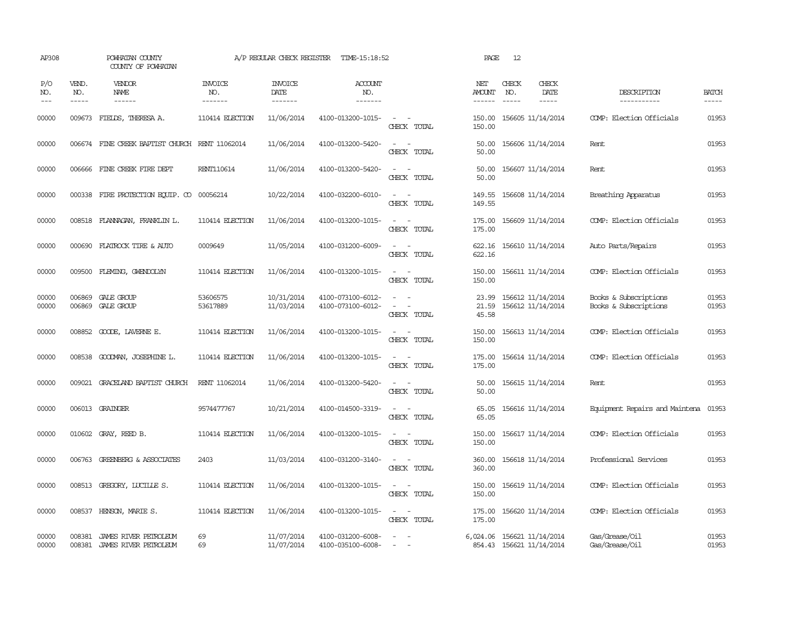| AP308                 |                               | POWHATAN COUNTY<br>COUNTY OF POWHATAN          |                                   | A/P REGULAR CHECK REGISTER         | TIME-15:18:52                          |                                                            | PAGE                           | 12                                                     |                                |                                                |                       |
|-----------------------|-------------------------------|------------------------------------------------|-----------------------------------|------------------------------------|----------------------------------------|------------------------------------------------------------|--------------------------------|--------------------------------------------------------|--------------------------------|------------------------------------------------|-----------------------|
| P/O<br>NO.<br>$- - -$ | VEND.<br>NO.<br>$\frac{1}{2}$ | <b>VENDOR</b><br>NAME<br>$- - - - - -$         | <b>INVOICE</b><br>NO.<br>-------- | <b>INVOICE</b><br>DATE<br>-------- | <b>ACCOUNT</b><br>NO.<br>-------       |                                                            | NET<br>AMOUNT<br>$- - - - - -$ | CHECK<br>NO.<br>$\frac{1}{2}$                          | CHECK<br>DATE<br>$\frac{1}{2}$ | DESCRIPTION<br>-----------                     | <b>BATCH</b><br>----- |
| 00000                 | 009673                        | FIEIDS, THERESA A.                             | 110414 ELECTION                   | 11/06/2014                         | 4100-013200-1015-                      | $\omega_{\rm{max}}$ and $\omega_{\rm{max}}$<br>CHECK TOTAL | 150.00<br>150.00               | 156605 11/14/2014                                      |                                | COMP: Election Officials                       | 01953                 |
| 00000                 |                               | 006674 FINE CREEK BAPITST CHURCH RENT 11062014 |                                   | 11/06/2014                         | 4100-013200-5420-                      | $\sim$<br>$\sim$<br>CHECK TOTAL                            | 50.00<br>50.00                 | 156606 11/14/2014                                      |                                | Rent                                           | 01953                 |
| 00000                 |                               | 006666 FINE CREEK FIRE DEPT                    | RENT110614                        | 11/06/2014                         | 4100-013200-5420-                      | $\equiv$<br>$\sim$<br>CHECK TOTAL                          | 50.00<br>50.00                 | 156607 11/14/2014                                      |                                | Rent                                           | 01953                 |
| 00000                 |                               | 000338 FIRE PROTECTION EQUIP. CO               | 00056214                          | 10/22/2014                         | 4100-032200-6010-                      | $\sim$ $ \sim$<br>CHECK TOTAL                              | 149.55<br>149.55               | 156608 11/14/2014                                      |                                | Breathing Apparatus                            | 01953                 |
| 00000                 |                               | 008518 FLANNAGAN, FRANKLIN L.                  | 110414 ELECTION                   | 11/06/2014                         | 4100-013200-1015-                      | $\omega_{\rm{max}}$ , $\omega_{\rm{max}}$<br>CHECK TOTAL   | 175.00<br>175.00               | 156609 11/14/2014                                      |                                | COMP: Election Officials                       | 01953                 |
| 00000                 | 000690                        | FLATROCK TIRE & AUTO                           | 0009649                           | 11/05/2014                         | 4100-031200-6009-                      | $\overline{a}$<br>$\overline{\phantom{a}}$<br>CHECK TOTAL  | 622.16                         | 622.16 156610 11/14/2014                               |                                | Auto Parts/Repairs                             | 01953                 |
| 00000                 |                               | 009500 FLEMING, GWENDOLYN                      | 110414 ELECTION                   | 11/06/2014                         | 4100-013200-1015-                      | CHECK TOTAL                                                | 150.00<br>150.00               | 156611 11/14/2014                                      |                                | COMP: Election Officials                       | 01953                 |
| 00000<br>00000        | 006869                        | GALE GROUP<br>006869 GALE GROUP                | 53606575<br>53617889              | 10/31/2014<br>11/03/2014           | 4100-073100-6012-<br>4100-073100-6012- | $\equiv$<br>CHECK TOTAL                                    | 23.99<br>21.59<br>45.58        | 156612 11/14/2014<br>156612 11/14/2014                 |                                | Books & Subscriptions<br>Books & Subscriptions | 01953<br>01953        |
| 00000                 | 008852                        | GOODE, LAVERNE E.                              | 110414 ELECTION                   | 11/06/2014                         | 4100-013200-1015-                      | CHECK TOTAL                                                | 150.00<br>150.00               | 156613 11/14/2014                                      |                                | COMP: Election Officials                       | 01953                 |
| 00000                 | 008538                        | GOODWAN, JOSEPHINE L.                          | 110414 ELECTION                   | 11/06/2014                         | 4100-013200-1015-                      | $\equiv$<br>CHECK TOTAL                                    | 175.00<br>175.00               | 156614 11/14/2014                                      |                                | COMP: Election Officials                       | 01953                 |
| 00000                 | 009021                        | GRACELAND BAPTIST CHURCH                       | RENT 11062014                     | 11/06/2014                         | 4100-013200-5420-                      | $\equiv$<br>CHECK TOTAL                                    | 50.00<br>50.00                 | 156615 11/14/2014                                      |                                | Rent                                           | 01953                 |
| 00000                 |                               | 006013 GRAINGER                                | 9574477767                        | 10/21/2014                         | 4100-014500-3319-                      | $\sim$<br>CHECK TOTAL                                      | 65.05<br>65.05                 | 156616 11/14/2014                                      |                                | Equipment Repairs and Maintena                 | 01953                 |
| 00000                 |                               | 010602 GRAY, REED B.                           | 110414 ELECTION                   | 11/06/2014                         | 4100-013200-1015-                      | $\overline{\phantom{a}}$<br>$\sim$<br>CHECK TOTAL          | 150.00<br>150.00               | 156617 11/14/2014                                      |                                | COMP: Election Officials                       | 01953                 |
| 00000                 |                               | 006763 GREENBERG & ASSOCIATES                  | 2403                              | 11/03/2014                         | 4100-031200-3140-                      | $\equiv$<br>$\sim$<br>CHECK TOTAL                          | 360.00<br>360.00               | 156618 11/14/2014                                      |                                | Professional Services                          | 01953                 |
| 00000                 |                               | 008513 GREGORY, LUCILLE S.                     | 110414 ELECTION                   | 11/06/2014                         | 4100-013200-1015-                      | $\sim$ $ \sim$<br>CHECK TOTAL                              | 150.00<br>150.00               | 156619 11/14/2014                                      |                                | COMP: Election Officials                       | 01953                 |
| 00000                 |                               | 008537 HENSON, MARIE S.                        | 110414 ELECTION                   | 11/06/2014                         | 4100-013200-1015-                      | $\sim$ $\sim$<br>CHECK TOTAL                               | 175.00<br>175.00               | 156620 11/14/2014                                      |                                | COMP: Election Officials                       | 01953                 |
| 00000<br>00000        | 008381<br>008381              | JAMES RIVER PETROLEUM<br>JAMES RIVER PETROLEUM | 69<br>69                          | 11/07/2014<br>11/07/2014           | 4100-031200-6008-<br>4100-035100-6008- | $\sim$                                                     |                                | 6,024.06 156621 11/14/2014<br>854.43 156621 11/14/2014 |                                | Gas/Grease/Oil<br>Gas/Grease/Oil               | 01953<br>01953        |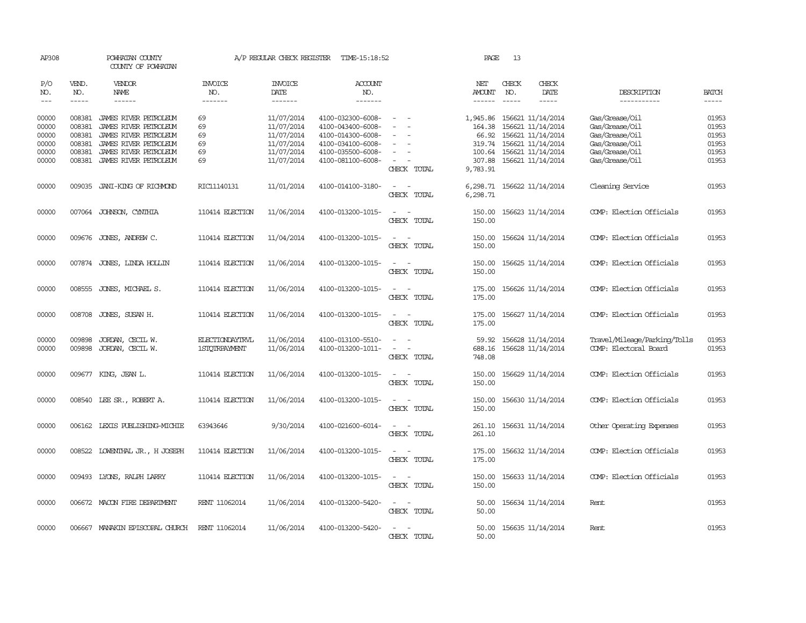| AP308                                                                                                                                                                                                                                                                                                                                                                                                      |                             | POWHATAN COUNTY<br>COUNTY OF POWHATAN |                                  | A/P REGULAR CHECK REGISTER        | TIME-15:18:52             |                                 | PAGE                           | 13                            |                              |                              |                             |
|------------------------------------------------------------------------------------------------------------------------------------------------------------------------------------------------------------------------------------------------------------------------------------------------------------------------------------------------------------------------------------------------------------|-----------------------------|---------------------------------------|----------------------------------|-----------------------------------|---------------------------|---------------------------------|--------------------------------|-------------------------------|------------------------------|------------------------------|-----------------------------|
| P/O<br>NO.<br>$\frac{1}{2} \frac{1}{2} \frac{1}{2} \frac{1}{2} \frac{1}{2} \frac{1}{2} \frac{1}{2} \frac{1}{2} \frac{1}{2} \frac{1}{2} \frac{1}{2} \frac{1}{2} \frac{1}{2} \frac{1}{2} \frac{1}{2} \frac{1}{2} \frac{1}{2} \frac{1}{2} \frac{1}{2} \frac{1}{2} \frac{1}{2} \frac{1}{2} \frac{1}{2} \frac{1}{2} \frac{1}{2} \frac{1}{2} \frac{1}{2} \frac{1}{2} \frac{1}{2} \frac{1}{2} \frac{1}{2} \frac{$ | VEND.<br>NO.<br>$- - - - -$ | <b>VENDOR</b><br>NAME<br>------       | <b>INVOICE</b><br>NO.<br>------- | <b>INVOICE</b><br>DATE<br>------- | ACCOUNT<br>NO.<br>------- |                                 | NET<br>AMOUNT<br>$- - - - - -$ | CHECK<br>NO.<br>$\frac{1}{2}$ | CHECK<br>DATE<br>$- - - - -$ | DESCRIPTION<br>-----------   | <b>BATCH</b><br>$- - - - -$ |
| 00000                                                                                                                                                                                                                                                                                                                                                                                                      | 008381                      | JAMES RIVER PETROLEUM                 | 69                               | 11/07/2014                        | 4100-032300-6008-         | $\sim$                          | 1,945.86                       |                               | 156621 11/14/2014            | Gas/Grease/Oil               | 01953                       |
| 00000                                                                                                                                                                                                                                                                                                                                                                                                      | 008381                      | JAMES RIVER PETROLEUM                 | 69                               | 11/07/2014                        | 4100-043400-6008-         |                                 | 164.38                         |                               | 156621 11/14/2014            | Gas/Grease/Oil               | 01953                       |
| 00000                                                                                                                                                                                                                                                                                                                                                                                                      | 008381                      | JAMES RIVER PETROLEUM                 | 69                               | 11/07/2014                        | 4100-014300-6008-         | $\sim$                          | 66.92                          |                               | 156621 11/14/2014            | Gas/Grease/Oil               | 01953                       |
| 00000                                                                                                                                                                                                                                                                                                                                                                                                      | 008381                      | JAMES RIVER PETROLEUM                 | 69                               | 11/07/2014                        | 4100-034100-6008-         | $\sim$                          |                                |                               | 319.74 156621 11/14/2014     | Gas/Grease/Oil               | 01953                       |
| 00000                                                                                                                                                                                                                                                                                                                                                                                                      | 008381                      | JAMES RIVER PETROLEUM                 | 69                               | 11/07/2014                        | 4100-035500-6008-         |                                 | 100.64                         |                               | 156621 11/14/2014            | Gas/Grease/Oil               | 01953                       |
| 00000                                                                                                                                                                                                                                                                                                                                                                                                      |                             | 008381 JAMES RIVER PETROLEUM          | 69                               | 11/07/2014                        | 4100-081100-6008-         | $\sim$                          | 307.88                         |                               | 156621 11/14/2014            | Gas/Grease/Oil               | 01953                       |
|                                                                                                                                                                                                                                                                                                                                                                                                            |                             |                                       |                                  |                                   |                           | CHECK TOTAL                     | 9,783.91                       |                               |                              |                              |                             |
| 00000                                                                                                                                                                                                                                                                                                                                                                                                      |                             | 009035 JANI-KING OF RICHMOND          | RIC11140131                      | 11/01/2014                        | 4100-014100-3180-         | $\sim$                          | 6,298.71                       |                               | 156622 11/14/2014            | Cleaning Service             | 01953                       |
|                                                                                                                                                                                                                                                                                                                                                                                                            |                             |                                       |                                  |                                   |                           | CHECK TOTAL                     | 6,298.71                       |                               |                              |                              |                             |
| 00000                                                                                                                                                                                                                                                                                                                                                                                                      |                             | 007064 JOHNSON, CYNTHIA               | 110414 ELECTION                  | 11/06/2014                        | 4100-013200-1015-         | $\sim$<br>$\sim$<br>CHECK TOTAL | 150.00<br>150.00               |                               | 156623 11/14/2014            | COMP: Election Officials     | 01953                       |
|                                                                                                                                                                                                                                                                                                                                                                                                            |                             |                                       |                                  |                                   |                           |                                 |                                |                               |                              |                              |                             |
| 00000                                                                                                                                                                                                                                                                                                                                                                                                      |                             | 009676 JONES, ANDREW C.               | 110414 ELECTION                  | 11/04/2014                        | 4100-013200-1015-         | $\sim$<br>$\sim$                | 150.00                         |                               | 156624 11/14/2014            | COMP: Election Officials     | 01953                       |
|                                                                                                                                                                                                                                                                                                                                                                                                            |                             |                                       |                                  |                                   |                           | CHECK TOTAL                     | 150.00                         |                               |                              |                              |                             |
| 00000                                                                                                                                                                                                                                                                                                                                                                                                      |                             | 007874 JONES, LINDA HOLLIN            | 110414 ELECTION                  | 11/06/2014                        | 4100-013200-1015-         | $\sim$                          | 150.00                         |                               | 156625 11/14/2014            | COMP: Election Officials     | 01953                       |
|                                                                                                                                                                                                                                                                                                                                                                                                            |                             |                                       |                                  |                                   |                           | CHECK TOTAL                     | 150.00                         |                               |                              |                              |                             |
| 00000                                                                                                                                                                                                                                                                                                                                                                                                      | 008555                      | JONES, MICHAEL S.                     | 110414 ELECTION                  | 11/06/2014                        | 4100-013200-1015-         | $\sim$<br>$\sim$                | 175.00                         |                               | 156626 11/14/2014            | COMP: Election Officials     | 01953                       |
|                                                                                                                                                                                                                                                                                                                                                                                                            |                             |                                       |                                  |                                   |                           | CHECK TOTAL                     | 175.00                         |                               |                              |                              |                             |
|                                                                                                                                                                                                                                                                                                                                                                                                            |                             |                                       |                                  |                                   |                           |                                 |                                |                               |                              |                              |                             |
| 00000                                                                                                                                                                                                                                                                                                                                                                                                      | 008708                      | JONES, SUSAN H.                       | 110414 ELECTION                  | 11/06/2014                        | 4100-013200-1015-         | $\sim$<br>$\sim$                | 175.00                         |                               | 156627 11/14/2014            | COMP: Election Officials     | 01953                       |
|                                                                                                                                                                                                                                                                                                                                                                                                            |                             |                                       |                                  |                                   |                           | CHECK TOTAL                     | 175.00                         |                               |                              |                              |                             |
| 00000                                                                                                                                                                                                                                                                                                                                                                                                      | 009898                      | JORDAN, CECIL W.                      | <b>ELECTIONDAYTRVL</b>           | 11/06/2014                        | 4100-013100-5510-         | $\sim$<br>$\sim$                | 59.92                          |                               | 156628 11/14/2014            | Travel/Mileage/Parking/Tolls | 01953                       |
| 00000                                                                                                                                                                                                                                                                                                                                                                                                      | 009898                      | JORDAN, CECIL W.                      | <b>1STOTRPAYMENT</b>             | 11/06/2014                        | 4100-013200-1011-         | $\sim$<br>$\sim$                | 688.16                         |                               | 156628 11/14/2014            | COMP: Electoral Board        | 01953                       |
|                                                                                                                                                                                                                                                                                                                                                                                                            |                             |                                       |                                  |                                   |                           | CHECK TOTAL                     | 748.08                         |                               |                              |                              |                             |
|                                                                                                                                                                                                                                                                                                                                                                                                            |                             |                                       |                                  |                                   |                           |                                 |                                |                               |                              |                              |                             |
| 00000                                                                                                                                                                                                                                                                                                                                                                                                      |                             | 009677 KING, JEAN L.                  | 110414 ELECTION                  | 11/06/2014                        | 4100-013200-1015-         | $\sim$                          | 150.00                         |                               | 156629 11/14/2014            | COMP: Election Officials     | 01953                       |
|                                                                                                                                                                                                                                                                                                                                                                                                            |                             |                                       |                                  |                                   |                           | CHECK TOTAL                     | 150.00                         |                               |                              |                              |                             |
|                                                                                                                                                                                                                                                                                                                                                                                                            |                             |                                       |                                  |                                   |                           |                                 |                                |                               |                              |                              |                             |
| 00000                                                                                                                                                                                                                                                                                                                                                                                                      |                             | 008540 LEE SR., ROBERT A.             | 110414 ELECTION                  | 11/06/2014                        | 4100-013200-1015-         | $\sim$<br>$\sim$                | 150.00                         |                               | 156630 11/14/2014            | COMP: Election Officials     | 01953                       |
|                                                                                                                                                                                                                                                                                                                                                                                                            |                             |                                       |                                  |                                   |                           | CHECK TOTAL                     | 150.00                         |                               |                              |                              |                             |
|                                                                                                                                                                                                                                                                                                                                                                                                            |                             | 006162 LEXIS PUBLISHING-MICHIE        | 63943646                         | 9/30/2014                         | 4100-021600-6014-         | $\sim$<br>$\sim$                |                                |                               | 156631 11/14/2014            |                              | 01953                       |
| 00000                                                                                                                                                                                                                                                                                                                                                                                                      |                             |                                       |                                  |                                   |                           | CHECK TOTAL                     | 261.10<br>261.10               |                               |                              | Other Operating Expenses     |                             |
|                                                                                                                                                                                                                                                                                                                                                                                                            |                             |                                       |                                  |                                   |                           |                                 |                                |                               |                              |                              |                             |
| 00000                                                                                                                                                                                                                                                                                                                                                                                                      | 008522                      | LOWENTHAL JR., H JOSEPH               | 110414 ELECTION                  | 11/06/2014                        | 4100-013200-1015-         | $\sim$<br>$\sim$ $-$            | 175.00                         |                               | 156632 11/14/2014            | COMP: Election Officials     | 01953                       |
|                                                                                                                                                                                                                                                                                                                                                                                                            |                             |                                       |                                  |                                   |                           | CHECK TOTAL                     | 175.00                         |                               |                              |                              |                             |
|                                                                                                                                                                                                                                                                                                                                                                                                            |                             |                                       |                                  |                                   |                           |                                 |                                |                               |                              |                              |                             |
| 00000                                                                                                                                                                                                                                                                                                                                                                                                      |                             | 009493 LYONS, RALPH LARRY             | 110414 ELECTION                  | 11/06/2014                        | 4100-013200-1015-         | $\sim$<br>$\sim$                | 150.00                         |                               | 156633 11/14/2014            | COMP: Election Officials     | 01953                       |
|                                                                                                                                                                                                                                                                                                                                                                                                            |                             |                                       |                                  |                                   |                           | CHECK TOTAL                     | 150.00                         |                               |                              |                              |                             |
|                                                                                                                                                                                                                                                                                                                                                                                                            |                             |                                       |                                  |                                   |                           |                                 |                                |                               |                              |                              |                             |
| 00000                                                                                                                                                                                                                                                                                                                                                                                                      |                             | 006672 MACON FIRE DEPARTMENT          | RENT 11062014                    | 11/06/2014                        | 4100-013200-5420-         | $\sim$<br>$\sim$<br>CHECK TOTAL | 50.00<br>50.00                 |                               | 156634 11/14/2014            | Rent                         | 01953                       |
|                                                                                                                                                                                                                                                                                                                                                                                                            |                             |                                       |                                  |                                   |                           |                                 |                                |                               |                              |                              |                             |
| 00000                                                                                                                                                                                                                                                                                                                                                                                                      |                             | 006667 MANAKIN EPISCOPAL CHURCH       | RENT 11062014                    | 11/06/2014                        | 4100-013200-5420-         | $\equiv$<br>$\sim$              | 50.00                          |                               | 156635 11/14/2014            | Rent                         | 01953                       |
|                                                                                                                                                                                                                                                                                                                                                                                                            |                             |                                       |                                  |                                   |                           | CHECK TOTAL                     | 50.00                          |                               |                              |                              |                             |
|                                                                                                                                                                                                                                                                                                                                                                                                            |                             |                                       |                                  |                                   |                           |                                 |                                |                               |                              |                              |                             |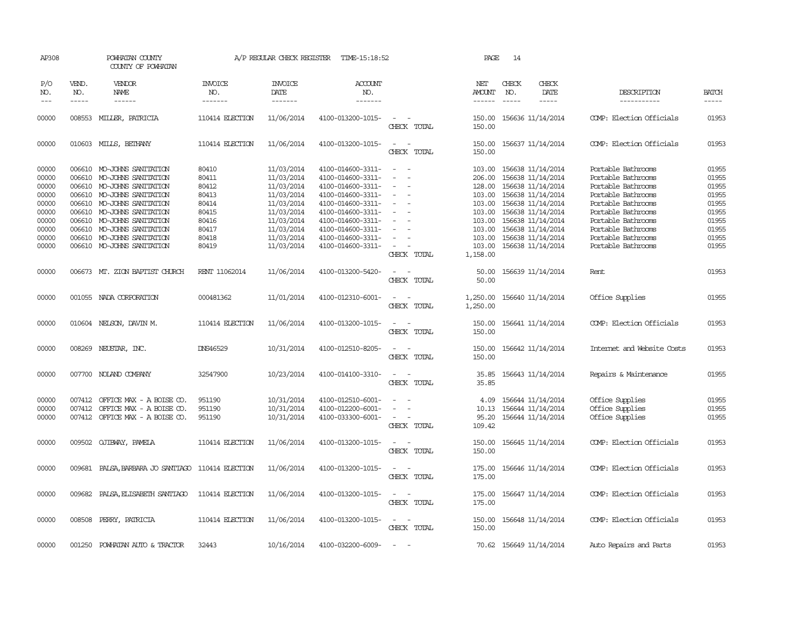| AP308               |                             | POWHATAN COUNTY<br>COUNTY OF POWHATAN             |                           | A/P REGULAR CHECK REGISTER        | TIME-15:18:52                    |                                                      | PAGE                           | 14                          |                              |                            |                       |
|---------------------|-----------------------------|---------------------------------------------------|---------------------------|-----------------------------------|----------------------------------|------------------------------------------------------|--------------------------------|-----------------------------|------------------------------|----------------------------|-----------------------|
| P/O<br>NO.<br>$---$ | VEND.<br>NO.<br>$- - - - -$ | VENDOR<br><b>NAME</b><br>$- - - - - -$            | INVOICE<br>NO.<br>------- | <b>INVOICE</b><br>DATE<br>------- | <b>ACCOUNT</b><br>NO.<br>------- |                                                      | NET<br>AMOUNT<br>$- - - - - -$ | CHECK<br>NO.<br>$- - - - -$ | CHECK<br>DATE<br>$- - - - -$ | DESCRIPTION<br>----------- | <b>BATCH</b><br>----- |
| 00000               | 008553                      | MILLER, PATRICIA                                  | 110414 ELECTION           | 11/06/2014                        | 4100-013200-1015-                | $\overline{\phantom{a}}$                             | 150.00                         |                             | 156636 11/14/2014            | COMP: Election Officials   | 01953                 |
|                     |                             |                                                   |                           |                                   |                                  | CHECK TOTAL                                          | 150.00                         |                             |                              |                            |                       |
| 00000               |                             | 010603 MILLS, BETHANY                             | 110414 ELECTION           | 11/06/2014                        | 4100-013200-1015-                | $\sim$<br>$\sim$<br>CHECK TOTAL                      | 150.00<br>150.00               |                             | 156637 11/14/2014            | COMP: Election Officials   | 01953                 |
| 00000               |                             | 006610 MO-JOHNS SANITATION                        | 80410                     | 11/03/2014                        | 4100-014600-3311-                | $\sim$<br>$\overline{\phantom{a}}$                   | 103.00                         |                             | 156638 11/14/2014            | Portable Bathrooms         | 01955                 |
| 00000               | 006610                      | MO-JOHNS SANITATION                               | 80411                     | 11/03/2014                        | 4100-014600-3311-                | $\equiv$                                             | 206.00                         |                             | 156638 11/14/2014            | Portable Bathrooms         | 01955                 |
| 00000               |                             | 006610 MO-JOHNS SANITATION                        | 80412                     | 11/03/2014                        | 4100-014600-3311-                |                                                      | 128.00                         |                             | 156638 11/14/2014            | Portable Bathrooms         | 01955                 |
| 00000               |                             | 006610 MO-JOHNS SANITATION                        | 80413                     | 11/03/2014                        | 4100-014600-3311-                | $\equiv$                                             | 103.00                         |                             | 156638 11/14/2014            | Portable Bathrooms         | 01955                 |
| 00000               |                             | 006610 MO-JOHNS SANITATION                        | 80414                     | 11/03/2014                        | 4100-014600-3311-                | $\equiv$                                             | 103.00                         |                             | 156638 11/14/2014            | Portable Bathrooms         | 01955                 |
| 00000               |                             | 006610 MO-JOHNS SANITATION                        | 80415                     | 11/03/2014                        | 4100-014600-3311-                |                                                      | 103.00                         |                             | 156638 11/14/2014            | Portable Bathrooms         | 01955                 |
| 00000               |                             | 006610 MO-JOHNS SANITATION                        | 80416                     | 11/03/2014                        | 4100-014600-3311-                |                                                      | 103.00                         |                             | 156638 11/14/2014            | Portable Bathrooms         | 01955                 |
| 00000               |                             | 006610 MO-JOHNS SANITATION                        | 80417                     | 11/03/2014                        | 4100-014600-3311-                | $\overline{\phantom{a}}$                             | 103.00                         |                             | 156638 11/14/2014            | Portable Bathrooms         | 01955                 |
| 00000               |                             | 006610 MO-JOHNS SANITATION                        | 80418                     | 11/03/2014                        | 4100-014600-3311-                |                                                      | 103.00                         |                             | 156638 11/14/2014            | Portable Bathrooms         | 01955                 |
| 00000               |                             | 006610 MO-JOHNS SANITATION                        | 80419                     | 11/03/2014                        | 4100-014600-3311-                | $\overline{\phantom{a}}$                             | 103.00                         |                             | 156638 11/14/2014            | Portable Bathrooms         | 01955                 |
|                     |                             |                                                   |                           |                                   |                                  | CHECK TOTAL                                          | 1,158.00                       |                             |                              |                            |                       |
| 00000               |                             | 006673 MT. ZION BAPTIST CHURCH                    | RENT 11062014             | 11/06/2014                        | 4100-013200-5420-                |                                                      | 50.00                          |                             | 156639 11/14/2014            | Rent                       | 01953                 |
|                     |                             |                                                   |                           |                                   |                                  | CHECK TOTAL                                          | 50.00                          |                             |                              |                            |                       |
| 00000               |                             | 001055 NADA CORPORATION                           | 000481362                 | 11/01/2014                        | 4100-012310-6001-                | $\overline{\phantom{a}}$<br>$\sim$                   | 1,250.00                       |                             | 156640 11/14/2014            | Office Supplies            | 01955                 |
|                     |                             |                                                   |                           |                                   |                                  | CHECK TOTAL                                          | 1,250.00                       |                             |                              |                            |                       |
| 00000               |                             | 010604 NELSON, DAVIN M.                           | 110414 ELECTION           | 11/06/2014                        | 4100-013200-1015-                | $\sim$<br>. —                                        | 150.00                         |                             | 156641 11/14/2014            | COMP: Election Officials   | 01953                 |
|                     |                             |                                                   |                           |                                   |                                  | CHECK TOTAL                                          | 150.00                         |                             |                              |                            |                       |
| 00000               |                             | 008269 NEUSTAR, INC.                              | <b>DNS46529</b>           | 10/31/2014                        | 4100-012510-8205-                | $\sim$                                               | 150.00                         |                             | 156642 11/14/2014            | Internet and Website Costs | 01953                 |
|                     |                             |                                                   |                           |                                   |                                  | CHECK TOTAL                                          | 150.00                         |                             |                              |                            |                       |
| 00000               |                             | 007700 NOLAND COMPANY                             | 32547900                  | 10/23/2014                        | 4100-014100-3310-                | $\sim$<br>. —                                        | 35.85                          |                             | 156643 11/14/2014            | Repairs & Maintenance      | 01955                 |
|                     |                             |                                                   |                           |                                   |                                  | CHECK TOTAL                                          | 35.85                          |                             |                              |                            |                       |
| 00000               | 007412                      | OFFICE MAX - A BOISE CO.                          | 951190                    | 10/31/2014                        | 4100-012510-6001-                |                                                      | 4.09                           |                             | 156644 11/14/2014            | Office Supplies            | 01955                 |
| 00000               | 007412                      | OFFICE MAX - A BOISE CO.                          | 951190                    | 10/31/2014                        | 4100-012200-6001-                | $\overline{\phantom{a}}$<br>$\equiv$                 | 10.13                          |                             | 156644 11/14/2014            | Office Supplies            | 01955                 |
| 00000               |                             | 007412 OFFICE MAX - A BOISE CO.                   | 951190                    | 10/31/2014                        | 4100-033300-6001-                | $\overline{\phantom{a}}$                             | 95.20                          |                             | 156644 11/14/2014            | Office Supplies            | 01955                 |
|                     |                             |                                                   |                           |                                   |                                  | CHECK TOTAL                                          | 109.42                         |                             |                              |                            |                       |
| 00000               |                             | 009502 QJIBWAY, PAMELA                            | 110414 ELECTION           | 11/06/2014                        | 4100-013200-1015-                | $\equiv$<br>. —                                      | 150.00                         |                             | 156645 11/14/2014            | COMP: Election Officials   | 01953                 |
|                     |                             |                                                   |                           |                                   |                                  | CHECK TOTAL                                          | 150.00                         |                             |                              |                            |                       |
| 00000               |                             | 009681 PALSA, BARBARA JO SANTIAGO 110414 ELECTION |                           | 11/06/2014                        | 4100-013200-1015-                | $\sim$<br>$\sim$                                     | 175.00                         |                             | 156646 11/14/2014            | COMP: Election Officials   | 01953                 |
|                     |                             |                                                   |                           |                                   |                                  | CHECK TOTAL                                          | 175.00                         |                             |                              |                            |                       |
| 00000               |                             | 009682 PALSA, ELISABETH SANTIAGO                  | 110414 ELECTION           | 11/06/2014                        | 4100-013200-1015-                | $\overline{\phantom{a}}$<br>$\overline{\phantom{a}}$ | 175.00                         |                             | 156647 11/14/2014            | COMP: Election Officials   | 01953                 |
|                     |                             |                                                   |                           |                                   |                                  | CHECK TOTAL                                          | 175.00                         |                             |                              |                            |                       |
| 00000               |                             | 008508 PERRY, PATRICIA                            | 110414 ELECTION           | 11/06/2014                        | 4100-013200-1015-                | $\sim$ $\sim$                                        | 150.00                         |                             | 156648 11/14/2014            | COMP: Election Officials   | 01953                 |
|                     |                             |                                                   |                           |                                   |                                  | CHECK TOTAL                                          | 150.00                         |                             |                              |                            |                       |
|                     |                             |                                                   |                           |                                   |                                  |                                                      |                                |                             |                              |                            |                       |
| 00000               |                             | 001250 POWHATAN AUTO & TRACTOR                    | 32443                     | 10/16/2014                        | 4100-032200-6009-                | $\overline{a}$<br>$\overline{\phantom{a}}$           |                                |                             | 70.62 156649 11/14/2014      | Auto Repairs and Parts     | 01953                 |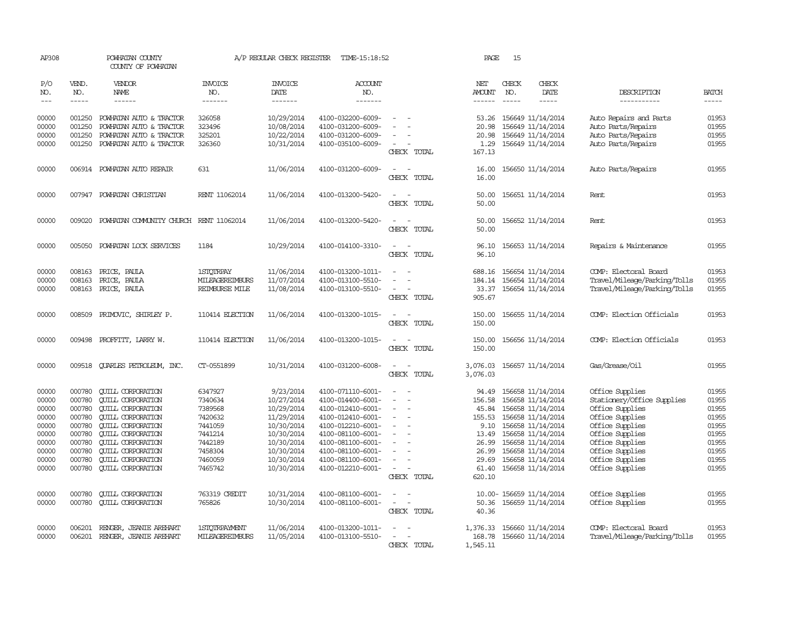| AP308                                                                                  |                                                                                                  | POWHATAN COUNTY<br>COUNTY OF POWHATAN                                                                                                                                                                                                                                                |                                                                                                            | A/P REGULAR CHECK REGISTER                                                                                                              | TIME-15:18:52                                                                                                                                                                                                  |                                                   | PAGE                                                                                              | 15            |                                                                                                                                                                                                                |                                                                                                                                                                                                       |                                                                                        |
|----------------------------------------------------------------------------------------|--------------------------------------------------------------------------------------------------|--------------------------------------------------------------------------------------------------------------------------------------------------------------------------------------------------------------------------------------------------------------------------------------|------------------------------------------------------------------------------------------------------------|-----------------------------------------------------------------------------------------------------------------------------------------|----------------------------------------------------------------------------------------------------------------------------------------------------------------------------------------------------------------|---------------------------------------------------|---------------------------------------------------------------------------------------------------|---------------|----------------------------------------------------------------------------------------------------------------------------------------------------------------------------------------------------------------|-------------------------------------------------------------------------------------------------------------------------------------------------------------------------------------------------------|----------------------------------------------------------------------------------------|
| P/O<br>NO.                                                                             | VEND.<br>NO.                                                                                     | <b>VENDOR</b><br>NAME                                                                                                                                                                                                                                                                | <b>INVOICE</b><br>NO.                                                                                      | <b>INVOICE</b><br>DATE                                                                                                                  | <b>ACCOUNT</b><br>NO.                                                                                                                                                                                          |                                                   | NET<br>AMOUNT                                                                                     | CHECK<br>NO.  | CHECK<br>DATE                                                                                                                                                                                                  | DESCRIPTION                                                                                                                                                                                           | <b>BATCH</b>                                                                           |
| $---$                                                                                  | $\frac{1}{2}$                                                                                    | $- - - - - -$                                                                                                                                                                                                                                                                        | -------                                                                                                    | --------                                                                                                                                | -------                                                                                                                                                                                                        |                                                   | $- - - - - -$                                                                                     | $\frac{1}{2}$ | -----                                                                                                                                                                                                          | -----------                                                                                                                                                                                           | $\frac{1}{2}$                                                                          |
| 00000<br>00000<br>00000<br>00000                                                       | 001250<br>001250<br>001250                                                                       | POWHATAN AUTO & TRACTOR<br>POWHATAN AUTO & TRACTOR<br>POWHATAN AUTO & TRACTOR<br>001250 POWHATAN AUTO & TRACTOR                                                                                                                                                                      | 326058<br>323496<br>325201<br>326360                                                                       | 10/29/2014<br>10/08/2014<br>10/22/2014<br>10/31/2014                                                                                    | 4100-032200-6009-<br>4100-031200-6009-<br>4100-031200-6009-<br>4100-035100-6009-                                                                                                                               | $\overline{\phantom{a}}$<br>CHECK TOTAL           | 53.26<br>20.98<br>20.98<br>1.29<br>167.13                                                         |               | 156649 11/14/2014<br>156649 11/14/2014<br>156649 11/14/2014<br>156649 11/14/2014                                                                                                                               | Auto Repairs and Parts<br>Auto Parts/Repairs<br>Auto Parts/Repairs<br>Auto Parts/Repairs                                                                                                              | 01953<br>01955<br>01955<br>01955                                                       |
| 00000                                                                                  |                                                                                                  | 006914 POWHATAN AUTO REPAIR                                                                                                                                                                                                                                                          | 631                                                                                                        | 11/06/2014                                                                                                                              | 4100-031200-6009-                                                                                                                                                                                              | $\sim$<br>$\sim$<br>CHECK TOTAL                   | 16.00<br>16.00                                                                                    |               | 156650 11/14/2014                                                                                                                                                                                              | Auto Parts/Repairs                                                                                                                                                                                    | 01955                                                                                  |
| 00000                                                                                  |                                                                                                  | 007947 POWHATAN CHRISTIAN                                                                                                                                                                                                                                                            | RENT 11062014                                                                                              | 11/06/2014                                                                                                                              | 4100-013200-5420-                                                                                                                                                                                              | $\sim$<br>$\equiv$<br>CHECK TOTAL                 | 50.00<br>50.00                                                                                    |               | 156651 11/14/2014                                                                                                                                                                                              | Rent                                                                                                                                                                                                  | 01953                                                                                  |
| 00000                                                                                  | 009020                                                                                           | POWHATAN COMMUNITY CHURCH RENT 11062014                                                                                                                                                                                                                                              |                                                                                                            | 11/06/2014                                                                                                                              | 4100-013200-5420-                                                                                                                                                                                              | $\overline{\phantom{a}}$<br>CHECK TOTAL           | 50.00<br>50.00                                                                                    |               | 156652 11/14/2014                                                                                                                                                                                              | Rent                                                                                                                                                                                                  | 01953                                                                                  |
| 00000                                                                                  | 005050                                                                                           | POWHATAN LOCK SERVICES                                                                                                                                                                                                                                                               | 1184                                                                                                       | 10/29/2014                                                                                                                              | 4100-014100-3310-                                                                                                                                                                                              | $\overline{\phantom{a}}$<br>. —<br>CHECK TOTAL    | 96.10<br>96.10                                                                                    |               | 156653 11/14/2014                                                                                                                                                                                              | Repairs & Maintenance                                                                                                                                                                                 | 01955                                                                                  |
| 00000<br>00000<br>00000                                                                | 008163<br>008163                                                                                 | PRICE, PAULA<br>PRICE,<br>PAULA<br>008163 PRICE, PAULA                                                                                                                                                                                                                               | <b>1STOTRPAY</b><br>MILEAGEREIMBURS<br>REIMBURSE MILE                                                      | 11/06/2014<br>11/07/2014<br>11/08/2014                                                                                                  | 4100-013200-1011-<br>4100-013100-5510-<br>4100-013100-5510-                                                                                                                                                    | $\equiv$<br>CHECK TOTAL                           | 688.16<br>184.14<br>33.37<br>905.67                                                               |               | 156654 11/14/2014<br>156654 11/14/2014<br>156654 11/14/2014                                                                                                                                                    | COMP: Electoral Board<br>Travel/Mileage/Parking/Tolls<br>Travel/Mileage/Parking/Tolls                                                                                                                 | 01953<br>01955<br>01955                                                                |
| 00000                                                                                  | 008509                                                                                           | PRIMOVIC, SHIRLEY P.                                                                                                                                                                                                                                                                 | 110414 ELECTION                                                                                            | 11/06/2014                                                                                                                              | 4100-013200-1015-                                                                                                                                                                                              | $\sim$<br>$\overline{\phantom{a}}$<br>CHECK TOTAL | 150.00<br>150.00                                                                                  |               | 156655 11/14/2014                                                                                                                                                                                              | COMP: Election Officials                                                                                                                                                                              | 01953                                                                                  |
| 00000                                                                                  |                                                                                                  | 009498 PROFFITT, LARRY W.                                                                                                                                                                                                                                                            | 110414 ELECTION                                                                                            | 11/06/2014                                                                                                                              | 4100-013200-1015-                                                                                                                                                                                              | CHECK TOTAL                                       | 150.00<br>150.00                                                                                  |               | 156656 11/14/2014                                                                                                                                                                                              | COMP: Election Officials                                                                                                                                                                              | 01953                                                                                  |
| 00000                                                                                  | 009518                                                                                           | QUARLES PETROLEUM, INC.                                                                                                                                                                                                                                                              | CT-0551899                                                                                                 | 10/31/2014                                                                                                                              | 4100-031200-6008-                                                                                                                                                                                              | CHECK TOTAL                                       | 3,076.03<br>3,076.03                                                                              |               | 156657 11/14/2014                                                                                                                                                                                              | Gas/Grease/Oil                                                                                                                                                                                        | 01955                                                                                  |
| 00000<br>00000<br>00000<br>00000<br>00000<br>00000<br>00000<br>00000<br>00000<br>00000 | 000780<br>000780<br>000780<br>000780<br>000780<br>000780<br>000780<br>000780<br>000780<br>000780 | <b>QUILL CORPORATION</b><br><b>CUILL CORPORATION</b><br><b>CUILL CORPORATION</b><br><b>CUILL CORPORATION</b><br><b>QUILL CORPORATION</b><br><b>CUILL CORPORATION</b><br><b>QUILL CORPORATION</b><br><b>QUILL CORPORATION</b><br><b>QUILL CORPORATION</b><br><b>QUILL CORPORATION</b> | 6347927<br>7340634<br>7389568<br>7420632<br>7441059<br>7441214<br>7442189<br>7458304<br>7460059<br>7465742 | 9/23/2014<br>10/27/2014<br>10/29/2014<br>11/29/2014<br>10/30/2014<br>10/30/2014<br>10/30/2014<br>10/30/2014<br>10/30/2014<br>10/30/2014 | 4100-071110-6001-<br>4100-014400-6001-<br>4100-012410-6001-<br>4100-012410-6001-<br>4100-012210-6001-<br>4100-081100-6001-<br>4100-081100-6001-<br>4100-081100-6001-<br>4100-081100-6001-<br>4100-012210-6001- | $\equiv$<br>$\equiv$<br>$\equiv$<br>CHECK TOTAL   | 94.49<br>156.58<br>45.84<br>155.53<br>9.10<br>13.49<br>26.99<br>26.99<br>29.69<br>61.40<br>620.10 |               | 156658 11/14/2014<br>156658 11/14/2014<br>156658 11/14/2014<br>156658 11/14/2014<br>156658 11/14/2014<br>156658 11/14/2014<br>156658 11/14/2014<br>156658 11/14/2014<br>156658 11/14/2014<br>156658 11/14/2014 | Office Supplies<br>Stationery/Office Supplies<br>Office Supplies<br>Office Supplies<br>Office Supplies<br>Office Supplies<br>Office Supplies<br>Office Supplies<br>Office Supplies<br>Office Supplies | 01955<br>01955<br>01955<br>01955<br>01955<br>01955<br>01955<br>01955<br>01955<br>01955 |
| 00000<br>00000                                                                         | 000780<br>000780                                                                                 | <b>CUILL CORPORATION</b><br><b>CUILL CORPORATION</b>                                                                                                                                                                                                                                 | 763319 CREDIT<br>765826                                                                                    | 10/31/2014<br>10/30/2014                                                                                                                | 4100-081100-6001-<br>4100-081100-6001-                                                                                                                                                                         | $\sim$<br>$\overline{\phantom{a}}$<br>CHECK TOTAL | 50.36<br>40.36                                                                                    |               | 10.00- 156659 11/14/2014<br>156659 11/14/2014                                                                                                                                                                  | Office Supplies<br>Office Supplies                                                                                                                                                                    | 01955<br>01955                                                                         |
| 00000<br>00000                                                                         | 006201                                                                                           | RENGER, JEANIE AREHART<br>006201 RENGER, JEANIE AREHART                                                                                                                                                                                                                              | <b>1STOTRPAYMENT</b><br><b>MILEAGEREIMBURS</b>                                                             | 11/06/2014<br>11/05/2014                                                                                                                | 4100-013200-1011-<br>4100-013100-5510-                                                                                                                                                                         | $\equiv$<br>CHECK TOTAL                           | 1,376.33<br>168.78<br>1,545.11                                                                    |               | 156660 11/14/2014<br>156660 11/14/2014                                                                                                                                                                         | COMP: Electoral Board<br>Travel/Mileage/Parking/Tolls                                                                                                                                                 | 01953<br>01955                                                                         |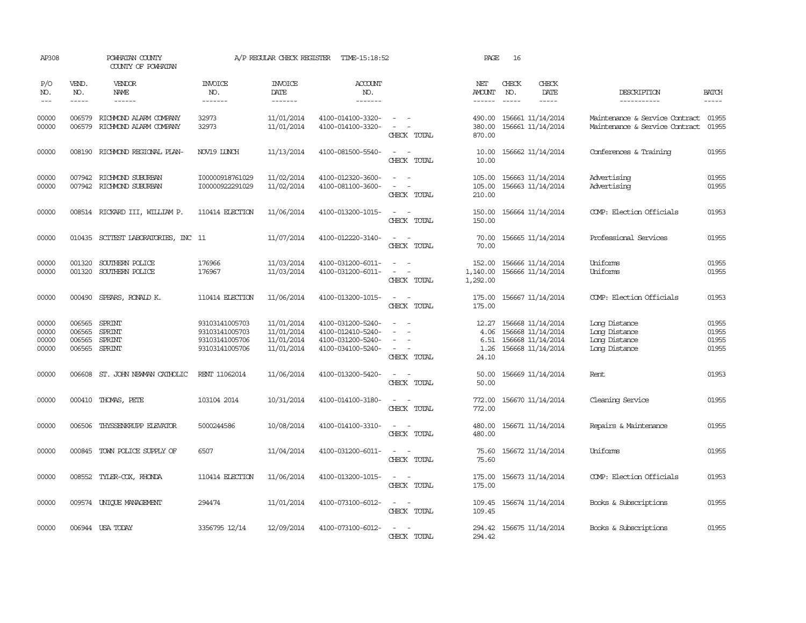| AP308                            |                                      | POWHATAN COUNTY<br>COUNTY OF POWHATAN                |                                                                      | A/P REGULAR CHECK REGISTER                           | TIME-15:18:52                                                                    |                                         | PAGE                                   | 16                            |                                                                                  |                                                                        |                                  |
|----------------------------------|--------------------------------------|------------------------------------------------------|----------------------------------------------------------------------|------------------------------------------------------|----------------------------------------------------------------------------------|-----------------------------------------|----------------------------------------|-------------------------------|----------------------------------------------------------------------------------|------------------------------------------------------------------------|----------------------------------|
| P/O<br>NO.<br>$---$              | VEND.<br>NO.                         | VENDOR<br>NAME<br>$- - - - - -$                      | <b>INVOICE</b><br>NO.<br>-------                                     | <b>INVOICE</b><br>DATE<br>-------                    | <b>ACCOUNT</b><br>NO.<br>$- - - - - - -$                                         |                                         | NET<br><b>AMOUNT</b>                   | CHECK<br>NO.<br>$\frac{1}{2}$ | CHECK<br>DATE<br>$- - - - -$                                                     | DESCRIPTION<br>-----------                                             | <b>BATCH</b><br>-----            |
| 00000<br>00000                   | 006579<br>006579                     | RICHMOND ALARM COMPANY<br>RICHMOND ALARM COMPANY     | 32973<br>32973                                                       | 11/01/2014<br>11/01/2014                             | 4100-014100-3320-<br>4100-014100-3320-                                           | $\overline{\phantom{a}}$<br>CHECK TOTAL | 490.00<br>380.00<br>870.00             |                               | 156661 11/14/2014<br>156661 11/14/2014                                           | Maintenance & Service Contract 01955<br>Maintenance & Service Contract | 01955                            |
| 00000                            | 008190                               | RICHMOND REGIONAL PLAN-                              | NOV19 LUNCH                                                          | 11/13/2014                                           | 4100-081500-5540-                                                                | $\sim$<br>CHECK TOTAL                   | 10.00<br>10.00                         |                               | 156662 11/14/2014                                                                | Conferences & Training                                                 | 01955                            |
| 00000<br>00000                   |                                      | 007942 RICHMOND SUBURBAN<br>007942 RICHMOND SUBURBAN | I00000918761029<br>I00000922291029                                   | 11/02/2014<br>11/02/2014                             | 4100-012320-3600-<br>4100-081100-3600-                                           | CHECK TOTAL                             | 105.00<br>105.00<br>210.00             |                               | 156663 11/14/2014<br>156663 11/14/2014                                           | Advertising<br>Advertising                                             | 01955<br>01955                   |
| 00000                            |                                      | 008514 RICKARD III, WILLIAM P.                       | 110414 ELECTION                                                      | 11/06/2014                                           | 4100-013200-1015-                                                                | CHECK TOTAL                             | 150.00<br>150.00                       |                               | 156664 11/14/2014                                                                | COMP: Election Officials                                               | 01953                            |
| 00000                            |                                      | 010435 SCITEST LABORATORIES, INC 11                  |                                                                      | 11/07/2014                                           | 4100-012220-3140-                                                                | $\sim$<br>CHECK TOTAL                   | 70.00<br>70.00                         |                               | 156665 11/14/2014                                                                | Professional Services                                                  | 01955                            |
| 00000<br>00000                   | 001320<br>001320                     | SOUTHERN POLICE<br>SOUTHERN POLICE                   | 176966<br>176967                                                     | 11/03/2014<br>11/03/2014                             | 4100-031200-6011-<br>4100-031200-6011-                                           | $\overline{\phantom{a}}$<br>CHECK TOTAL | 152.00<br>1,140.00<br>1,292.00         |                               | 156666 11/14/2014<br>156666 11/14/2014                                           | Uniforms<br>Uniforms                                                   | 01955<br>01955                   |
| 00000                            | 000490                               | SPEARS, RONALD K.                                    | 110414 ELECTION                                                      | 11/06/2014                                           | 4100-013200-1015-                                                                | $\sim$ $\sim$<br>CHECK TOTAL            | 175.00<br>175.00                       |                               | 156667 11/14/2014                                                                | COMP: Election Officials                                               | 01953                            |
| 00000<br>00000<br>00000<br>00000 | 006565<br>006565<br>006565<br>006565 | SPRINT<br><b>SPRINT</b><br><b>SPRINT</b><br>SPRINT   | 93103141005703<br>93103141005703<br>93103141005706<br>93103141005706 | 11/01/2014<br>11/01/2014<br>11/01/2014<br>11/01/2014 | 4100-031200-5240-<br>4100-012410-5240-<br>4100-031200-5240-<br>4100-034100-5240- | $\equiv$<br>CHECK TOTAL                 | 12.27<br>4.06<br>6.51<br>1.26<br>24.10 |                               | 156668 11/14/2014<br>156668 11/14/2014<br>156668 11/14/2014<br>156668 11/14/2014 | Long Distance<br>Long Distance<br>Long Distance<br>Long Distance       | 01955<br>01955<br>01955<br>01955 |
| 00000                            | 006608                               | ST. JOHN NEWMAN CATHOLIC                             | RENT 11062014                                                        | 11/06/2014                                           | 4100-013200-5420-                                                                | $\sim$<br>$\sim$<br>CHECK TOTAL         | 50.00<br>50.00                         |                               | 156669 11/14/2014                                                                | Rent                                                                   | 01953                            |
| 00000                            |                                      | 000410 THOMAS, PETE                                  | 103104 2014                                                          | 10/31/2014                                           | 4100-014100-3180-                                                                | $\sim$<br>$\sim$<br>CHECK TOTAL         | 772.00<br>772.00                       |                               | 156670 11/14/2014                                                                | Cleaning Service                                                       | 01955                            |
| 00000                            | 006506                               | THYSSENKRUPP ELEVATOR                                | 5000244586                                                           | 10/08/2014                                           | 4100-014100-3310-                                                                | CHECK TOTAL                             | 480.00<br>480.00                       |                               | 156671 11/14/2014                                                                | Repairs & Maintenance                                                  | 01955                            |
| 00000                            | 000845                               | TOWN POLICE SUPPLY OF                                | 6507                                                                 | 11/04/2014                                           | 4100-031200-6011-                                                                | $\sim$<br>CHECK TOTAL                   | 75.60<br>75.60                         |                               | 156672 11/14/2014                                                                | Uniforms                                                               | 01955                            |
| 00000                            |                                      | 008552 TYLER-COX, RHONDA                             | 110414 ELECTION                                                      | 11/06/2014                                           | 4100-013200-1015-                                                                | $\sim$<br>CHECK TOTAL                   | 175.00<br>175.00                       |                               | 156673 11/14/2014                                                                | COMP: Election Officials                                               | 01953                            |
| 00000                            |                                      | 009574 UNIOUE MANAGEMENT                             | 294474                                                               | 11/01/2014                                           | 4100-073100-6012-                                                                | $\sim$<br>CHECK TOTAL                   | 109.45<br>109.45                       |                               | 156674 11/14/2014                                                                | Books & Subscriptions                                                  | 01955                            |
| 00000                            |                                      | 006944 USA TODAY                                     | 3356795 12/14                                                        | 12/09/2014                                           | 4100-073100-6012-                                                                | $\overline{\phantom{a}}$<br>CHECK TOTAL | 294.42<br>294.42                       |                               | 156675 11/14/2014                                                                | Books & Subscriptions                                                  | 01955                            |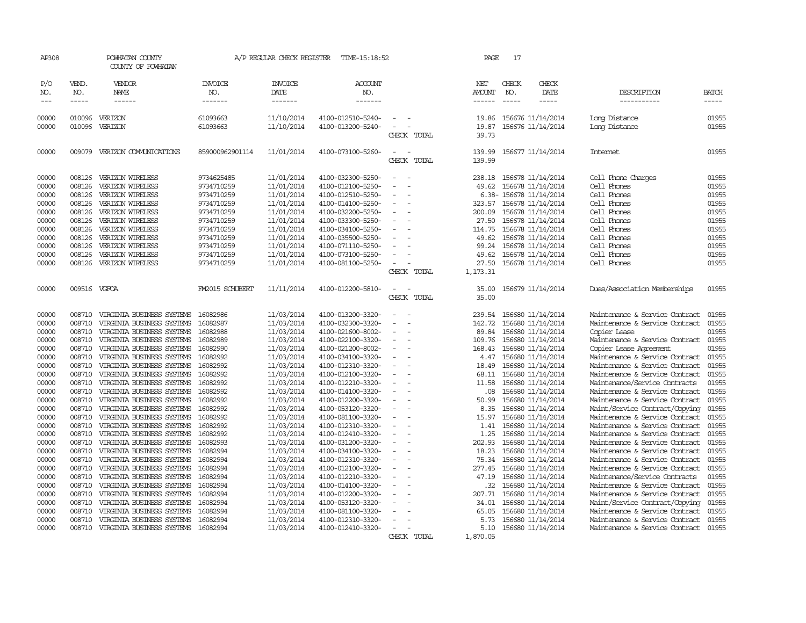|                                                                                                            | POWHATAN COUNTY<br>COUNTY OF POWHATAN                                                                                                                                                                                                                                                                                       |                                                                                                                                                        |                                                                                                                                                        |                                                                                                                                                                                                                                     |                                                                        | PAGE                                                                                                   | 17           |                   |                                                                                                                                                                                                                                                                                                                                                                                                                                                                                                                                                                                                                                                                                                                                                                                                                     |                                                                                                 |
|------------------------------------------------------------------------------------------------------------|-----------------------------------------------------------------------------------------------------------------------------------------------------------------------------------------------------------------------------------------------------------------------------------------------------------------------------|--------------------------------------------------------------------------------------------------------------------------------------------------------|--------------------------------------------------------------------------------------------------------------------------------------------------------|-------------------------------------------------------------------------------------------------------------------------------------------------------------------------------------------------------------------------------------|------------------------------------------------------------------------|--------------------------------------------------------------------------------------------------------|--------------|-------------------|---------------------------------------------------------------------------------------------------------------------------------------------------------------------------------------------------------------------------------------------------------------------------------------------------------------------------------------------------------------------------------------------------------------------------------------------------------------------------------------------------------------------------------------------------------------------------------------------------------------------------------------------------------------------------------------------------------------------------------------------------------------------------------------------------------------------|-------------------------------------------------------------------------------------------------|
| VEND.<br>NO.<br>$- - - - -$                                                                                | VENDOR<br><b>NAME</b><br>------                                                                                                                                                                                                                                                                                             | <b>INVOICE</b><br>NO.<br>-------                                                                                                                       | <b>INVOICE</b><br>DATE                                                                                                                                 | <b>ACCOUNT</b><br>NO.                                                                                                                                                                                                               |                                                                        | NET<br>AMOUNT<br>------                                                                                | CHECK<br>NO. | CHECK<br>DATE     | DESCRIPTION<br>-----------                                                                                                                                                                                                                                                                                                                                                                                                                                                                                                                                                                                                                                                                                                                                                                                          | <b>BATCH</b><br>-----                                                                           |
| 010096<br>010096                                                                                           |                                                                                                                                                                                                                                                                                                                             | 61093663<br>61093663                                                                                                                                   | 11/10/2014<br>11/10/2014                                                                                                                               | 4100-012510-5240-<br>4100-013200-5240-                                                                                                                                                                                              | $\equiv$<br>CHECK TOTAL                                                | 19.86<br>19.87<br>39.73                                                                                |              |                   | Long Distance<br>Long Distance                                                                                                                                                                                                                                                                                                                                                                                                                                                                                                                                                                                                                                                                                                                                                                                      | 01955<br>01955                                                                                  |
|                                                                                                            |                                                                                                                                                                                                                                                                                                                             | 859000962901114                                                                                                                                        | 11/01/2014                                                                                                                                             | 4100-073100-5260-                                                                                                                                                                                                                   | $\equiv$<br>CHECK TOTAL                                                | 139.99<br>139.99                                                                                       |              |                   | Internet                                                                                                                                                                                                                                                                                                                                                                                                                                                                                                                                                                                                                                                                                                                                                                                                            | 01955                                                                                           |
| 008126<br>008126<br>008126<br>008126<br>008126<br>008126<br>008126<br>008126<br>008126<br>008126<br>008126 | VERIZON WIRELESS<br>VERIZON WIRELESS<br>VERIZON WIRELESS<br>VERIZON WIRELESS<br>VERIZON WIRELESS<br>VERIZON WIRELESS<br>VERIZON WIRELESS<br>VERIZON WIRELESS<br>VERIZON WIRELESS<br>VERIZON WIRELESS<br>VERIZON WIRELESS                                                                                                    | 9734625485<br>9734710259<br>9734710259<br>9734710259<br>9734710259<br>9734710259<br>9734710259<br>9734710259<br>9734710259<br>9734710259<br>9734710259 | 11/01/2014<br>11/01/2014<br>11/01/2014<br>11/01/2014<br>11/01/2014<br>11/01/2014<br>11/01/2014<br>11/01/2014<br>11/01/2014<br>11/01/2014<br>11/01/2014 | 4100-032300-5250-<br>4100-012100-5250-<br>4100-012510-5250-<br>4100-014100-5250-<br>4100-032200-5250-<br>4100-033300-5250-<br>4100-034100-5250-<br>4100-035500-5250-<br>4100-071110-5250-<br>4100-073100-5250-<br>4100-081100-5250- | $\equiv$<br>$\overline{a}$<br>$\equiv$<br>$\equiv$<br>CHECK TOTAL      | 238.18<br>49.62<br>323.57<br>200.09<br>27.50<br>114.75<br>49.62<br>99.24<br>49.62<br>27.50<br>1,173.31 |              |                   | Cell Phone Charges<br>Cell Phones<br>Cell Phones<br>Cell Phones<br>Cell Phones<br>Cell Phones<br>Cell Phones<br>Cell Phones<br>Cell Phones<br>Cell Phones<br>Cell Phones                                                                                                                                                                                                                                                                                                                                                                                                                                                                                                                                                                                                                                            | 01955<br>01955<br>01955<br>01955<br>01955<br>01955<br>01955<br>01955<br>01955<br>01955<br>01955 |
|                                                                                                            |                                                                                                                                                                                                                                                                                                                             | FM2015 SCHUBERT                                                                                                                                        | 11/11/2014                                                                                                                                             | 4100-012200-5810-                                                                                                                                                                                                                   | CHECK TOTAL                                                            | 35.00<br>35.00                                                                                         |              |                   | Dues/Association Memberships                                                                                                                                                                                                                                                                                                                                                                                                                                                                                                                                                                                                                                                                                                                                                                                        | 01955                                                                                           |
| 008710<br>008710<br>008710<br>008710<br>008710<br>008710<br>008710<br>008710<br>008710<br>008710<br>008710 | VIRGINIA BUSINESS SYSTEMS<br>VIRGINIA BUSINESS SYSTEMS<br>VIRGINIA BUSINESS SYSTEMS<br>VIRGINIA BUSINESS SYSTEMS<br>VIRGINIA BUSINESS SYSTEMS<br>VIRGINIA BUSINESS SYSTEMS<br>VIRGINIA BUSINESS SYSTEMS<br>VIRGINIA BUSINESS SYSTEMS<br>VIRGINIA BUSINESS SYSTEMS<br>VIRGINIA BUSINESS SYSTEMS<br>VIRGINIA BUSINESS SYSTEMS | 16082987<br>16082988<br>16082989<br>16082990<br>16082992<br>16082992<br>16082992<br>16082992<br>16082992<br>16082992<br>16082992                       | 11/03/2014<br>11/03/2014<br>11/03/2014<br>11/03/2014<br>11/03/2014<br>11/03/2014<br>11/03/2014<br>11/03/2014<br>11/03/2014<br>11/03/2014<br>11/03/2014 | 4100-032300-3320-<br>4100-021600-8002-<br>4100-022100-3320-<br>4100-021200-8002-<br>4100-034100-3320-<br>4100-012310-3320-<br>4100-012100-3320-<br>4100-012210-3320-<br>4100-014100-3320-<br>4100-012200-3320-<br>4100-053120-3320- | $\equiv$<br>$\equiv$<br>$\equiv$<br>$\equiv$<br>$\equiv$               | 142.72<br>89.84<br>109.76<br>168.43<br>4.47<br>18.49<br>68.11<br>11.58<br>.08<br>50.99<br>8.35         |              |                   | Maintenance & Service Contract<br>Copier Lease<br>Maintenance & Service Contract<br>Copier Lease Agreement<br>Maintenance & Service Contract<br>Maintenance & Service Contract<br>Maintenance & Service Contract<br>Maintenance/Service Contracts<br>Maintenance & Service Contract<br>Maintenance & Service Contract<br>Maint/Service Contract/Copying                                                                                                                                                                                                                                                                                                                                                                                                                                                             | 01955<br>01955<br>01955<br>01955<br>01955<br>01955<br>01955<br>01955<br>01955<br>01955<br>01955 |
| 008710<br>008710<br>008710<br>008710<br>008710<br>008710<br>008710<br>008710<br>008710<br>008710<br>008710 | VIRGINIA BUSINESS SYSTEMS<br>VIRGINIA BUSINESS SYSTEMS<br>VIRGINIA BUSINESS SYSTEMS<br>VIRGINIA BUSINESS SYSTEMS<br>VIRGINIA BUSINESS SYSTEMS<br>VIRGINIA BUSINESS SYSTEMS<br>VIRGINIA BUSINESS SYSTEMS<br>VIRGINIA BUSINESS SYSTEMS<br>VIRGINIA BUSINESS SYSTEMS<br>VIRGINIA BUSINESS SYSTEMS<br>VIRGINIA BUSINESS SYSTEMS | 16082992<br>16082992<br>16082992<br>16082993<br>16082994<br>16082994<br>16082994<br>16082994<br>16082994<br>16082994<br>16082994                       | 11/03/2014<br>11/03/2014<br>11/03/2014<br>11/03/2014<br>11/03/2014<br>11/03/2014<br>11/03/2014<br>11/03/2014<br>11/03/2014<br>11/03/2014<br>11/03/2014 | 4100-081100-3320-<br>4100-012310-3320-<br>4100-012410-3320-<br>4100-031200-3320-<br>4100-034100-3320-<br>4100-012310-3320-<br>4100-012100-3320-<br>4100-012210-3320-<br>4100-014100-3320-<br>4100-012200-3320-<br>4100-053120-3320- | $\sim$<br>$\equiv$<br>$\equiv$<br>$\equiv$<br>$\overline{\phantom{a}}$ | 15.97<br>1.41<br>1.25<br>202.93<br>18.23<br>75.34<br>277.45<br>47.19<br>.32<br>207.71<br>34.01         |              | 156680 11/14/2014 | Maintenance & Service Contract<br>Maintenance & Service Contract<br>Maintenance & Service Contract<br>Maintenance & Service Contract<br>Maintenance & Service Contract<br>Maintenance & Service Contract<br>Maintenance & Service Contract<br>Maintenance/Service Contracts<br>Maintenance & Service Contract<br>Maintenance & Service Contract<br>Maint/Service Contract/Copying                                                                                                                                                                                                                                                                                                                                                                                                                                   | 01955<br>01955<br>01955<br>01955<br>01955<br>01955<br>01955<br>01955<br>01955<br>01955<br>01955 |
|                                                                                                            | 008710                                                                                                                                                                                                                                                                                                                      | VERIZON<br>VERIZON<br>009079 VERIZON COMUNICATIONS<br>009516 VGFOA<br>VIRGINIA BUSINESS SYSTEMS                                                        | 16082986                                                                                                                                               | -------<br>11/03/2014                                                                                                                                                                                                               | A/P REGULAR CHECK REGISTER<br>-------<br>4100-013200-3320-             | TIME-15:18:52<br>$\overline{\phantom{a}}$                                                              | 239.54       |                   | -----<br>156676 11/14/2014<br>156676 11/14/2014<br>156677 11/14/2014<br>156678 11/14/2014<br>156678 11/14/2014<br>6.38-156678 11/14/2014<br>156678 11/14/2014<br>156678 11/14/2014<br>156678 11/14/2014<br>156678 11/14/2014<br>156678 11/14/2014<br>156678 11/14/2014<br>156678 11/14/2014<br>156678 11/14/2014<br>156679 11/14/2014<br>156680 11/14/2014<br>156680 11/14/2014<br>156680 11/14/2014<br>156680 11/14/2014<br>156680 11/14/2014<br>156680 11/14/2014<br>156680 11/14/2014<br>156680 11/14/2014<br>156680 11/14/2014<br>156680 11/14/2014<br>156680 11/14/2014<br>156680 11/14/2014<br>156680 11/14/2014<br>156680 11/14/2014<br>156680 11/14/2014<br>156680 11/14/2014<br>156680 11/14/2014<br>156680 11/14/2014<br>156680 11/14/2014<br>156680 11/14/2014<br>156680 11/14/2014<br>156680 11/14/2014 | Maintenance & Service Contract                                                                  |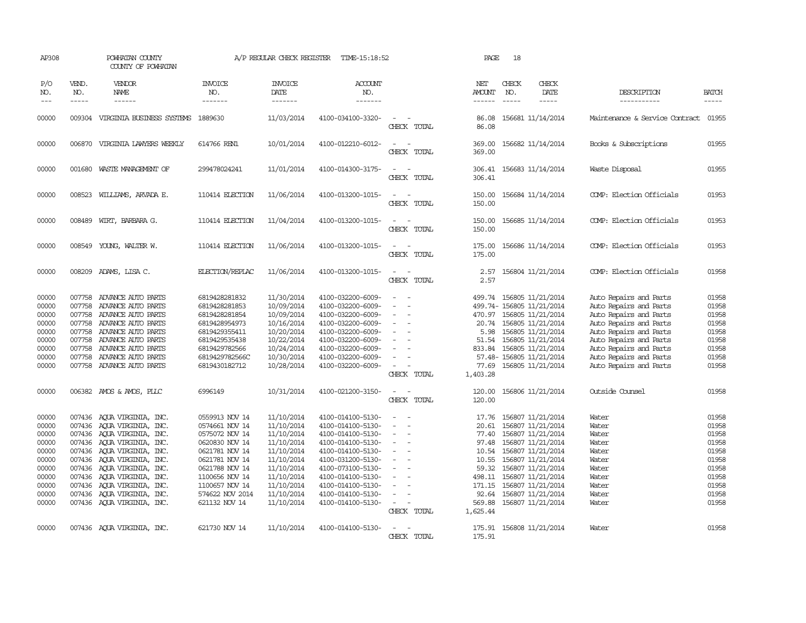| AP308                                                                                           |                                      | POWHATAN COUNTY<br>COUNTY OF POWHATAN                                                                                                                                                                                                                                                                                                  |                                                                                                                                                                                                    | A/P REGULAR CHECK REGISTER                                                                                                                             | TIME-15:18:52                                                                                                                                                                                                                       |                                                                                                                                                 | PAGE                                                                                        | 18                            |                                                                                                                                                                                                                                                  |                                                                                                                                                                                                                                        |                                                                                                 |
|-------------------------------------------------------------------------------------------------|--------------------------------------|----------------------------------------------------------------------------------------------------------------------------------------------------------------------------------------------------------------------------------------------------------------------------------------------------------------------------------------|----------------------------------------------------------------------------------------------------------------------------------------------------------------------------------------------------|--------------------------------------------------------------------------------------------------------------------------------------------------------|-------------------------------------------------------------------------------------------------------------------------------------------------------------------------------------------------------------------------------------|-------------------------------------------------------------------------------------------------------------------------------------------------|---------------------------------------------------------------------------------------------|-------------------------------|--------------------------------------------------------------------------------------------------------------------------------------------------------------------------------------------------------------------------------------------------|----------------------------------------------------------------------------------------------------------------------------------------------------------------------------------------------------------------------------------------|-------------------------------------------------------------------------------------------------|
| P/O<br>NO.<br>$\frac{1}{2}$                                                                     | VEND.<br>NO.<br>$- - - - -$          | VENDOR<br>NAME<br>------                                                                                                                                                                                                                                                                                                               | <b>INVOICE</b><br>NO.<br>-------                                                                                                                                                                   | <b>INVOICE</b><br>DATE<br>-------                                                                                                                      | ACCOUNT<br>NO.<br>-------                                                                                                                                                                                                           |                                                                                                                                                 | NET<br>AMOUNT<br>$- - - - - -$                                                              | CHECK<br>NO.<br>$\frac{1}{2}$ | CHECK<br>DATE<br>$- - - - -$                                                                                                                                                                                                                     | DESCRIPTION<br>-----------                                                                                                                                                                                                             | <b>BATCH</b><br>$\cdots\cdots\cdots$                                                            |
| 00000                                                                                           | 009304                               | VIRGINIA BUSINESS SYSTEMS                                                                                                                                                                                                                                                                                                              | 1889630                                                                                                                                                                                            | 11/03/2014                                                                                                                                             | 4100-034100-3320-                                                                                                                                                                                                                   | $\equiv$<br>CHECK TOTAL                                                                                                                         | 86.08<br>86.08                                                                              |                               | 156681 11/14/2014                                                                                                                                                                                                                                | Maintenance & Service Contract                                                                                                                                                                                                         | 01955                                                                                           |
| 00000                                                                                           |                                      | 006870 VIRGINIA LAWYERS WEEKLY                                                                                                                                                                                                                                                                                                         | 614766 REN1                                                                                                                                                                                        | 10/01/2014                                                                                                                                             | 4100-012210-6012-                                                                                                                                                                                                                   | $\equiv$<br>CHECK TOTAL                                                                                                                         | 369.00<br>369.00                                                                            |                               | 156682 11/14/2014                                                                                                                                                                                                                                | Books & Subscriptions                                                                                                                                                                                                                  | 01955                                                                                           |
| 00000                                                                                           |                                      | 001680 WASTE MANAGEMENT OF                                                                                                                                                                                                                                                                                                             | 299478024241                                                                                                                                                                                       | 11/01/2014                                                                                                                                             | 4100-014300-3175-                                                                                                                                                                                                                   | $\sim$<br>CHECK TOTAL                                                                                                                           | 306.41                                                                                      |                               | 306.41 156683 11/14/2014                                                                                                                                                                                                                         | Waste Disposal                                                                                                                                                                                                                         | 01955                                                                                           |
| 00000                                                                                           |                                      | 008523 WILLIAMS, ARVADA E.                                                                                                                                                                                                                                                                                                             | 110414 ELECTION                                                                                                                                                                                    | 11/06/2014                                                                                                                                             | 4100-013200-1015-                                                                                                                                                                                                                   | $\sim$<br>CHECK TOTAL                                                                                                                           | 150.00<br>150.00                                                                            |                               | 156684 11/14/2014                                                                                                                                                                                                                                | COMP: Election Officials                                                                                                                                                                                                               | 01953                                                                                           |
| 00000                                                                                           |                                      | 008489 WIRT, BARBARA G.                                                                                                                                                                                                                                                                                                                | 110414 ELECTION                                                                                                                                                                                    | 11/04/2014                                                                                                                                             | 4100-013200-1015-                                                                                                                                                                                                                   | $\sim$ $-$<br>CHECK TOTAL                                                                                                                       | 150.00<br>150.00                                                                            |                               | 156685 11/14/2014                                                                                                                                                                                                                                | COMP: Election Officials                                                                                                                                                                                                               | 01953                                                                                           |
| 00000                                                                                           |                                      | 008549 YOUNG, WALTER W.                                                                                                                                                                                                                                                                                                                | 110414 ELECTION                                                                                                                                                                                    | 11/06/2014                                                                                                                                             | 4100-013200-1015-                                                                                                                                                                                                                   | $\sim$<br>CHECK TOTAL                                                                                                                           | 175.00<br>175.00                                                                            |                               | 156686 11/14/2014                                                                                                                                                                                                                                | COMP: Election Officials                                                                                                                                                                                                               | 01953                                                                                           |
| 00000                                                                                           |                                      | 008209 ADAMS, LISA C.                                                                                                                                                                                                                                                                                                                  | ELECTION/REPLAC                                                                                                                                                                                    | 11/06/2014                                                                                                                                             | 4100-013200-1015-                                                                                                                                                                                                                   | $\sim$<br>$\overline{\phantom{a}}$<br>CHECK TOTAL                                                                                               | 2.57<br>2.57                                                                                |                               | 156804 11/21/2014                                                                                                                                                                                                                                | COMP: Election Officials                                                                                                                                                                                                               | 01958                                                                                           |
| 00000<br>00000<br>00000<br>00000<br>00000<br>00000<br>00000<br>00000<br>00000                   | 007758<br>007758<br>007758<br>007758 | ADVANCE AUTO PARTS<br>ADVANCE AUTO PARTS<br>ADVANCE AUTO PARTS<br>007758 ADVANCE AUTO PARTS<br>007758 ADVANCE AUTO PARTS<br>ADVANCE AUTO PARTS<br>007758 ADVANCE AUTO PARTS<br>007758 ADVANCE AUTO PARTS<br>007758 ADVANCE AUTO PARTS                                                                                                  | 6819428281832<br>6819428281853<br>6819428281854<br>6819428954973<br>6819429355411<br>6819429535438<br>6819429782566<br>6819429782566C<br>6819430182712                                             | 11/30/2014<br>10/09/2014<br>10/09/2014<br>10/16/2014<br>10/20/2014<br>10/22/2014<br>10/24/2014<br>10/30/2014<br>10/28/2014                             | 4100-032200-6009-<br>4100-032200-6009-<br>4100-032200-6009-<br>4100-032200-6009-<br>4100-032200-6009-<br>4100-032200-6009-<br>4100-032200-6009-<br>4100-032200-6009-<br>4100-032200-6009-                                           | $\sim$<br>$\equiv$<br>$\sim$<br>$\equiv$<br>$\sim$<br>$\equiv$<br>$\equiv$<br>$\sim$<br>$\sim$<br>CHECK TOTAL                                   | 499.74<br>470.97<br>5.98<br>51.54<br>833.84<br>77.69<br>1,403.28                            |                               | 156805 11/21/2014<br>499.74- 156805 11/21/2014<br>156805 11/21/2014<br>20.74 156805 11/21/2014<br>156805 11/21/2014<br>156805 11/21/2014<br>156805 11/21/2014<br>57.48- 156805 11/21/2014<br>156805 11/21/2014                                   | Auto Repairs and Parts<br>Auto Repairs and Parts<br>Auto Repairs and Parts<br>Auto Repairs and Parts<br>Auto Repairs and Parts<br>Auto Repairs and Parts<br>Auto Repairs and Parts<br>Auto Repairs and Parts<br>Auto Repairs and Parts | 01958<br>01958<br>01958<br>01958<br>01958<br>01958<br>01958<br>01958<br>01958                   |
| 00000                                                                                           |                                      | 006382 AMOS & AMOS, PLLC                                                                                                                                                                                                                                                                                                               | 6996149                                                                                                                                                                                            | 10/31/2014                                                                                                                                             | 4100-021200-3150-                                                                                                                                                                                                                   | $\overline{\phantom{a}}$<br>CHECK TOTAL                                                                                                         | 120.00<br>120.00                                                                            |                               | 156806 11/21/2014                                                                                                                                                                                                                                | Outside Counsel                                                                                                                                                                                                                        | 01958                                                                                           |
| 00000<br>00000<br>00000<br>00000<br>00000<br>00000<br>00000<br>00000<br>00000<br>00000<br>00000 |                                      | 007436 AQUA VIRGINIA, INC.<br>007436 AQUA VIRGINIA, INC.<br>007436 AQUA VIRGINIA, INC.<br>007436 AQUA VIRGINIA, INC.<br>007436 AQUA VIRGINIA, INC.<br>007436 AQUA VIRGINIA, INC.<br>007436 AQUA VIRGINIA, INC.<br>007436 AQUA VIRGINIA, INC.<br>007436 AQUA VIRGINIA, INC.<br>007436 AQUA VIRGINIA, INC.<br>007436 AQUA VIRGINIA, INC. | 0559913 NOV 14<br>0574661 NOV 14<br>0575072 NOV 14<br>0620830 NOV 14<br>0621781 NOV 14<br>0621781 NOV 14<br>0621788 NOV 14<br>1100656 NOV 14<br>1100657 NOV 14<br>574622 NOV 2014<br>621132 NOV 14 | 11/10/2014<br>11/10/2014<br>11/10/2014<br>11/10/2014<br>11/10/2014<br>11/10/2014<br>11/10/2014<br>11/10/2014<br>11/10/2014<br>11/10/2014<br>11/10/2014 | 4100-014100-5130-<br>4100-014100-5130-<br>4100-014100-5130-<br>4100-014100-5130-<br>4100-014100-5130-<br>4100-031200-5130-<br>4100-073100-5130-<br>4100-014100-5130-<br>4100-014100-5130-<br>4100-014100-5130-<br>4100-014100-5130- | $\sim$<br>$\equiv$<br>$\sim$<br>$\sim$<br>$\sim$<br>$\overline{\phantom{a}}$<br>$\sim$<br>$\sim$<br>$\equiv$<br>$\sim$<br>$\sim$<br>CHECK TOTAL | 17.76<br>20.61<br>77.40<br>97.48<br>10.55<br>59.32<br>171.15<br>92.64<br>569.88<br>1,625.44 |                               | 156807 11/21/2014<br>156807 11/21/2014<br>156807 11/21/2014<br>156807 11/21/2014<br>10.54 156807 11/21/2014<br>156807 11/21/2014<br>156807 11/21/2014<br>498.11 156807 11/21/2014<br>156807 11/21/2014<br>156807 11/21/2014<br>156807 11/21/2014 | Water<br>Water<br>Water<br>Water<br>Water<br>Water<br>Water<br>Water<br>Water<br>Water<br>Water                                                                                                                                        | 01958<br>01958<br>01958<br>01958<br>01958<br>01958<br>01958<br>01958<br>01958<br>01958<br>01958 |
| 00000                                                                                           |                                      | 007436 AQUA VIRGINIA, INC.                                                                                                                                                                                                                                                                                                             | 621730 NOV 14                                                                                                                                                                                      | 11/10/2014                                                                                                                                             | 4100-014100-5130-                                                                                                                                                                                                                   | $\overline{\phantom{a}}$<br>CHECK TOTAL                                                                                                         | 175.91<br>175.91                                                                            |                               | 156808 11/21/2014                                                                                                                                                                                                                                | Water                                                                                                                                                                                                                                  | 01958                                                                                           |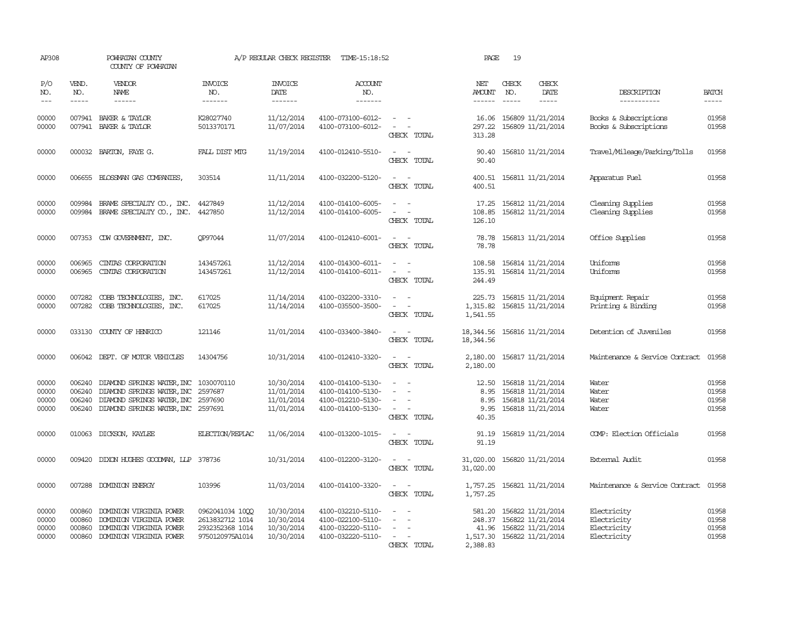| AP308                             |                             | POWHATAN COUNTY<br>COUNTY OF POWHATAN                                                                                                          |                                                                          | A/P REGULAR CHECK REGISTER                           | TIME-15:18:52                                                                    |                                                                                                                             | PAGE                                   | 19                                                                                              |                                                          |                                  |
|-----------------------------------|-----------------------------|------------------------------------------------------------------------------------------------------------------------------------------------|--------------------------------------------------------------------------|------------------------------------------------------|----------------------------------------------------------------------------------|-----------------------------------------------------------------------------------------------------------------------------|----------------------------------------|-------------------------------------------------------------------------------------------------|----------------------------------------------------------|----------------------------------|
| P/O<br>NO.<br>$\qquad \qquad - -$ | VEND.<br>NO.<br>$- - - - -$ | <b>VENDOR</b><br>NAME<br>$- - - - - -$                                                                                                         | <b>INVOICE</b><br>NO.<br>--------                                        | <b>INVOICE</b><br>DATE<br>--------                   | <b>ACCOUNT</b><br>NO.<br>-------                                                 |                                                                                                                             | NET<br>AMOUNT<br>$- - - - - -$         | CHECK<br>CHECK<br>NO.<br>DATE<br>$\frac{1}{2}$<br>-----                                         | DESCRIPTION<br>-----------                               | <b>BATCH</b><br>-----            |
| 00000<br>00000                    |                             | 007941 BAKER & TAYLOR<br>007941 BAKER & TAYLOR                                                                                                 | K28027740<br>5013370171                                                  | 11/12/2014<br>11/07/2014                             | 4100-073100-6012-<br>4100-073100-6012-                                           | $\omega_{\rm{max}}$ and $\omega_{\rm{max}}$<br>$\sim$ 100 $\sim$<br>CHECK TOTAL                                             | 16.06<br>297.22<br>313.28              | 156809 11/21/2014<br>156809 11/21/2014                                                          | Books & Subscriptions<br>Books & Subscriptions           | 01958<br>01958                   |
| 00000                             |                             | 000032 BARTON, FAYE G.                                                                                                                         | FALL DIST MTG                                                            | 11/19/2014                                           | 4100-012410-5510-                                                                | $\equiv$<br>CHECK TOTAL                                                                                                     | 90.40<br>90.40                         | 156810 11/21/2014                                                                               | Travel/Mileage/Parking/Tolls                             | 01958                            |
| 00000                             |                             | 006655 BLOSSMAN GAS COMPANIES,                                                                                                                 | 303514                                                                   | 11/11/2014                                           | 4100-032200-5120-                                                                | $\overline{\phantom{a}}$<br>CHECK TOTAL                                                                                     | 400.51<br>400.51                       | 156811 11/21/2014                                                                               | Apparatus Fuel                                           | 01958                            |
| 00000<br>00000                    | 009984<br>009984            | BRAME SPECIALITY CO., INC.<br>BRAME SPECIALITY CO., INC.                                                                                       | 4427849<br>4427850                                                       | 11/12/2014<br>11/12/2014                             | 4100-014100-6005-<br>4100-014100-6005-                                           | $\sim$ $-$<br>$\equiv$<br>CHECK TOTAL                                                                                       | 17.25<br>108.85<br>126.10              | 156812 11/21/2014<br>156812 11/21/2014                                                          | Cleaning Supplies<br>Cleaning Supplies                   | 01958<br>01958                   |
| 00000                             |                             | 007353 CDW GOVERNMENT, INC.                                                                                                                    | OP97044                                                                  | 11/07/2014                                           | 4100-012410-6001-                                                                | $\sim$ $  -$<br>CHECK TOTAL                                                                                                 | 78.78<br>78.78                         | 156813 11/21/2014                                                                               | Office Supplies                                          | 01958                            |
| 00000<br>00000                    | 006965<br>006965            | CINIAS CORPORATION<br>CINIAS CORPORATION                                                                                                       | 143457261<br>143457261                                                   | 11/12/2014<br>11/12/2014                             | 4100-014300-6011-<br>4100-014100-6011-                                           | $\omega_{\rm{max}}$ and $\omega_{\rm{max}}$<br>$\equiv$<br>$\sim$<br>CHECK TOTAL                                            | 108.58<br>135.91<br>244.49             | 156814 11/21/2014<br>156814 11/21/2014                                                          | Uniforms<br>Uniforms                                     | 01958<br>01958                   |
| 00000<br>00000                    | 007282<br>007282            | COBB TECHNOLOGIES, INC.<br>COBB TECHNOLOGIES, INC.                                                                                             | 617025<br>617025                                                         | 11/14/2014<br>11/14/2014                             | 4100-032200-3310-<br>4100-035500-3500-                                           | $\sim$<br>$\equiv$<br>CHECK TOTAL                                                                                           | 225.73<br>1,315.82<br>1,541.55         | 156815 11/21/2014<br>156815 11/21/2014                                                          | Equipment Repair<br>Printing & Binding                   | 01958<br>01958                   |
| 00000                             |                             | 033130 COUNTY OF HENRICO                                                                                                                       | 121146                                                                   | 11/01/2014                                           | 4100-033400-3840-                                                                | $\frac{1}{2} \left( \frac{1}{2} \right) \left( \frac{1}{2} \right) = \frac{1}{2} \left( \frac{1}{2} \right)$<br>CHECK TOTAL | 18, 344.56<br>18,344.56                | 156816 11/21/2014                                                                               | Detention of Juveniles                                   | 01958                            |
| 00000                             |                             | 006042 DEPT. OF MOTOR VEHICLES                                                                                                                 | 14304756                                                                 | 10/31/2014                                           | 4100-012410-3320-                                                                | $\frac{1}{2} \left( \frac{1}{2} \right) \left( \frac{1}{2} \right) = \frac{1}{2} \left( \frac{1}{2} \right)$<br>CHECK TOTAL | 2,180.00                               | 2,180.00 156817 11/21/2014                                                                      | Maintenance & Service Contract                           | 01958                            |
| 00000<br>00000<br>00000<br>00000  | 006240<br>006240<br>006240  | DIAMOND SPRINGS WATER, INC 1030070110<br>DIAMOND SPRINGS WATER, INC<br>DIAMOND SPRINGS WATER, INC<br>006240 DIAMOND SPRINGS WATER, INC 2597691 | 2597687<br>2597690                                                       | 10/30/2014<br>11/01/2014<br>11/01/2014<br>11/01/2014 | 4100-014100-5130-<br>4100-014100-5130-<br>4100-012210-5130-<br>4100-014100-5130- | $\equiv$<br>$\equiv$<br>$\sim$<br>$\sim$ $ \sim$<br>CHECK TOTAL                                                             | 12.50<br>8.95<br>8.95<br>9.95<br>40.35 | 156818 11/21/2014<br>156818 11/21/2014<br>156818 11/21/2014<br>156818 11/21/2014                | Water<br>Water<br>Water<br>Water                         | 01958<br>01958<br>01958<br>01958 |
| 00000                             |                             | 010063 DICKSON, KAYLEE                                                                                                                         | <b>ELECTION/REPLAC</b>                                                   | 11/06/2014                                           | 4100-013200-1015-                                                                | $\sim$ $ \sim$<br>CHECK TOTAL                                                                                               | 91.19<br>91.19                         | 156819 11/21/2014                                                                               | COMP: Election Officials                                 | 01958                            |
| 00000                             |                             | 009420 DIXON HUGHES GOODMAN, LLP 378736                                                                                                        |                                                                          | 10/31/2014                                           | 4100-012200-3120-                                                                | $\sim$<br>CHECK TOTAL                                                                                                       | 31,020.00<br>31,020.00                 | 156820 11/21/2014                                                                               | External Audit                                           | 01958                            |
| 00000                             |                             | 007288 DOMINION ENERGY                                                                                                                         | 103996                                                                   | 11/03/2014                                           | 4100-014100-3320-                                                                | $\sim$<br>$\sim$<br>CHECK TOTAL                                                                                             | 1,757.25<br>1,757.25                   | 156821 11/21/2014                                                                               | Maintenance & Service Contract                           | 01958                            |
| 00000<br>00000<br>00000<br>00000  | 000860<br>000860<br>000860  | DOMINION VIRGINIA POWER<br>DOMINION VIRGINIA POWER<br>DOMINION VIRGINIA POWER<br>000860 DOMINION VIRGINIA POWER                                | 0962041034 1000<br>2613832712 1014<br>2932352368 1014<br>9750120975A1014 | 10/30/2014<br>10/30/2014<br>10/30/2014<br>10/30/2014 | 4100-032210-5110-<br>4100-022100-5110-<br>4100-032220-5110-<br>4100-032220-5110- | $\overline{\phantom{a}}$<br>$\sim$<br>CHECK TOTAL                                                                           | 581.20<br>248.37<br>2,388.83           | 156822 11/21/2014<br>156822 11/21/2014<br>41.96 156822 11/21/2014<br>1,517.30 156822 11/21/2014 | Electricity<br>Electricity<br>Electricity<br>Electricity | 01958<br>01958<br>01958<br>01958 |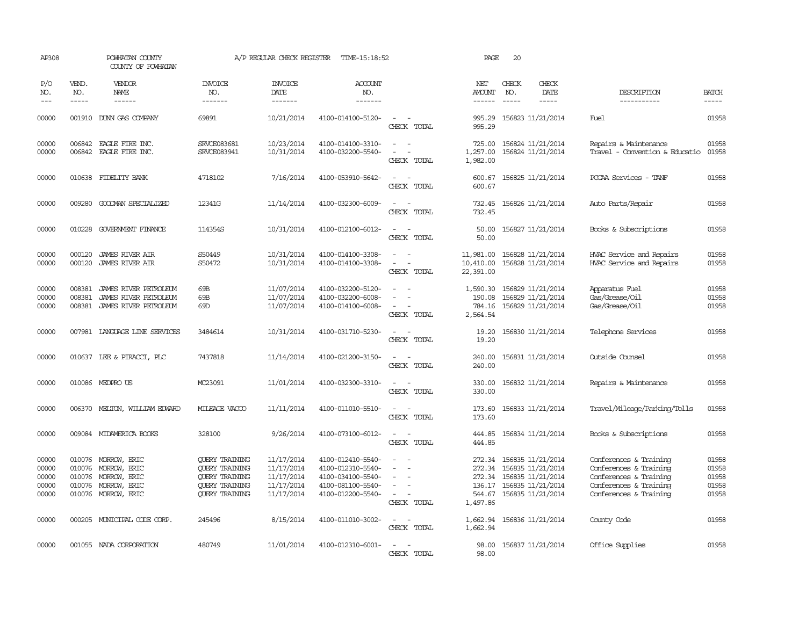| AP308                                     |                             | POWHATAN COUNTY<br>COUNTY OF POWHATAN                                                                    |                                                                                                                           | A/P REGULAR CHECK REGISTER                                         | TIME-15:18:52                                                                                         |                                                                                                                             | PAGE                                     | 20                            |                                                                                                                                   |                                                                                                                                |                                           |
|-------------------------------------------|-----------------------------|----------------------------------------------------------------------------------------------------------|---------------------------------------------------------------------------------------------------------------------------|--------------------------------------------------------------------|-------------------------------------------------------------------------------------------------------|-----------------------------------------------------------------------------------------------------------------------------|------------------------------------------|-------------------------------|-----------------------------------------------------------------------------------------------------------------------------------|--------------------------------------------------------------------------------------------------------------------------------|-------------------------------------------|
| P/O<br>NO.<br>$---$                       | VEND.<br>NO.<br>$- - - - -$ | <b>VENDOR</b><br>NAME<br>------                                                                          | <b>INVOICE</b><br>NO.<br>-------                                                                                          | <b>INVOICE</b><br>DATE<br>-------                                  | <b>ACCOUNT</b><br>NO.<br>-------                                                                      |                                                                                                                             | NET<br>AMOUNT<br>------                  | CHECK<br>NO.<br>$\frac{1}{2}$ | CHECK<br>DATE<br>$- - - - -$                                                                                                      | DESCRIPTION<br>-----------                                                                                                     | <b>BATCH</b><br>$- - - - -$               |
| 00000                                     |                             | 001910 DUNN GAS COMPANY                                                                                  | 69891                                                                                                                     | 10/21/2014                                                         | 4100-014100-5120-                                                                                     | $\sim$ $\sim$<br>CHECK TOTAL                                                                                                | 995.29<br>995.29                         |                               | 156823 11/21/2014                                                                                                                 | Fuel                                                                                                                           | 01958                                     |
| 00000<br>00000                            |                             | 006842 EAGLE FIRE INC.<br>006842 EAGLE FIRE INC.                                                         | <b>SRVCE083681</b><br>SRVCE083941                                                                                         | 10/23/2014<br>10/31/2014                                           | 4100-014100-3310-<br>4100-032200-5540-                                                                | $\equiv$<br>$\sim$<br>$\sim$<br>CHECK TOTAL                                                                                 | 725.00<br>1,257.00<br>1,982.00           |                               | 156824 11/21/2014<br>156824 11/21/2014                                                                                            | Repairs & Maintenance<br>Travel - Convention & Educatio                                                                        | 01958<br>01958                            |
| 00000                                     |                             | 010638 FIDELITY BANK                                                                                     | 4718102                                                                                                                   | 7/16/2014                                                          | 4100-053910-5642-                                                                                     | $\sim$<br>CHECK TOTAL                                                                                                       | 600.67<br>600.67                         |                               | 156825 11/21/2014                                                                                                                 | PCCAA Services - TANF                                                                                                          | 01958                                     |
| 00000                                     | 009280                      | GOODMAN SPECIALIZED                                                                                      | 12341G                                                                                                                    | 11/14/2014                                                         | 4100-032300-6009-                                                                                     | $ -$<br>CHECK TOTAL                                                                                                         | 732.45<br>732.45                         |                               | 156826 11/21/2014                                                                                                                 | Auto Parts/Repair                                                                                                              | 01958                                     |
| 00000                                     | 010228                      | GOVERNMENT FINANCE                                                                                       | 114354S                                                                                                                   | 10/31/2014                                                         | 4100-012100-6012-                                                                                     | $\frac{1}{2} \left( \frac{1}{2} \right) \left( \frac{1}{2} \right) = \frac{1}{2} \left( \frac{1}{2} \right)$<br>CHECK TOTAL | 50.00<br>50.00                           |                               | 156827 11/21/2014                                                                                                                 | Books & Subscriptions                                                                                                          | 01958                                     |
| 00000<br>00000                            | 000120<br>000120            | <b>JAMES RIVER AIR</b><br><b>JAMES RIVER AIR</b>                                                         | S50449<br>S50472                                                                                                          | 10/31/2014<br>10/31/2014                                           | 4100-014100-3308-<br>4100-014100-3308-                                                                | $\omega_{\rm{max}}$ and $\omega_{\rm{max}}$<br>CHECK TOTAL                                                                  | 11,981.00<br>10,410.00<br>22,391.00      |                               | 156828 11/21/2014<br>156828 11/21/2014                                                                                            | HVAC Service and Repairs<br>HVAC Service and Repairs                                                                           | 01958<br>01958                            |
| 00000<br>00000<br>00000                   | 008381<br>008381            | JAMES RIVER PETROLEUM<br>JAMES RIVER PEIROLEUM<br>008381 JAMES RIVER PETROLEUM                           | 69B<br>69B<br>69 <sub>D</sub>                                                                                             | 11/07/2014<br>11/07/2014<br>11/07/2014                             | 4100-032200-5120-<br>4100-032200-6008-<br>4100-014100-6008-                                           | $\equiv$<br>$\overline{\phantom{a}}$<br>CHECK TOTAL                                                                         | 1,590.30<br>190.08<br>784.16<br>2,564.54 |                               | 156829 11/21/2014<br>156829 11/21/2014<br>156829 11/21/2014                                                                       | Apparatus Fuel<br>Gas/Grease/Oil<br>Gas/Grease/Oil                                                                             | 01958<br>01958<br>01958                   |
| 00000                                     |                             | 007981 LANGUAGE LINE SERVICES                                                                            | 3484614                                                                                                                   | 10/31/2014                                                         | 4100-031710-5230-                                                                                     | $\sim$ $ \sim$<br>CHECK TOTAL                                                                                               | 19.20<br>19.20                           |                               | 156830 11/21/2014                                                                                                                 | Telephone Services                                                                                                             | 01958                                     |
| 00000                                     |                             | 010637 LEE & PIRACCI, PLC                                                                                | 7437818                                                                                                                   | 11/14/2014                                                         | 4100-021200-3150-                                                                                     | $\sim$ $ \sim$<br>CHECK TOTAL                                                                                               | 240.00<br>240.00                         |                               | 156831 11/21/2014                                                                                                                 | Outside Counsel                                                                                                                | 01958                                     |
| 00000                                     |                             | 010086 MEDPROUS                                                                                          | MC23091                                                                                                                   | 11/01/2014                                                         | 4100-032300-3310-                                                                                     | $\frac{1}{2} \left( \frac{1}{2} \right) \left( \frac{1}{2} \right) = \frac{1}{2} \left( \frac{1}{2} \right)$<br>CHECK TOTAL | 330.00<br>330.00                         |                               | 156832 11/21/2014                                                                                                                 | Repairs & Maintenance                                                                                                          | 01958                                     |
| 00000                                     |                             | 006370 MELTON, WILLIAM EDWARD                                                                            | MILEAGE VACCO                                                                                                             | 11/11/2014                                                         | 4100-011010-5510-                                                                                     | $\overline{a}$<br>$\sim$<br>CHECK TOTAL                                                                                     | 173.60<br>173.60                         |                               | 156833 11/21/2014                                                                                                                 | Travel/Mileage/Parking/Tolls                                                                                                   | 01958                                     |
| 00000                                     |                             | 009084 MIDAMERICA BOOKS                                                                                  | 328100                                                                                                                    | 9/26/2014                                                          | 4100-073100-6012-                                                                                     | $\sim$<br>CHECK TOTAL                                                                                                       | 444.85<br>444.85                         |                               | 156834 11/21/2014                                                                                                                 | Books & Subscriptions                                                                                                          | 01958                                     |
| 00000<br>00000<br>00000<br>00000<br>00000 | 010076                      | 010076 MORROW, ERIC<br>010076 MORROW, ERIC<br>010076 MORROW, ERIC<br>MORROW, ERIC<br>010076 MORROW, ERIC | <b>OUERY TRAINING</b><br><b>QUERY TRAINING</b><br><b>OUERY TRAINING</b><br><b>QUERY TRAINING</b><br><b>QUERY TRAINING</b> | 11/17/2014<br>11/17/2014<br>11/17/2014<br>11/17/2014<br>11/17/2014 | 4100-012410-5540-<br>4100-012310-5540-<br>4100-034100-5540-<br>4100-081100-5540-<br>4100-012200-5540- | $\equiv$<br>$\equiv$<br>$\sim$<br>$\equiv$<br>CHECK TOTAL                                                                   | 272.34<br>1,497.86                       |                               | 272.34 156835 11/21/2014<br>156835 11/21/2014<br>272.34 156835 11/21/2014<br>136.17 156835 11/21/2014<br>544.67 156835 11/21/2014 | Conferences & Training<br>Conferences & Training<br>Conferences & Training<br>Conferences & Training<br>Conferences & Training | 01958<br>01958<br>01958<br>01958<br>01958 |
| 00000                                     |                             | 000205 MUNICIPAL CODE CORP.                                                                              | 245496                                                                                                                    | 8/15/2014                                                          | 4100-011010-3002-                                                                                     | $\overline{\phantom{a}}$<br>CHECK TOTAL                                                                                     | 1,662.94<br>1,662.94                     |                               | 156836 11/21/2014                                                                                                                 | County Code                                                                                                                    | 01958                                     |
| 00000                                     |                             | 001055 NADA CORPORATION                                                                                  | 480749                                                                                                                    | 11/01/2014                                                         | 4100-012310-6001-                                                                                     | CHECK TOTAL                                                                                                                 | 98.00<br>98.00                           |                               | 156837 11/21/2014                                                                                                                 | Office Supplies                                                                                                                | 01958                                     |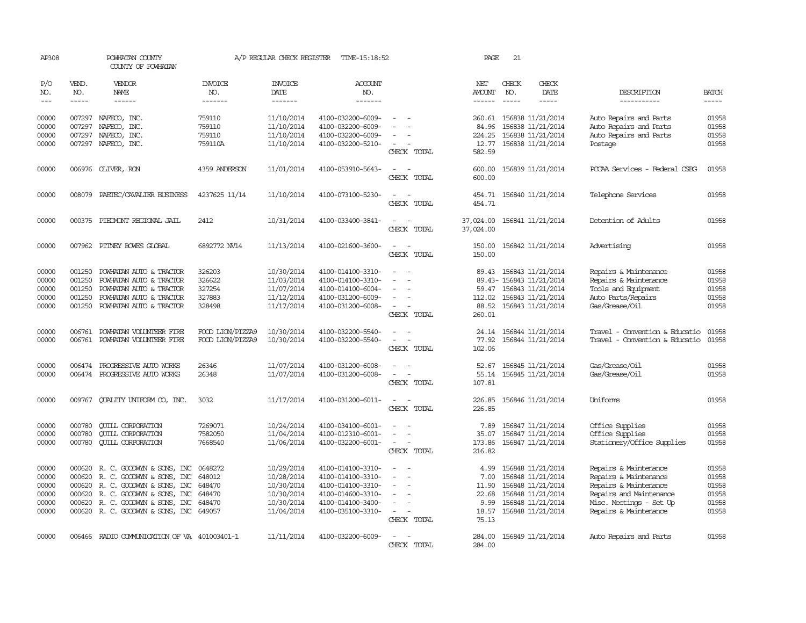| AP308                                              |                                                | POWHATAN COUNTY<br>COUNTY OF POWHATAN                                                                                                                                                   |                                                 | A/P REGULAR CHECK REGISTER                                                       | TIME-15:18:52                                                                                                              |                                                          | PAGE                                                     | 21                            |                                                                                                                            |                                                                                                                                                        |                                                    |
|----------------------------------------------------|------------------------------------------------|-----------------------------------------------------------------------------------------------------------------------------------------------------------------------------------------|-------------------------------------------------|----------------------------------------------------------------------------------|----------------------------------------------------------------------------------------------------------------------------|----------------------------------------------------------|----------------------------------------------------------|-------------------------------|----------------------------------------------------------------------------------------------------------------------------|--------------------------------------------------------------------------------------------------------------------------------------------------------|----------------------------------------------------|
| P/O<br>NO.<br>$\qquad \qquad - -$                  | VEND.<br>NO.<br>$- - - - -$                    | VENDOR<br><b>NAME</b><br>$- - - - - -$                                                                                                                                                  | <b>INVOICE</b><br>NO.<br>-------                | <b>INVOICE</b><br><b>DATE</b><br>-------                                         | <b>ACCOUNT</b><br>NO.<br>-------                                                                                           |                                                          | NET<br>AMOUNT                                            | CHECK<br>NO.<br>$\frac{1}{2}$ | CHECK<br>DATE<br>-----                                                                                                     | DESCRIPTION<br>-----------                                                                                                                             | <b>BATCH</b><br>$- - - - -$                        |
| 00000<br>00000<br>00000                            | 007297<br>007297<br>007297                     | NAFECO, INC.<br>NAFECO, INC.<br>NAFECO, INC.                                                                                                                                            | 759110<br>759110<br>759110                      | 11/10/2014<br>11/10/2014<br>11/10/2014                                           | 4100-032200-6009-<br>4100-032200-6009-<br>4100-032200-6009-                                                                |                                                          | 260.61<br>84.96<br>224.25                                |                               | 156838 11/21/2014<br>156838 11/21/2014<br>156838 11/21/2014                                                                | Auto Repairs and Parts<br>Auto Repairs and Parts<br>Auto Repairs and Parts                                                                             | 01958<br>01958<br>01958                            |
| 00000                                              | 007297                                         | NAFECO, INC.                                                                                                                                                                            | 759110A                                         | 11/10/2014                                                                       | 4100-032200-5210-                                                                                                          | $\sim$<br>CHECK TOTAL                                    | 12.77<br>582.59                                          |                               | 156838 11/21/2014                                                                                                          | Postage                                                                                                                                                | 01958                                              |
| 00000                                              |                                                | 006976 OLIVER, RON                                                                                                                                                                      | 4359 ANDERSON                                   | 11/01/2014                                                                       | 4100-053910-5643-                                                                                                          | CHECK TOTAL                                              | 600.00<br>600.00                                         |                               | 156839 11/21/2014                                                                                                          | PCCAA Services - Federal CSBG                                                                                                                          | 01958                                              |
| 00000                                              |                                                | 008079 PAETEC/CAVALIER BUSINESS                                                                                                                                                         | 4237625 11/14                                   | 11/10/2014                                                                       | 4100-073100-5230-                                                                                                          | $\omega_{\rm{max}}$ , $\omega_{\rm{max}}$<br>CHECK TOTAL | 454.71<br>454.71                                         |                               | 156840 11/21/2014                                                                                                          | Telephone Services                                                                                                                                     | 01958                                              |
| 00000                                              |                                                | 000375 PIEDMONT REGIONAL JAIL                                                                                                                                                           | 2412                                            | 10/31/2014                                                                       | 4100-033400-3841-                                                                                                          | CHECK TOTAL                                              | 37,024.00<br>37,024.00                                   |                               | 156841 11/21/2014                                                                                                          | Detention of Adults                                                                                                                                    | 01958                                              |
| 00000                                              |                                                | 007962 PITNEY BOWES GLOBAL                                                                                                                                                              | 6892772 NV14                                    | 11/13/2014                                                                       | 4100-021600-3600-                                                                                                          | $\overline{\phantom{a}}$<br>CHECK TOTAL                  | 150.00<br>150.00                                         |                               | 156842 11/21/2014                                                                                                          | Advertising                                                                                                                                            | 01958                                              |
| 00000<br>00000<br>00000                            | 001250<br>001250<br>001250                     | POWHATAN AUTO & TRACTOR<br>POWHATAN AUTO & TRACTOR<br>POWHATAN AUTO & TRACTOR                                                                                                           | 326203<br>326622<br>327254                      | 10/30/2014<br>11/03/2014<br>11/07/2014                                           | 4100-014100-3310-<br>4100-014100-3310-<br>4100-014100-6004-                                                                | $\equiv$                                                 | 89.43<br>59.47                                           |                               | 156843 11/21/2014<br>89.43-156843 11/21/2014<br>156843 11/21/2014                                                          | Repairs & Maintenance<br>Repairs & Maintenance<br>Tools and Equipment                                                                                  | 01958<br>01958<br>01958                            |
| 00000<br>00000                                     | 001250<br>001250                               | POWHATAN AUTO & TRACTOR<br>POWHATAN AUTO & TRACTOR                                                                                                                                      | 327883<br>328498                                | 11/12/2014<br>11/17/2014                                                         | 4100-031200-6009-<br>4100-031200-6008-                                                                                     | $\sim$<br>CHECK TOTAL                                    | 112.02<br>88.52<br>260.01                                |                               | 156843 11/21/2014<br>156843 11/21/2014                                                                                     | Auto Parts/Repairs<br>Gas/Grease/Oil                                                                                                                   | 01958<br>01958                                     |
| 00000<br>00000                                     | 006761<br>006761                               | POWHATAN VOLUNTEER FIRE<br>POWHATAN VOLUNIEER FIRE                                                                                                                                      | FOOD LION/PIZZA9<br>FOOD LION/PIZZA9            | 10/30/2014<br>10/30/2014                                                         | 4100-032200-5540-<br>4100-032200-5540-                                                                                     | CHECK TOTAL                                              | 24.14<br>77.92<br>102.06                                 |                               | 156844 11/21/2014<br>156844 11/21/2014                                                                                     | Travel - Convention & Educatio<br>Travel - Convention & Educatio                                                                                       | 01958<br>01958                                     |
| 00000<br>00000                                     | 006474                                         | 006474 PROGRESSIVE AUTO WORKS<br>PROGRESSIVE AUTO WORKS                                                                                                                                 | 26346<br>26348                                  | 11/07/2014<br>11/07/2014                                                         | 4100-031200-6008-<br>4100-031200-6008-                                                                                     | $\equiv$<br>CHECK TOTAL                                  | 52.67<br>55.14<br>107.81                                 |                               | 156845 11/21/2014<br>156845 11/21/2014                                                                                     | Gas/Grease/Oil<br>Gas/Grease/Oil                                                                                                                       | 01958<br>01958                                     |
| 00000                                              | 009767                                         | QUALITY UNIFORM CO, INC.                                                                                                                                                                | 3032                                            | 11/17/2014                                                                       | 4100-031200-6011-                                                                                                          | CHECK TOTAL                                              | 226.85<br>226.85                                         |                               | 156846 11/21/2014                                                                                                          | Uniforms                                                                                                                                               | 01958                                              |
| 00000<br>00000<br>00000                            | 000780<br>000780<br>000780                     | <b>QUILL CORPORATION</b><br><b>QUILL CORPORATION</b><br><b>CUILL CORPORATION</b>                                                                                                        | 7269071<br>7582050<br>7668540                   | 10/24/2014<br>11/04/2014<br>11/06/2014                                           | 4100-034100-6001-<br>4100-012310-6001-<br>4100-032200-6001-                                                                | $\overline{\phantom{a}}$<br>CHECK TOTAL                  | 7.89<br>35.07<br>173.86<br>216.82                        |                               | 156847 11/21/2014<br>156847 11/21/2014<br>156847 11/21/2014                                                                | Office Supplies<br>Office Supplies<br>Stationery/Office Supplies                                                                                       | 01958<br>01958<br>01958                            |
| 00000<br>00000<br>00000<br>00000<br>00000<br>00000 | 000620<br>000620<br>000620<br>000620<br>000620 | R. C. GOODWYN & SONS, INC<br>R. C. GOODWYN & SONS, INC<br>R. C. GOODWYN & SONS, INC<br>R. C. GOODWYN & SONS, INC<br>R. C. GOODWYN & SONS, INC<br>000620 R.C. GOODWYN & SONS, INC 649057 | 0648272<br>648012<br>648470<br>648470<br>648470 | 10/29/2014<br>10/28/2014<br>10/30/2014<br>10/30/2014<br>10/30/2014<br>11/04/2014 | 4100-014100-3310-<br>4100-014100-3310-<br>4100-014100-3310-<br>4100-014600-3310-<br>4100-014100-3400-<br>4100-035100-3310- | $\sim$<br>$\sim$<br>$\sim$<br>CHECK TOTAL                | 4.99<br>7.00<br>11.90<br>22.68<br>9.99<br>18.57<br>75.13 |                               | 156848 11/21/2014<br>156848 11/21/2014<br>156848 11/21/2014<br>156848 11/21/2014<br>156848 11/21/2014<br>156848 11/21/2014 | Repairs & Maintenance<br>Repairs & Maintenance<br>Repairs & Maintenance<br>Repairs and Maintenance<br>Misc. Meetings - Set Up<br>Repairs & Maintenance | 01958<br>01958<br>01958<br>01958<br>01958<br>01958 |
| 00000                                              |                                                | 006466 RADIO COMMUNICATION OF VA 401003401-1                                                                                                                                            |                                                 | 11/11/2014                                                                       | 4100-032200-6009-                                                                                                          | $\overline{\phantom{a}}$<br>CHECK TOTAL                  | 284.00<br>284.00                                         |                               | 156849 11/21/2014                                                                                                          | Auto Repairs and Parts                                                                                                                                 | 01958                                              |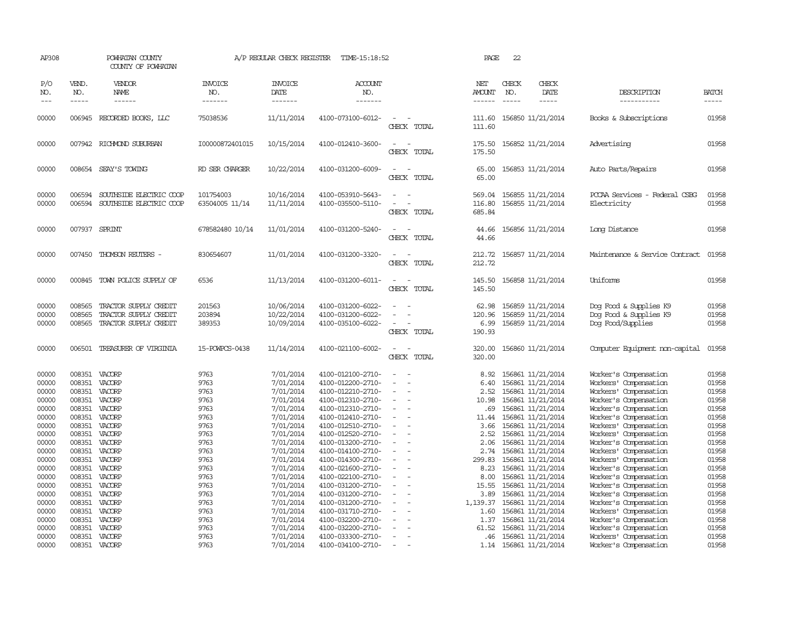| AP308                   |                             | POWHATAN COUNTY<br>COUNTY OF POWHATAN                                   |                                  | A/P REGULAR CHECK REGISTER             | TIME-15:18:52                                               |                          | PAGE                              | 22                            |                                                             |                                                                       |                         |
|-------------------------|-----------------------------|-------------------------------------------------------------------------|----------------------------------|----------------------------------------|-------------------------------------------------------------|--------------------------|-----------------------------------|-------------------------------|-------------------------------------------------------------|-----------------------------------------------------------------------|-------------------------|
| P/O<br>NO.<br>$---$     | VEND.<br>NO.<br>$- - - - -$ | VENDOR<br>NAME<br>------                                                | <b>INVOICE</b><br>NO.<br>------- | <b>INVOICE</b><br>DATE<br>-------      | <b>ACCOUNT</b><br>NO.<br>-------                            |                          | NET<br>AMOUNT<br>------           | CHECK<br>NO.<br>$\frac{1}{2}$ | CHECK<br>DATE<br>$- - - - -$                                | DESCRIPTION<br>-----------                                            | <b>BATCH</b><br>-----   |
| 00000                   |                             | 006945 RECORDED BOOKS, LLC                                              | 75038536                         | 11/11/2014                             | 4100-073100-6012-                                           | CHECK TOTAL              | 111.60<br>111.60                  |                               | 156850 11/21/2014                                           | Books & Subscriptions                                                 | 01958                   |
| 00000                   |                             | 007942 RICHMOND SUBURBAN                                                | I00000872401015                  | 10/15/2014                             | 4100-012410-3600-                                           | CHECK TOTAL              | 175.50<br>175.50                  |                               | 156852 11/21/2014                                           | Advertising                                                           | 01958                   |
| 00000                   |                             | 008654 SEAY'S TOWING                                                    | RD SER CHARGER                   | 10/22/2014                             | 4100-031200-6009-                                           | CHECK TOTAL              | 65.00<br>65.00                    |                               | 156853 11/21/2014                                           | Auto Parts/Repairs                                                    | 01958                   |
| 00000<br>00000          | 006594<br>006594            | SOUTHSIDE ELECTRIC COOP<br>SOUTHSIDE ELECTRIC COOP                      | 101754003<br>63504005 11/14      | 10/16/2014<br>11/11/2014               | 4100-053910-5643-<br>4100-035500-5110-                      | CHECK TOTAL              | 569.04<br>116.80<br>685.84        |                               | 156855 11/21/2014<br>156855 11/21/2014                      | PCCAA Services - Federal CSBG<br>Electricity                          | 01958<br>01958          |
| 00000                   |                             | 007937 SPRINT                                                           | 678582480 10/14                  | 11/01/2014                             | 4100-031200-5240-                                           | CHECK TOTAL              | 44.66<br>44.66                    |                               | 156856 11/21/2014                                           | Long Distance                                                         | 01958                   |
| 00000                   | 007450                      | THOMSON REUTERS -                                                       | 830654607                        | 11/01/2014                             | 4100-031200-3320-                                           | CHECK TOTAL              | 212.72<br>212.72                  |                               | 156857 11/21/2014                                           | Maintenance & Service Contract                                        | 01958                   |
| 00000                   | 000845                      | TOWN POLICE SUPPLY OF                                                   | 6536                             | 11/13/2014                             | 4100-031200-6011-                                           | CHECK TOTAL              | 145.50<br>145.50                  |                               | 156858 11/21/2014                                           | Uniforms                                                              | 01958                   |
| 00000<br>00000<br>00000 | 008565<br>008565<br>008565  | TRACTOR SUPPLY CREDIT<br>TRACTOR SUPPLY CREDIT<br>TRACTOR SUPPLY CREDIT | 201563<br>203894<br>389353       | 10/06/2014<br>10/22/2014<br>10/09/2014 | 4100-031200-6022-<br>4100-031200-6022-<br>4100-035100-6022- | CHECK TOTAL              | 62.98<br>120.96<br>6.99<br>190.93 |                               | 156859 11/21/2014<br>156859 11/21/2014<br>156859 11/21/2014 | Dog Food & Supplies K9<br>Dog Food & Supplies K9<br>Dog Food/Supplies | 01958<br>01958<br>01958 |
| 00000                   | 006501                      | TREASURER OF VIRGINIA                                                   | 15-POWPCS-0438                   | 11/14/2014                             | 4100-021100-6002-                                           | CHECK TOTAL              | 320.00<br>320.00                  |                               | 156860 11/21/2014                                           | Computer Equipment non-capital                                        | 01958                   |
| 00000                   | 008351                      | VACORP                                                                  | 9763                             | 7/01/2014                              | 4100-012100-2710-                                           |                          | 8.92                              |                               | 156861 11/21/2014                                           | Worker's Compensation                                                 | 01958                   |
| 00000                   | 008351                      | VACORP                                                                  | 9763                             | 7/01/2014                              | 4100-012200-2710-                                           |                          | 6.40                              |                               | 156861 11/21/2014                                           | Workers' Compensation                                                 | 01958                   |
| 00000                   | 008351                      | VACORP                                                                  | 9763                             | 7/01/2014                              | 4100-012210-2710-                                           |                          | 2.52                              |                               | 156861 11/21/2014                                           | Workers' Compensation                                                 | 01958                   |
| 00000                   | 008351                      | VACORP                                                                  | 9763                             | 7/01/2014                              | 4100-012310-2710-                                           |                          | 10.98                             |                               | 156861 11/21/2014                                           | Worker's Compensation                                                 | 01958                   |
| 00000                   | 008351                      | VACORP                                                                  | 9763                             | 7/01/2014                              | 4100-012310-2710-                                           |                          | .69                               |                               | 156861 11/21/2014                                           | Worker's Compensation                                                 | 01958                   |
| 00000<br>00000          | 008351<br>008351            | VACORP<br>VACORP                                                        | 9763<br>9763                     | 7/01/2014<br>7/01/2014                 | 4100-012410-2710-<br>4100-012510-2710-                      |                          | 11.44                             |                               | 156861 11/21/2014                                           | Worker's Compensation                                                 | 01958<br>01958          |
| 00000                   | 008351                      | VACORP                                                                  | 9763                             | 7/01/2014                              | 4100-012520-2710-                                           |                          | 3.66<br>2.52                      |                               | 156861 11/21/2014<br>156861 11/21/2014                      | Workers' Compensation<br>Workers' Compensation                        | 01958                   |
| 00000                   | 008351                      | VACORP                                                                  | 9763                             | 7/01/2014                              | 4100-013200-2710-                                           |                          | 2.06                              |                               | 156861 11/21/2014                                           | Worker's Compensation                                                 | 01958                   |
| 00000                   | 008351                      | VACORP                                                                  | 9763                             | 7/01/2014                              | 4100-014100-2710-                                           |                          | 2.74                              |                               | 156861 11/21/2014                                           | Workers' Compensation                                                 | 01958                   |
| 00000                   | 008351                      | VACORP                                                                  | 9763                             | 7/01/2014                              | 4100-014300-2710-                                           |                          | 299.83                            |                               | 156861 11/21/2014                                           | Workers' Compensation                                                 | 01958                   |
| 00000                   | 008351                      | VACORP                                                                  | 9763                             | 7/01/2014                              | 4100-021600-2710-                                           |                          | 8.23                              |                               | 156861 11/21/2014                                           | Worker's Compensation                                                 | 01958                   |
| 00000                   | 008351                      | VACORP                                                                  | 9763                             | 7/01/2014                              | 4100-022100-2710-                                           |                          | 8.00                              |                               | 156861 11/21/2014                                           | Worker's Compensation                                                 | 01958                   |
| 00000                   | 008351                      | VACORP                                                                  | 9763                             | 7/01/2014                              | 4100-031200-2710-                                           | $\overline{\phantom{a}}$ | 15.55                             |                               | 156861 11/21/2014                                           | Worker's Compensation                                                 | 01958                   |
| 00000                   | 008351                      | VACORP                                                                  | 9763                             | 7/01/2014                              | 4100-031200-2710-                                           |                          | 3.89                              |                               | 156861 11/21/2014                                           | Worker's Compensation                                                 | 01958                   |
| 00000                   | 008351                      | VACORP                                                                  | 9763                             | 7/01/2014                              | 4100-031200-2710-                                           |                          | 1,139.37                          |                               | 156861 11/21/2014                                           | Worker's Compensation                                                 | 01958                   |
| 00000                   | 008351                      | VACORP                                                                  | 9763                             | 7/01/2014                              | 4100-031710-2710-                                           |                          | 1.60                              |                               | 156861 11/21/2014                                           | Workers' Compensation                                                 | 01958                   |
| 00000                   | 008351                      | VACORP                                                                  | 9763                             | 7/01/2014                              | 4100-032200-2710-                                           |                          | 1.37                              |                               | 156861 11/21/2014                                           | Worker's Compensation                                                 | 01958                   |
| 00000                   | 008351                      | VACORP                                                                  | 9763                             | 7/01/2014                              | 4100-032200-2710-                                           |                          | 61.52                             |                               | 156861 11/21/2014                                           | Worker's Compensation                                                 | 01958                   |
| 00000                   | 008351                      | VACORP                                                                  | 9763                             | 7/01/2014                              | 4100-033300-2710-                                           |                          | .46                               |                               | 156861 11/21/2014                                           | Workers' Compensation                                                 | 01958                   |
| 00000                   |                             | 008351 VACORP                                                           | 9763                             | 7/01/2014                              | 4100-034100-2710-                                           | $\overline{\phantom{a}}$ |                                   |                               | 1.14 156861 11/21/2014                                      | Worker's Compensation                                                 | 01958                   |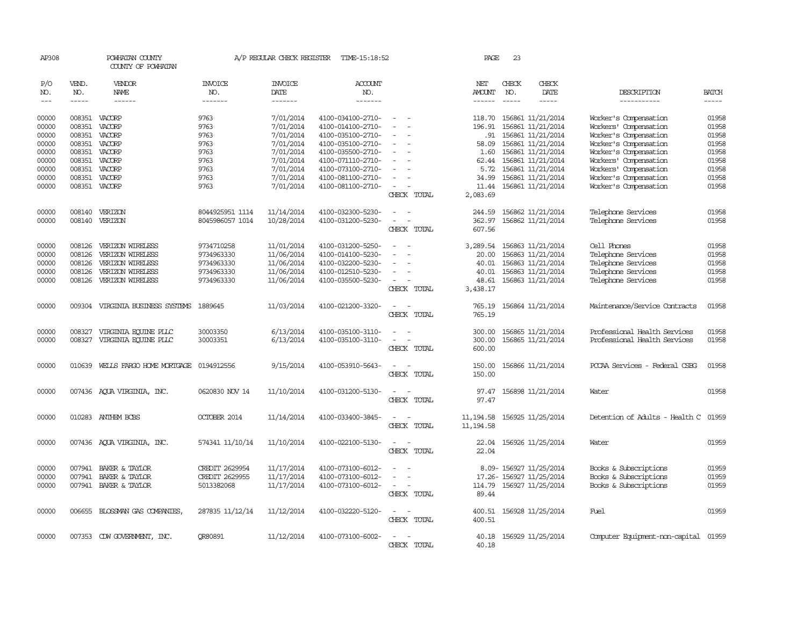| AP308         |                  | POWHATAN COUNTY<br>COUNTY OF POWHATAN |                          | A/P REGULAR CHECK REGISTER | TIME-15:18:52                          |                                                      | PAGE                         | 23            |                                        |                                      |                |
|---------------|------------------|---------------------------------------|--------------------------|----------------------------|----------------------------------------|------------------------------------------------------|------------------------------|---------------|----------------------------------------|--------------------------------------|----------------|
| P/O<br>NO.    | VEND.<br>NO.     | VENDOR<br>NAME                        | <b>INVOICE</b><br>NO.    | <b>INVOICE</b><br>DATE     | <b>ACCOUNT</b><br>NO.                  |                                                      | NET<br>AMOUNT                | CHECK<br>NO.  | CHECK<br>DATE                          | DESCRIPTION                          | <b>BATCH</b>   |
| $\frac{1}{2}$ | $\frac{1}{2}$    | $- - - - - -$                         | --------                 | -------                    | -------                                |                                                      |                              | $\frac{1}{2}$ | -----                                  | -----------                          | $- - - - -$    |
| 00000         |                  |                                       | 9763                     | 7/01/2014                  |                                        |                                                      |                              |               |                                        |                                      | 01958          |
|               |                  | 008351 VACORP                         |                          |                            | 4100-034100-2710-                      |                                                      | 118.70                       |               | 156861 11/21/2014                      | Worker's Compensation                |                |
| 00000         | 008351           | VACORP                                | 9763                     | 7/01/2014                  | 4100-014100-2710-                      |                                                      | 196.91                       |               | 156861 11/21/2014                      | Workers' Compensation                | 01958          |
| 00000         | 008351           | VACORP                                | 9763                     | 7/01/2014                  | 4100-035100-2710-                      |                                                      | .91                          |               | 156861 11/21/2014                      | Worker's Compensation                | 01958          |
| 00000         |                  | 008351 VACORP                         | 9763                     | 7/01/2014                  | 4100-035100-2710-                      | $\sim$<br>$\overline{\phantom{a}}$                   | 58.09                        |               | 156861 11/21/2014                      | Worker's Compensation                | 01958          |
| 00000         |                  | 008351 VACORP                         | 9763                     | 7/01/2014                  | 4100-035500-2710-                      | $\overline{\phantom{a}}$                             | 1.60                         |               | 156861 11/21/2014                      | Worker's Compensation                | 01958          |
| 00000         |                  | 008351 VACORP                         | 9763                     | 7/01/2014                  | 4100-071110-2710-                      |                                                      | 62.44                        |               | 156861 11/21/2014                      | Workers' Compensation                | 01958          |
| 00000         |                  | 008351 VACORP                         | 9763                     | 7/01/2014                  | 4100-073100-2710-                      | $\overline{\phantom{a}}$                             | 5.72                         |               | 156861 11/21/2014                      | Workers' Compensation                | 01958          |
| 00000         | 008351 VACORP    |                                       | 9763                     | 7/01/2014                  | 4100-081100-2710-                      | $\sim$                                               | 34.99                        |               | 156861 11/21/2014                      | Worker's Compensation                | 01958          |
| 00000         |                  | 008351 VACORP                         | 9763                     | 7/01/2014                  | 4100-081100-2710-                      | $\overline{\phantom{a}}$                             |                              |               | 11.44 156861 11/21/2014                | Worker's Compensation                | 01958          |
|               |                  |                                       |                          |                            |                                        | CHECK TOTAL                                          | 2,083.69                     |               |                                        |                                      |                |
| 00000         | 008140           | VERIZON                               | 8044925951 1114          | 11/14/2014                 | 4100-032300-5230-                      |                                                      | 244.59                       |               | 156862 11/21/2014                      | Telephone Services                   | 01958          |
| 00000         |                  | 008140 VERIZON                        | 8045986057 1014          | 10/28/2014                 | 4100-031200-5230-                      | $\sim$<br>$\overline{\phantom{a}}$                   | 362.97                       |               | 156862 11/21/2014                      | Telephone Services                   | 01958          |
|               |                  |                                       |                          |                            |                                        | CHECK TOTAL                                          | 607.56                       |               |                                        |                                      |                |
| 00000         | 008126           | VERIZON WIRELESS                      | 9734710258               | 11/01/2014                 | 4100-031200-5250-                      |                                                      | 3,289.54                     |               | 156863 11/21/2014                      | Cell Phones                          | 01958          |
| 00000         | 008126           | VERIZON WIRELESS                      | 9734963330               | 11/06/2014                 | 4100-014100-5230-                      |                                                      | 20.00                        |               | 156863 11/21/2014                      | Telephone Services                   | 01958          |
| 00000         |                  |                                       |                          |                            |                                        |                                                      |                              |               |                                        |                                      |                |
| 00000         | 008126<br>008126 | VERIZON WIRELESS<br>VERIZON WIRELESS  | 9734963330<br>9734963330 | 11/06/2014                 | 4100-032200-5230-<br>4100-012510-5230- |                                                      | 40.01<br>40.01               |               | 156863 11/21/2014                      | Telephone Services                   | 01958<br>01958 |
| 00000         | 008126           | VERIZON WIRELESS                      | 9734963330               | 11/06/2014<br>11/06/2014   | 4100-035500-5230-                      | $\sim$                                               | 48.61                        |               | 156863 11/21/2014<br>156863 11/21/2014 | Telephone Services                   | 01958          |
|               |                  |                                       |                          |                            |                                        | CHECK TOTAL                                          | 3,438.17                     |               |                                        | Telephone Services                   |                |
|               |                  |                                       |                          |                            |                                        |                                                      |                              |               |                                        |                                      |                |
| 00000         | 009304           | VIRGINIA BUSINESS SYSTEMS 1889645     |                          | 11/03/2014                 | 4100-021200-3320-                      |                                                      | 765.19                       |               | 156864 11/21/2014                      | Maintenance/Service Contracts        | 01958          |
|               |                  |                                       |                          |                            |                                        | CHECK TOTAL                                          | 765.19                       |               |                                        |                                      |                |
| 00000         | 008327           | VIRGINIA EQUINE PLLC                  | 30003350                 | 6/13/2014                  | 4100-035100-3110-                      |                                                      | 300.00                       |               | 156865 11/21/2014                      | Professional Health Services         | 01958          |
| 00000         |                  | 008327 VIRGINIA EQUINE PLLC           | 30003351                 | 6/13/2014                  | 4100-035100-3110-                      | $\sim$<br>$\overline{\phantom{a}}$                   | 300.00                       |               | 156865 11/21/2014                      | Professional Health Services         | 01958          |
|               |                  |                                       |                          |                            |                                        | CHECK TOTAL                                          | 600.00                       |               |                                        |                                      |                |
| 00000         |                  | 010639 WELLS FARGO HOME MORTGAGE      | 0194912556               |                            | 4100-053910-5643-                      | $\sim$ $\sim$                                        | 150.00                       |               | 156866 11/21/2014                      | PCCAA Services - Federal CSBG        | 01958          |
|               |                  |                                       |                          | 9/15/2014                  |                                        |                                                      |                              |               |                                        |                                      |                |
|               |                  |                                       |                          |                            |                                        | CHECK TOTAL                                          | 150.00                       |               |                                        |                                      |                |
| 00000         |                  | 007436 AQUA VIRGINIA, INC.            | 0620830 NOV 14           | 11/10/2014                 | 4100-031200-5130-                      | $\sim$<br>$\overline{\phantom{a}}$                   | 97.47                        |               | 156898 11/21/2014                      | Water                                | 01958          |
|               |                  |                                       |                          |                            |                                        | CHECK TOTAL                                          | 97.47                        |               |                                        |                                      |                |
| 00000         |                  | 010283 ANTHEM BCBS                    | OCTOBER 2014             | 11/14/2014                 | 4100-033400-3845-                      | $\sim$ $\sim$                                        | 11, 194.58 156925 11/25/2014 |               |                                        | Detention of Adults - Health C 01959 |                |
|               |                  |                                       |                          |                            |                                        | CHECK TOTAL                                          | 11, 194.58                   |               |                                        |                                      |                |
|               |                  |                                       |                          |                            |                                        |                                                      |                              |               |                                        |                                      |                |
| 00000         |                  | 007436 AQUA VIRGINIA, INC.            | 574341 11/10/14          | 11/10/2014                 | 4100-022100-5130-                      | $\sim$                                               | 22.04                        |               | 156926 11/25/2014                      | Water                                | 01959          |
|               |                  |                                       |                          |                            |                                        | CHECK TOTAL                                          | 22.04                        |               |                                        |                                      |                |
| 00000         |                  | 007941 BAKER & TAYLOR                 | <b>CREDIT 2629954</b>    | 11/17/2014                 | 4100-073100-6012-                      | $\sim$                                               |                              |               | 8.09-156927 11/25/2014                 | Books & Subscriptions                | 01959          |
| 00000         |                  | 007941 BAKER & TAYLOR                 | <b>CREDIT 2629955</b>    | 11/17/2014                 | 4100-073100-6012-                      |                                                      |                              |               | 17.26- 156927 11/25/2014               | Books & Subscriptions                | 01959          |
| 00000         |                  | 007941 BAKER & TAYLOR                 | 5013382068               | 11/17/2014                 | 4100-073100-6012-                      | $\overline{\phantom{a}}$<br>$\overline{\phantom{a}}$ |                              |               | 114.79 156927 11/25/2014               | Books & Subscriptions                | 01959          |
|               |                  |                                       |                          |                            |                                        | CHECK TOTAL                                          | 89.44                        |               |                                        |                                      |                |
|               |                  |                                       |                          |                            |                                        |                                                      |                              |               |                                        |                                      |                |
| 00000         |                  | 006655 BLOSSMAN GAS COMPANIES         | 287835 11/12/14          | 11/12/2014                 | 4100-032220-5120-                      | $\sim$ $ \sim$                                       | 400.51                       |               | 156928 11/25/2014                      | Fuel                                 | 01959          |
|               |                  |                                       |                          |                            |                                        | CHECK TOTAL                                          | 400.51                       |               |                                        |                                      |                |
| 00000         |                  | 007353 CDW GOVERNMENT, INC.           | <b>OR80891</b>           | 11/12/2014                 | 4100-073100-6002-                      | $\overline{a}$<br>$\sim$                             | 40.18                        |               | 156929 11/25/2014                      | Computer Equipment-non-capital 01959 |                |
|               |                  |                                       |                          |                            |                                        | CHECK TOTAL                                          | 40.18                        |               |                                        |                                      |                |
|               |                  |                                       |                          |                            |                                        |                                                      |                              |               |                                        |                                      |                |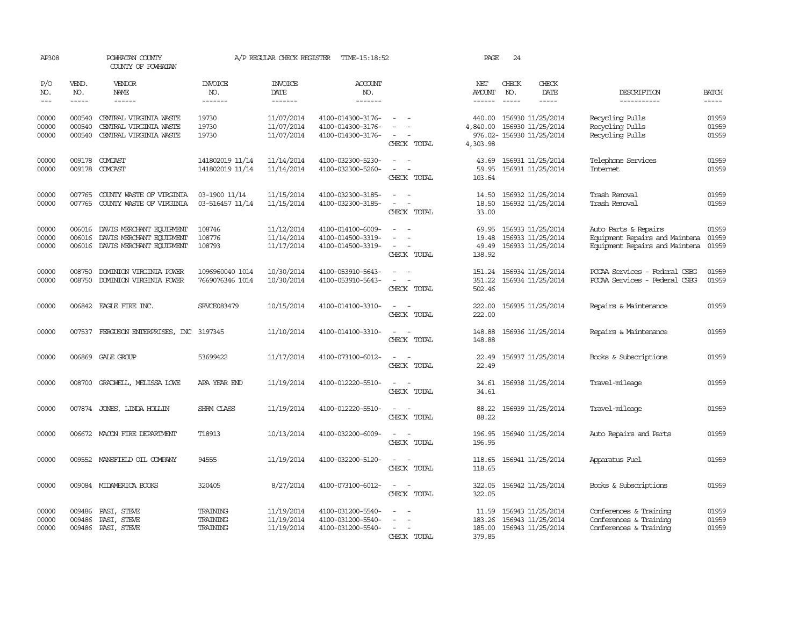| AP308                   |                            | POWHATAN COUNTY<br>COUNTY OF POWHATAN                                                                                                                                                                                                                                                                                                                                                                                                                                                               |                                    | A/P REGULAR CHECK REGISTER             | TIME-15:18:52                                               |                                                                                       | PAGE                                  | 24                            |                                                                     |                                                                                          |                         |
|-------------------------|----------------------------|-----------------------------------------------------------------------------------------------------------------------------------------------------------------------------------------------------------------------------------------------------------------------------------------------------------------------------------------------------------------------------------------------------------------------------------------------------------------------------------------------------|------------------------------------|----------------------------------------|-------------------------------------------------------------|---------------------------------------------------------------------------------------|---------------------------------------|-------------------------------|---------------------------------------------------------------------|------------------------------------------------------------------------------------------|-------------------------|
| P/O<br>NO.<br>$---$     | VEND.<br>NO.<br>$\cdots$   | VENDOR<br><b>NAME</b><br>$\frac{1}{2} \left( \frac{1}{2} \right) \left( \frac{1}{2} \right) \left( \frac{1}{2} \right) \left( \frac{1}{2} \right) \left( \frac{1}{2} \right) \left( \frac{1}{2} \right) \left( \frac{1}{2} \right) \left( \frac{1}{2} \right) \left( \frac{1}{2} \right) \left( \frac{1}{2} \right) \left( \frac{1}{2} \right) \left( \frac{1}{2} \right) \left( \frac{1}{2} \right) \left( \frac{1}{2} \right) \left( \frac{1}{2} \right) \left( \frac{1}{2} \right) \left( \frac$ | <b>INVOICE</b><br>NO.<br>-------   | <b>INVOICE</b><br>DATE<br>-------      | <b>ACCOUNT</b><br>NO.<br>-------                            |                                                                                       | NET<br><b>AMOUNT</b><br>$- - - - - -$ | CHECK<br>NO.<br>$\frac{1}{2}$ | CHECK<br>DATE<br>-----                                              | DESCRIPTION<br>-----------                                                               | <b>BATCH</b><br>-----   |
| 00000<br>00000<br>00000 | 000540<br>000540<br>000540 | CENTRAL VIRGINIA WASTE<br>CENTRAL VIRGINIA WASTE<br>CENTRAL VIRGINIA WASTE                                                                                                                                                                                                                                                                                                                                                                                                                          | 19730<br>19730<br>19730            | 11/07/2014<br>11/07/2014<br>11/07/2014 | 4100-014300-3176-<br>4100-014300-3176-<br>4100-014300-3176- | $\sim$<br>CHECK TOTAL                                                                 | 440.00<br>4,840.00<br>4,303.98        |                               | 156930 11/25/2014<br>156930 11/25/2014<br>976.02- 156930 11/25/2014 | Recycling Pulls<br>Recycling Pulls<br>Recycling Pulls                                    | 01959<br>01959<br>01959 |
| 00000<br>00000          | 009178                     | 009178 COMCAST<br>COMCAST                                                                                                                                                                                                                                                                                                                                                                                                                                                                           | 141802019 11/14<br>141802019 11/14 | 11/14/2014<br>11/14/2014               | 4100-032300-5230-<br>4100-032300-5260-                      | $\sim$<br>$\overline{a}$<br>$\sim$<br>CHECK TOTAL                                     | 43.69<br>59.95<br>103.64              |                               | 156931 11/25/2014<br>156931 11/25/2014                              | Telephone Services<br><b>Internet</b>                                                    | 01959<br>01959          |
| 00000<br>00000          | 007765<br>007765           | COUNTY WASTE OF VIRGINIA<br>COUNTY WASTE OF VIRGINIA                                                                                                                                                                                                                                                                                                                                                                                                                                                | 03-1900 11/14<br>03-516457 11/14   | 11/15/2014<br>11/15/2014               | 4100-032300-3185-<br>4100-032300-3185-                      | $\sim$<br>$\sim$<br>$\overline{\phantom{a}}$<br>CHECK TOTAL                           | 14.50<br>18.50<br>33.00               |                               | 156932 11/25/2014<br>156932 11/25/2014                              | Trash Removal<br>Trash Removal                                                           | 01959<br>01959          |
| 00000<br>00000<br>00000 |                            | 006016 DAVIS MERCHANT EQUIPMENT<br>006016 DAVIS MERCHANT EQUIPMENT<br>006016 DAVIS MERCHANT EQUIPMENT                                                                                                                                                                                                                                                                                                                                                                                               | 108746<br>108776<br>108793         | 11/12/2014<br>11/14/2014<br>11/17/2014 | 4100-014100-6009-<br>4100-014500-3319-<br>4100-014500-3319- | $\overline{\phantom{a}}$<br>$\overline{a}$<br>$\overline{\phantom{a}}$<br>CHECK TOTAL | 69.95<br>19.48<br>49.49<br>138.92     |                               | 156933 11/25/2014<br>156933 11/25/2014<br>156933 11/25/2014         | Auto Parts & Repairs<br>Equipment Repairs and Maintena<br>Equipment Repairs and Maintena | 01959<br>01959<br>01959 |
| 00000<br>00000          | 008750<br>008750           | DOMINION VIRGINIA POWER<br>DOMINION VIRGINIA POWER                                                                                                                                                                                                                                                                                                                                                                                                                                                  | 1096960040 1014<br>7669076346 1014 | 10/30/2014<br>10/30/2014               | 4100-053910-5643-<br>4100-053910-5643-                      | $\sim$<br>$\overline{\phantom{a}}$<br>CHECK TOTAL                                     | 151.24<br>351.22<br>502.46            |                               | 156934 11/25/2014<br>156934 11/25/2014                              | PCCAA Services - Federal CSBG<br>PCCAA Services - Federal CSBG                           | 01959<br>01959          |
| 00000                   |                            | 006842 EAGLE FIRE INC.                                                                                                                                                                                                                                                                                                                                                                                                                                                                              | SRVCE083479                        | 10/15/2014                             | 4100-014100-3310-                                           | $\sim$<br>$\sim$<br>CHECK TOTAL                                                       | 222.00<br>222.00                      |                               | 156935 11/25/2014                                                   | Repairs & Maintenance                                                                    | 01959                   |
| 00000                   |                            | 007537 FERGUSON ENTERPRISES, INC 3197345                                                                                                                                                                                                                                                                                                                                                                                                                                                            |                                    | 11/10/2014                             | 4100-014100-3310-                                           | CHECK TOTAL                                                                           | 148.88<br>148.88                      |                               | 156936 11/25/2014                                                   | Repairs & Maintenance                                                                    | 01959                   |
| 00000                   |                            | 006869 GALE GROUP                                                                                                                                                                                                                                                                                                                                                                                                                                                                                   | 53699422                           | 11/17/2014                             | 4100-073100-6012-                                           | $\overline{\phantom{a}}$<br>CHECK TOTAL                                               | 22.49<br>22.49                        |                               | 156937 11/25/2014                                                   | Books & Subscriptions                                                                    | 01959                   |
| 00000                   | 008700                     | GRADWELL, MELISSA LOWE                                                                                                                                                                                                                                                                                                                                                                                                                                                                              | APA YEAR END                       | 11/19/2014                             | 4100-012220-5510-                                           | CHECK TOTAL                                                                           | 34.61<br>34.61                        |                               | 156938 11/25/2014                                                   | Travel-mileage                                                                           | 01959                   |
| 00000                   |                            | 007874 JONES, LINDA HOLLIN                                                                                                                                                                                                                                                                                                                                                                                                                                                                          | SHRM CLASS                         | 11/19/2014                             | 4100-012220-5510-                                           | CHECK TOTAL                                                                           | 88.22<br>88.22                        |                               | 156939 11/25/2014                                                   | Travel-mileage                                                                           | 01959                   |
| 00000                   |                            | 006672 MACON FIRE DEPARTMENT                                                                                                                                                                                                                                                                                                                                                                                                                                                                        | T18913                             | 10/13/2014                             | 4100-032200-6009-                                           | CHECK TOTAL                                                                           | 196.95<br>196.95                      |                               | 156940 11/25/2014                                                   | Auto Repairs and Parts                                                                   | 01959                   |
| 00000                   | 009552                     | MANSFIELD OIL COMPANY                                                                                                                                                                                                                                                                                                                                                                                                                                                                               | 94555                              | 11/19/2014                             | 4100-032200-5120-                                           | CHECK TOTAL                                                                           | 118.65<br>118.65                      |                               | 156941 11/25/2014                                                   | Apparatus Fuel                                                                           | 01959                   |
| 00000                   |                            | 009084 MIDAMERICA BOOKS                                                                                                                                                                                                                                                                                                                                                                                                                                                                             | 320405                             | 8/27/2014                              | 4100-073100-6012-                                           | CHECK TOTAL                                                                           | 322.05<br>322.05                      |                               | 156942 11/25/2014                                                   | Books & Subscriptions                                                                    | 01959                   |
| 00000<br>00000<br>00000 | 009486<br>009486           | PASI, STEVE<br>PASI, STEVE<br>009486 PASI, STEVE                                                                                                                                                                                                                                                                                                                                                                                                                                                    | TRAINING<br>TRAINING<br>TRAINING   | 11/19/2014<br>11/19/2014<br>11/19/2014 | 4100-031200-5540-<br>4100-031200-5540-<br>4100-031200-5540- | $\equiv$<br>CHECK TOTAL                                                               | 11.59<br>183.26<br>185.00<br>379.85   |                               | 156943 11/25/2014<br>156943 11/25/2014<br>156943 11/25/2014         | Conferences & Training<br>Conferences & Training<br>Conferences & Training               | 01959<br>01959<br>01959 |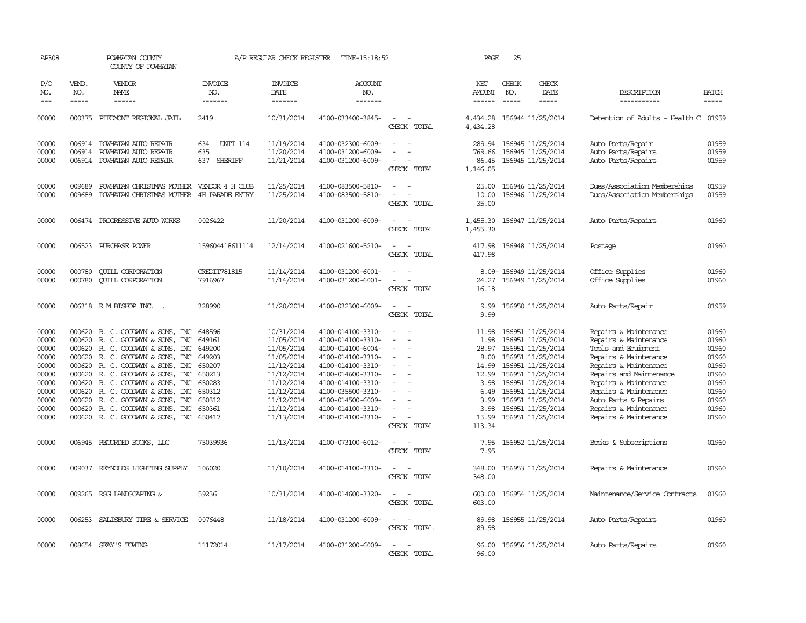| AP308                                                                                           |                            | POWHATAN COUNTY<br>COUNTY OF POWHATAN                                                                                                                                                                                                                                                                                                                                               |                                                                                                            | A/P REGULAR CHECK REGISTER                                                                                                                             | TIME-15:18:52                                                                                                                                                                                                                       |                                                                                                                                                                                 | PAGE                                                                                       | 25                            |                                                                                                                                                                                                                                           |                                                                                                                                                                                                                                                                                |                                                                                                 |
|-------------------------------------------------------------------------------------------------|----------------------------|-------------------------------------------------------------------------------------------------------------------------------------------------------------------------------------------------------------------------------------------------------------------------------------------------------------------------------------------------------------------------------------|------------------------------------------------------------------------------------------------------------|--------------------------------------------------------------------------------------------------------------------------------------------------------|-------------------------------------------------------------------------------------------------------------------------------------------------------------------------------------------------------------------------------------|---------------------------------------------------------------------------------------------------------------------------------------------------------------------------------|--------------------------------------------------------------------------------------------|-------------------------------|-------------------------------------------------------------------------------------------------------------------------------------------------------------------------------------------------------------------------------------------|--------------------------------------------------------------------------------------------------------------------------------------------------------------------------------------------------------------------------------------------------------------------------------|-------------------------------------------------------------------------------------------------|
| P/O<br>NO.<br>$---$                                                                             | VEND.<br>NO.               | <b>VENDOR</b><br>NAME<br>$- - - - - -$                                                                                                                                                                                                                                                                                                                                              | <b>INVOICE</b><br>NO.<br>-------                                                                           | <b>INVOICE</b><br>DATE<br>$- - - - - - -$                                                                                                              | <b>ACCOUNT</b><br>NO.<br>-------                                                                                                                                                                                                    |                                                                                                                                                                                 | NET<br>AMOUNT<br>------                                                                    | CHECK<br>NO.<br>$\frac{1}{2}$ | CHECK<br>DATE<br>$- - - - -$                                                                                                                                                                                                              | DESCRIPTION<br>-----------                                                                                                                                                                                                                                                     | <b>BATCH</b><br>-----                                                                           |
| 00000                                                                                           |                            | 000375 PIEDMONT REGIONAL JAIL                                                                                                                                                                                                                                                                                                                                                       | 2419                                                                                                       | 10/31/2014                                                                                                                                             | 4100-033400-3845-                                                                                                                                                                                                                   | $\sim$<br>CHECK TOTAL                                                                                                                                                           | 4,434.28                                                                                   |                               | 4,434.28 156944 11/25/2014                                                                                                                                                                                                                | Detention of Adults - Health C 01959                                                                                                                                                                                                                                           |                                                                                                 |
| 00000<br>00000<br>00000                                                                         | 006914                     | POWHATAN AUTO REPAIR<br>006914 POWHATAN AUTO REPAIR<br>006914 POWHATAN AUTO REPAIR                                                                                                                                                                                                                                                                                                  | <b>UNIT 114</b><br>634<br>635<br>637 SHERIFF                                                               | 11/19/2014<br>11/20/2014<br>11/21/2014                                                                                                                 | 4100-032300-6009-<br>4100-031200-6009-<br>4100-031200-6009-                                                                                                                                                                         | $\equiv$<br>$\overline{\phantom{a}}$<br>$\equiv$<br>CHECK TOTAL                                                                                                                 | 289.94<br>769.66<br>86.45<br>1,146.05                                                      |                               | 156945 11/25/2014<br>156945 11/25/2014<br>156945 11/25/2014                                                                                                                                                                               | Auto Parts/Repair<br>Auto Parts/Repairs<br>Auto Parts/Repairs                                                                                                                                                                                                                  | 01959<br>01959<br>01959                                                                         |
| 00000<br>00000                                                                                  | 009689<br>009689           | POWHATAN CHRISTMAS MOTHER VENDOR 4 H CLUB<br>POWHATAN CHRISTMAS MOTHER                                                                                                                                                                                                                                                                                                              | 4H PARADE ENTRY                                                                                            | 11/25/2014<br>11/25/2014                                                                                                                               | 4100-083500-5810-<br>4100-083500-5810-                                                                                                                                                                                              | $\sim$<br>$\sim$<br>CHECK TOTAL                                                                                                                                                 | 25.00<br>10.00<br>35.00                                                                    |                               | 156946 11/25/2014<br>156946 11/25/2014                                                                                                                                                                                                    | Dues/Association Memberships<br>Dues/Association Memberships                                                                                                                                                                                                                   | 01959<br>01959                                                                                  |
| 00000                                                                                           |                            | 006474 PROGRESSIVE AUIO WORKS                                                                                                                                                                                                                                                                                                                                                       | 0026422                                                                                                    | 11/20/2014                                                                                                                                             | 4100-031200-6009-                                                                                                                                                                                                                   | $\overline{\phantom{a}}$<br>CHECK TOTAL                                                                                                                                         | 1,455.30<br>1,455.30                                                                       |                               | 156947 11/25/2014                                                                                                                                                                                                                         | Auto Parts/Repairs                                                                                                                                                                                                                                                             | 01960                                                                                           |
| 00000                                                                                           |                            | 006523 PURCHASE POWER                                                                                                                                                                                                                                                                                                                                                               | 159604418611114                                                                                            | 12/14/2014                                                                                                                                             | 4100-021600-5210-                                                                                                                                                                                                                   | $\equiv$<br>CHECK TOTAL                                                                                                                                                         | 417.98<br>417.98                                                                           |                               | 156948 11/25/2014                                                                                                                                                                                                                         | Postage                                                                                                                                                                                                                                                                        | 01960                                                                                           |
| 00000<br>00000                                                                                  | 000780<br>000780           | <b>CUILL CORPORATION</b><br><b>CUILL CORPORATION</b>                                                                                                                                                                                                                                                                                                                                | <b>CREDIT781815</b><br>7916967                                                                             | 11/14/2014<br>11/14/2014                                                                                                                               | 4100-031200-6001-<br>4100-031200-6001-                                                                                                                                                                                              | $\overline{\phantom{a}}$<br>CHECK TOTAL                                                                                                                                         | 24.27<br>16.18                                                                             |                               | 8.09-156949 11/25/2014<br>156949 11/25/2014                                                                                                                                                                                               | Office Supplies<br>Office Supplies                                                                                                                                                                                                                                             | 01960<br>01960                                                                                  |
| 00000                                                                                           |                            | 006318 RM BISHOP INC. .                                                                                                                                                                                                                                                                                                                                                             | 328990                                                                                                     | 11/20/2014                                                                                                                                             | 4100-032300-6009-                                                                                                                                                                                                                   | $\sim$<br>CHECK TOTAL                                                                                                                                                           | 9.99<br>9.99                                                                               |                               | 156950 11/25/2014                                                                                                                                                                                                                         | Auto Parts/Repair                                                                                                                                                                                                                                                              | 01959                                                                                           |
| 00000<br>00000<br>00000<br>00000<br>00000<br>00000<br>00000<br>00000<br>00000<br>00000<br>00000 | 000620<br>000620<br>000620 | 000620 R. C. GOODWYN & SONS, INC<br>R. C. GOODWYN & SONS, INC<br>000620 R. C. GOODWYN & SONS, INC<br>000620 R. C. GOODWYN & SONS, INC<br>000620 R. C. GOODWYN & SONS, INC<br>000620 R. C. GOODWYN & SONS, INC<br>000620 R. C. GOODWYN & SONS, INC<br>R. C. GOODWIN & SONS, INC<br>R. C. GOODWYN & SONS, INC<br>000620 R. C. GOODWYN & SONS, INC<br>000620 R. C. GOODWYN & SONS, INC | 648596<br>649161<br>649200<br>649203<br>650207<br>650213<br>650283<br>650312<br>650312<br>650361<br>650417 | 10/31/2014<br>11/05/2014<br>11/05/2014<br>11/05/2014<br>11/12/2014<br>11/12/2014<br>11/12/2014<br>11/12/2014<br>11/12/2014<br>11/12/2014<br>11/13/2014 | 4100-014100-3310-<br>4100-014100-3310-<br>4100-014100-6004-<br>4100-014100-3310-<br>4100-014100-3310-<br>4100-014600-3310-<br>4100-014100-3310-<br>4100-035500-3310-<br>4100-014500-6009-<br>4100-014100-3310-<br>4100-014100-3310- | $\equiv$<br>$\overline{\phantom{a}}$<br>$\overline{a}$<br>$\sim$<br>$\overline{\phantom{a}}$<br>$\overline{\phantom{a}}$<br>$\equiv$<br>$\overline{\phantom{a}}$<br>CHECK TOTAL | 11.98<br>1.98<br>28.97<br>8.00<br>12.99<br>3.98<br>6.49<br>3.99<br>3.98<br>15.99<br>113.34 |                               | 156951 11/25/2014<br>156951 11/25/2014<br>156951 11/25/2014<br>156951 11/25/2014<br>14.99 156951 11/25/2014<br>156951 11/25/2014<br>156951 11/25/2014<br>156951 11/25/2014<br>156951 11/25/2014<br>156951 11/25/2014<br>156951 11/25/2014 | Repairs & Maintenance<br>Repairs & Maintenance<br>Tools and Equipment<br>Repairs & Maintenance<br>Repairs & Maintenance<br>Repairs and Maintenance<br>Repairs & Maintenance<br>Repairs & Maintenance<br>Auto Parts & Repairs<br>Repairs & Maintenance<br>Repairs & Maintenance | 01960<br>01960<br>01960<br>01960<br>01960<br>01960<br>01960<br>01960<br>01960<br>01960<br>01960 |
| 00000                                                                                           |                            | 006945 RECORDED BOOKS, LLC                                                                                                                                                                                                                                                                                                                                                          | 75039936                                                                                                   | 11/13/2014                                                                                                                                             | 4100-073100-6012-                                                                                                                                                                                                                   | CHECK TOTAL                                                                                                                                                                     | 7.95<br>7.95                                                                               |                               | 156952 11/25/2014                                                                                                                                                                                                                         | Books & Subscriptions                                                                                                                                                                                                                                                          | 01960                                                                                           |
| 00000                                                                                           | 009037                     | REYNOLDS LIGHTING SUPPLY                                                                                                                                                                                                                                                                                                                                                            | 106020                                                                                                     | 11/10/2014                                                                                                                                             | 4100-014100-3310-                                                                                                                                                                                                                   | CHECK TOTAL                                                                                                                                                                     | 348.00<br>348.00                                                                           |                               | 156953 11/25/2014                                                                                                                                                                                                                         | Repairs & Maintenance                                                                                                                                                                                                                                                          | 01960                                                                                           |
| 00000                                                                                           |                            | 009265 RSG LANDSCAPING &                                                                                                                                                                                                                                                                                                                                                            | 59236                                                                                                      | 10/31/2014                                                                                                                                             | 4100-014600-3320-                                                                                                                                                                                                                   | CHECK TOTAL                                                                                                                                                                     | 603.00<br>603.00                                                                           |                               | 156954 11/25/2014                                                                                                                                                                                                                         | Maintenance/Service Contracts                                                                                                                                                                                                                                                  | 01960                                                                                           |
| 00000                                                                                           |                            | 006253 SALISBURY TIRE & SERVICE                                                                                                                                                                                                                                                                                                                                                     | 0076448                                                                                                    | 11/18/2014                                                                                                                                             | 4100-031200-6009-                                                                                                                                                                                                                   | CHECK TOTAL                                                                                                                                                                     | 89.98<br>89.98                                                                             |                               | 156955 11/25/2014                                                                                                                                                                                                                         | Auto Parts/Repairs                                                                                                                                                                                                                                                             | 01960                                                                                           |
| 00000                                                                                           |                            | 008654 SEAY'S TOWING                                                                                                                                                                                                                                                                                                                                                                | 11172014                                                                                                   | 11/17/2014                                                                                                                                             | 4100-031200-6009-                                                                                                                                                                                                                   | CHECK TOTAL                                                                                                                                                                     | 96.00<br>96.00                                                                             |                               | 156956 11/25/2014                                                                                                                                                                                                                         | Auto Parts/Repairs                                                                                                                                                                                                                                                             | 01960                                                                                           |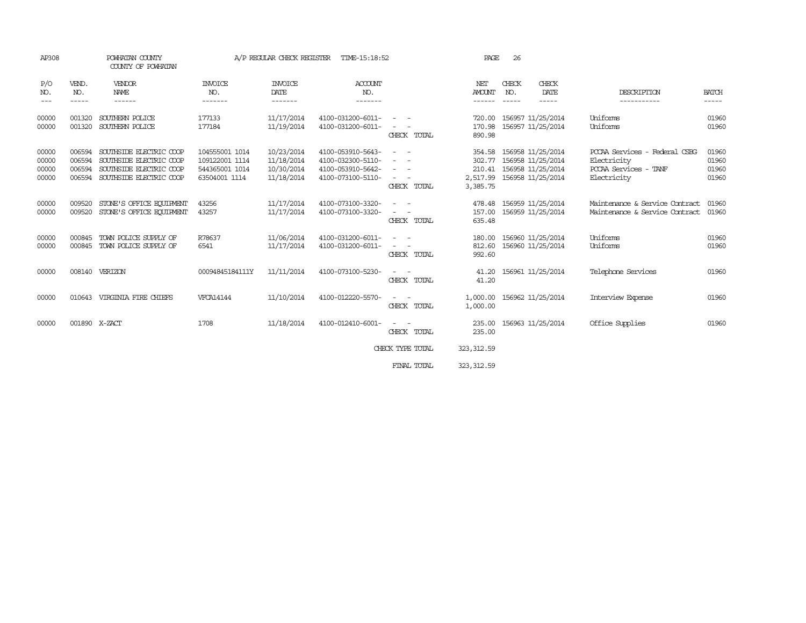| AP308                            |                                      | POWHATAN COUNTY<br>COUNTY OF POWHATAN                                                                    | A/P REGULAR CHECK REGISTER<br>TIME-15:18:52                         |                                                      |                                                                                  |                                         | PAGE                                             | 26                       |                                                                           |                                                                                         |                                  |
|----------------------------------|--------------------------------------|----------------------------------------------------------------------------------------------------------|---------------------------------------------------------------------|------------------------------------------------------|----------------------------------------------------------------------------------|-----------------------------------------|--------------------------------------------------|--------------------------|---------------------------------------------------------------------------|-----------------------------------------------------------------------------------------|----------------------------------|
| P/O<br>NO.<br>$- - -$            | VEND.<br>NO.<br>$- - - - -$          | VENDOR<br>NAME<br>------                                                                                 | <b>INVOICE</b><br>NO.<br>-------                                    | <b>INVOICE</b><br>DATE<br>-------                    | <b>ACCOUNT</b><br>NO.<br>-------                                                 |                                         | NET<br><b>AMOUNT</b>                             | CHECK<br>NO.<br>-----    | CHECK<br>DATE<br>-----                                                    | DESCRIPTION<br>. _ _ _ _ _ _ _ _ _ _                                                    | <b>BATCH</b><br>-----            |
| 00000<br>00000                   | 001320<br>001320                     | SOUTHERN POLICE<br>SOUTHERN POLICE                                                                       | 177133<br>177184                                                    | 11/17/2014<br>11/19/2014                             | 4100-031200-6011-<br>4100-031200-6011-                                           | CHECK TOTAL                             | 720.00<br>890.98                                 | 170.98 156957 11/25/2014 | 156957 11/25/2014                                                         | Uniforms<br>Uniforms                                                                    | 01960<br>01960                   |
| 00000<br>00000<br>00000<br>00000 | 006594<br>006594<br>006594<br>006594 | SOUTHSIDE ELECTRIC COOP<br>SOUTHSIDE ELECTRIC COOP<br>SOUTHSIDE ELECTRIC COOP<br>SOUTHSIDE ELECTRIC COOP | 104555001 1014<br>109122001 1114<br>544365001 1014<br>63504001 1114 | 10/23/2014<br>11/18/2014<br>10/30/2014<br>11/18/2014 | 4100-053910-5643-<br>4100-032300-5110-<br>4100-053910-5642-<br>4100-073100-5110- | $\overline{\phantom{a}}$<br>CHECK TOTAL | 354.58<br>2,517.99 156958 11/25/2014<br>3,385.75 |                          | 156958 11/25/2014<br>302.77 156958 11/25/2014<br>210.41 156958 11/25/2014 | PCCAA Services - Federal CSBG<br>Electricity<br>PCCAA Services -<br>TANF<br>Electricity | 01960<br>01960<br>01960<br>01960 |
| 00000<br>00000                   | 009520<br>009520                     | STONE'S OFFICE EQUIPMENT<br>STONE'S OFFICE EQUIPMENT                                                     | 43256<br>43257                                                      | 11/17/2014<br>11/17/2014                             | 4100-073100-3320-<br>4100-073100-3320-                                           | CHECK TOTAL                             | 478.48<br>635.48                                 |                          | 156959 11/25/2014<br>157.00 156959 11/25/2014                             | Maintenance & Service Contract<br>Maintenance & Service Contract                        | 01960<br>01960                   |
| 00000<br>00000                   | 000845<br>000845                     | TOWN POLICE SUPPLY OF<br>TOWN POLICE SUPPLY OF                                                           | R78637<br>6541                                                      | 11/06/2014<br>11/17/2014                             | 4100-031200-6011-<br>4100-031200-6011-                                           | CHECK TOTAL                             | 180.00<br>992.60                                 | 812.60 156960 11/25/2014 | 156960 11/25/2014                                                         | Uniforms<br>Uniforms                                                                    | 01960<br>01960                   |
| 00000                            |                                      | 008140 VERIZON                                                                                           | 00094845184111Y                                                     | 11/11/2014                                           | 4100-073100-5230-                                                                | CHECK TOTAL                             | 41.20<br>41.20                                   |                          | 156961 11/25/2014                                                         | Telephone Services                                                                      | 01960                            |
| 00000                            |                                      | 010643 VIRGINIA FIRE CHIEFS                                                                              | <b>VFCA14144</b>                                                    | 11/10/2014                                           | 4100-012220-5570-                                                                | $\overline{\phantom{a}}$<br>CHECK TOTAL | 1,000.00 156962 11/25/2014<br>1,000.00           |                          |                                                                           | Interview Expense                                                                       | 01960                            |
| 00000                            | 001890 X-ZACT                        |                                                                                                          | 1708                                                                | 11/18/2014                                           | 4100-012410-6001-                                                                | CHECK TOTAL                             | 235.00<br>235.00                                 |                          | 156963 11/25/2014                                                         | Office Supplies                                                                         | 01960                            |
|                                  |                                      |                                                                                                          |                                                                     |                                                      |                                                                                  | CHECK TYPE TOTAL                        | 323, 312.59                                      |                          |                                                                           |                                                                                         |                                  |
|                                  |                                      |                                                                                                          |                                                                     |                                                      |                                                                                  | FINAL TOTAL                             | 323, 312.59                                      |                          |                                                                           |                                                                                         |                                  |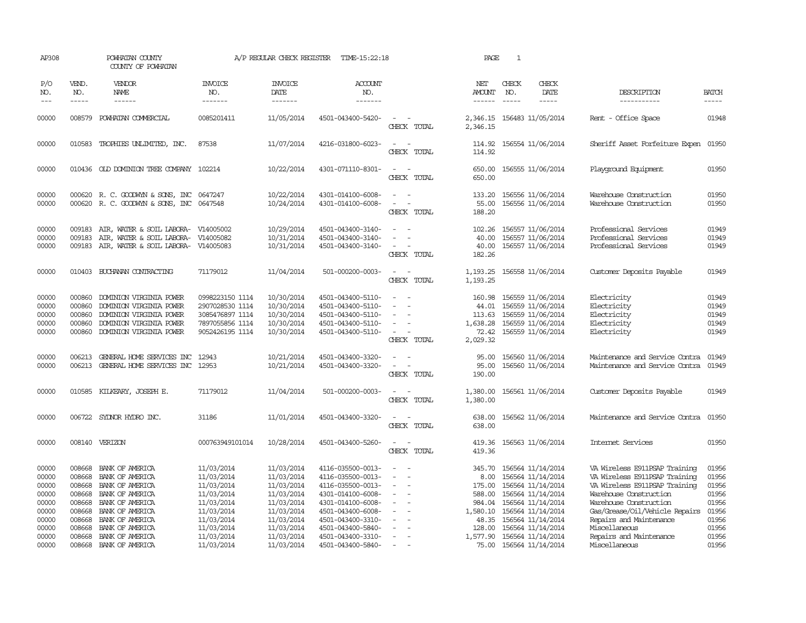| AP308                                                       |                                      | POWHATAN COUNTY<br>COUNTY OF POWHATAN                                                                                                                  |                                                                                                | A/P REGULAR CHECK REGISTER                                                                     | TIME-15:22:18                                                                                                                                   |                                                                                                                             | PAGE                                           | $\mathbf{1}$                  |                                                                                                                                                     |                                                                                                                                                                                                                  |                                                             |
|-------------------------------------------------------------|--------------------------------------|--------------------------------------------------------------------------------------------------------------------------------------------------------|------------------------------------------------------------------------------------------------|------------------------------------------------------------------------------------------------|-------------------------------------------------------------------------------------------------------------------------------------------------|-----------------------------------------------------------------------------------------------------------------------------|------------------------------------------------|-------------------------------|-----------------------------------------------------------------------------------------------------------------------------------------------------|------------------------------------------------------------------------------------------------------------------------------------------------------------------------------------------------------------------|-------------------------------------------------------------|
| P/O<br>NO.                                                  | VEND.<br>NO.<br>-----                | VENDOR<br>NAME                                                                                                                                         | <b>INVOICE</b><br>NO.<br>-------                                                               | <b>INVOICE</b><br>DATE<br>-------                                                              | <b>ACCOUNT</b><br>NO.<br>-------                                                                                                                |                                                                                                                             | NET<br>AMOUNT<br>$\frac{1}{2}$                 | CHECK<br>NO.<br>$\frac{1}{2}$ | CHECK<br>DATE<br>$- - - - -$                                                                                                                        | DESCRIPTION<br>-----------                                                                                                                                                                                       | <b>BATCH</b><br>-----                                       |
| 00000                                                       | 008579                               | POWHATAN COMMERCIAL                                                                                                                                    | 0085201411                                                                                     | 11/05/2014                                                                                     | 4501-043400-5420-                                                                                                                               | $\sim$<br>CHECK TOTAL                                                                                                       | 2,346.15 156483 11/05/2014<br>2,346.15         |                               |                                                                                                                                                     | Rent - Office Space                                                                                                                                                                                              | 01948                                                       |
| 00000                                                       |                                      | 010583 TROPHIES UNLIMITED, INC.                                                                                                                        | 87538                                                                                          | 11/07/2014                                                                                     | 4216-031800-6023-                                                                                                                               | $\equiv$<br>CHECK TOTAL                                                                                                     | 114.92                                         |                               | 114.92 156554 11/06/2014                                                                                                                            | Sheriff Asset Forfeiture Expen 01950                                                                                                                                                                             |                                                             |
| 00000                                                       |                                      | 010436 OLD DOMINION TREE COMPANY 102214                                                                                                                |                                                                                                | 10/22/2014                                                                                     | 4301-071110-8301-                                                                                                                               | $\frac{1}{2} \left( \frac{1}{2} \right) \left( \frac{1}{2} \right) = \frac{1}{2} \left( \frac{1}{2} \right)$<br>CHECK TOTAL | 650.00                                         |                               | 650.00 156555 11/06/2014                                                                                                                            | Playground Equipment                                                                                                                                                                                             | 01950                                                       |
| 00000<br>00000                                              |                                      | 000620 R. C. GOODWYN & SONS, INC<br>000620 R. C. GOODWYN & SONS, INC 0647548                                                                           | 0647247                                                                                        | 10/22/2014<br>10/24/2014                                                                       | 4301-014100-6008-<br>4301-014100-6008-                                                                                                          | $\sim$<br>$\sim$<br>$\sim$<br>CHECK TOTAL                                                                                   | 133.20<br>55.00<br>188.20                      |                               | 156556 11/06/2014<br>156556 11/06/2014                                                                                                              | Warehouse Construction<br>Warehouse Construction                                                                                                                                                                 | 01950<br>01950                                              |
| 00000<br>00000<br>00000                                     | 009183<br>009183                     | AIR, WATER & SOIL LABORA-<br>AIR, WATER & SOIL LABORA-<br>009183 AIR, WATER & SOIL LABORA- V14005083                                                   | V14005002<br>V14005082                                                                         | 10/29/2014<br>10/31/2014<br>10/31/2014                                                         | 4501-043400-3140-<br>4501-043400-3140-<br>4501-043400-3140-                                                                                     | $\sim$<br>$\sim$<br>$\sim$<br>CHECK TOTAL                                                                                   | 102.26<br>40.00<br>40.00<br>182.26             |                               | 156557 11/06/2014<br>156557 11/06/2014<br>156557 11/06/2014                                                                                         | Professional Services<br>Professional Services<br>Professional Services                                                                                                                                          | 01949<br>01949<br>01949                                     |
| 00000                                                       |                                      | 010403 BUCHANAN CONTRACTING                                                                                                                            | 71179012                                                                                       | 11/04/2014                                                                                     | 501-000200-0003-                                                                                                                                | $\sim$ $ \sim$<br>CHECK TOTAL                                                                                               | 1, 193.25 156558 11/06/2014<br>1,193.25        |                               |                                                                                                                                                     | Customer Deposits Payable                                                                                                                                                                                        | 01949                                                       |
| 00000<br>00000<br>00000<br>00000<br>00000                   | 000860<br>000860<br>000860<br>000860 | DOMINION VIRGINIA POWER<br>DOMINION VIRGINIA POWER<br>DOMINION VIRGINIA POWER<br>DOMINION VIRGINIA POWER<br>000860 DOMINION VIRGINIA POWER             | 0998223150 1114<br>2907028530 1114<br>3085476897 1114<br>7897055856 1114<br>9052426195 1114    | 10/30/2014<br>10/30/2014<br>10/30/2014<br>10/30/2014<br>10/30/2014                             | 4501-043400-5110-<br>4501-043400-5110-<br>4501-043400-5110-<br>4501-043400-5110-<br>4501-043400-5110-                                           | $\overline{\phantom{a}}$<br>$\overline{\phantom{a}}$<br>$\sim$ 10 $\pm$<br>CHECK TOTAL                                      | 160.98<br>44.01<br>1,638.28<br>2,029.32        |                               | 156559 11/06/2014<br>156559 11/06/2014<br>113.63 156559 11/06/2014<br>156559 11/06/2014<br>72.42 156559 11/06/2014                                  | Electricity<br>Electricity<br>Electricity<br>Electricity<br>Electricity                                                                                                                                          | 01949<br>01949<br>01949<br>01949<br>01949                   |
| 00000<br>00000                                              | 006213                               | GENERAL HOME SERVICES INC<br>006213 GENERAL HOME SERVICES INC 12953                                                                                    | 12943                                                                                          | 10/21/2014<br>10/21/2014                                                                       | 4501-043400-3320-<br>4501-043400-3320-                                                                                                          | $\overline{\phantom{a}}$<br>$\omega_{\rm{max}}$ and $\omega_{\rm{max}}$<br>CHECK TOTAL                                      | 95.00<br>95.00<br>190.00                       |                               | 156560 11/06/2014<br>156560 11/06/2014                                                                                                              | Maintenance and Service Contra<br>Maintenance and Service Contra                                                                                                                                                 | 01949<br>01949                                              |
| 00000                                                       |                                      | 010585 KILKEARY, JOSEPH E.                                                                                                                             | 71179012                                                                                       | 11/04/2014                                                                                     | 501-000200-0003-                                                                                                                                | $\sim$ $\sim$<br>CHECK TOTAL                                                                                                | 1,380.00<br>1,380.00                           |                               | 156561 11/06/2014                                                                                                                                   | Customer Deposits Payable                                                                                                                                                                                        | 01949                                                       |
| 00000                                                       |                                      | 006722 SYLNOR HYDRO INC.                                                                                                                               | 31186                                                                                          | 11/01/2014                                                                                     | 4501-043400-3320-                                                                                                                               | $\sim$ $\sim$<br>CHECK TOTAL                                                                                                | 638.00                                         |                               | 638.00 156562 11/06/2014                                                                                                                            | Maintenance and Service Contra                                                                                                                                                                                   | 01950                                                       |
| 00000                                                       |                                      | 008140 VERIZON                                                                                                                                         | 000763949101014                                                                                | 10/28/2014                                                                                     | 4501-043400-5260-                                                                                                                               | $\sim$<br>$\sim$<br>CHECK TOTAL                                                                                             | 419.36<br>419.36                               |                               | 156563 11/06/2014                                                                                                                                   | Internet Services                                                                                                                                                                                                | 01950                                                       |
| 00000<br>00000<br>00000<br>00000<br>00000<br>00000<br>00000 | 008668<br>008668<br>008668<br>008668 | BANK OF AMERICA<br>BANK OF AMERICA<br>BANK OF AMERICA<br>008668 BANK OF AMERICA<br>BANK OF AMERICA<br>008668 BANK OF AMERICA<br>008668 BANK OF AMERICA | 11/03/2014<br>11/03/2014<br>11/03/2014<br>11/03/2014<br>11/03/2014<br>11/03/2014<br>11/03/2014 | 11/03/2014<br>11/03/2014<br>11/03/2014<br>11/03/2014<br>11/03/2014<br>11/03/2014<br>11/03/2014 | 4116-035500-0013-<br>4116-035500-0013-<br>4116-035500-0013-<br>4301-014100-6008-<br>4301-014100-6008-<br>4501-043400-6008-<br>4501-043400-3310- | $\overline{\phantom{a}}$<br>$\sim$<br>$\overline{\phantom{a}}$<br>$\overline{\phantom{a}}$<br>$\sim$                        | 345.70<br>984.04<br>1,580.10 156564 11/14/2014 |                               | 156564 11/14/2014<br>8.00 156564 11/14/2014<br>175.00 156564 11/14/2014<br>588.00 156564 11/14/2014<br>156564 11/14/2014<br>48.35 156564 11/14/2014 | VA Wireless E911PSAP Training<br>VA Wireless E911PSAP Training<br>VA Wireless E911PSAP Training<br>Warehouse Construction<br>Warehouse Construction<br>Gas/Grease/Oil/Vehicle Repairs<br>Repairs and Maintenance | 01956<br>01956<br>01956<br>01956<br>01956<br>01956<br>01956 |
| 00000<br>00000<br>00000                                     |                                      | 008668 BANK OF AMERICA<br>008668 BANK OF AMERICA<br>008668 BANK OF AMERICA                                                                             | 11/03/2014<br>11/03/2014<br>11/03/2014                                                         | 11/03/2014<br>11/03/2014<br>11/03/2014                                                         | 4501-043400-5840-<br>4501-043400-3310-<br>4501-043400-5840-                                                                                     | $\sim$<br>$\overline{a}$                                                                                                    | 128.00<br>1,577.90 156564 11/14/2014           |                               | 156564 11/14/2014<br>75.00 156564 11/14/2014                                                                                                        | Miscellaneous<br>Repairs and Maintenance<br>Miscellaneous                                                                                                                                                        | 01956<br>01956<br>01956                                     |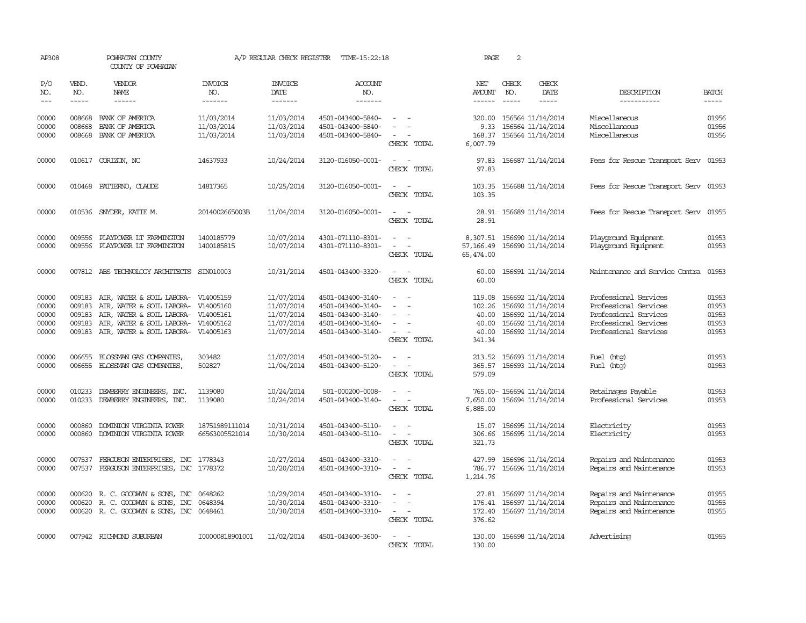| AP308                                     |                                      | POWHATAN COUNTY<br>COUNTY OF POWHATAN                                                                                                                |                                                               | A/P REGULAR CHECK REGISTER                                         | TIME-15:22:18                                                                                         |                                                                                                                                                         | PAGE                                                  | 2                           |                                                                                                       |                                                                                                                           |                                           |
|-------------------------------------------|--------------------------------------|------------------------------------------------------------------------------------------------------------------------------------------------------|---------------------------------------------------------------|--------------------------------------------------------------------|-------------------------------------------------------------------------------------------------------|---------------------------------------------------------------------------------------------------------------------------------------------------------|-------------------------------------------------------|-----------------------------|-------------------------------------------------------------------------------------------------------|---------------------------------------------------------------------------------------------------------------------------|-------------------------------------------|
| P/O<br>NO.<br>$---$                       | VEND.<br>NO.<br>$- - - - -$          | <b>VENDOR</b><br>NAME<br>$- - - - - -$                                                                                                               | <b>INVOICE</b><br>NO.<br>-------                              | <b>INVOICE</b><br>DATE<br>-------                                  | <b>ACCOUNT</b><br>NO.<br>-------                                                                      |                                                                                                                                                         | NET<br>AMOUNT<br>$- - - - - -$                        | CHECK<br>NO.<br>$- - - - -$ | CHECK<br>DATE<br>$- - - - -$                                                                          | DESCRIPTION<br>-----------                                                                                                | <b>BATCH</b><br>$- - - - -$               |
| 00000<br>00000<br>00000                   | 008668<br>008668                     | BANK OF AMERICA<br>BANK OF AMERICA<br>008668 BANK OF AMERICA                                                                                         | 11/03/2014<br>11/03/2014<br>11/03/2014                        | 11/03/2014<br>11/03/2014<br>11/03/2014                             | 4501-043400-5840-<br>4501-043400-5840-<br>4501-043400-5840-                                           | $\overline{\phantom{a}}$<br>CHECK TOTAL                                                                                                                 | 320.00<br>168.37<br>6,007.79                          |                             | 156564 11/14/2014<br>9.33 156564 11/14/2014<br>156564 11/14/2014                                      | Miscellaneous<br>Miscellaneous<br>Miscellaneous                                                                           | 01956<br>01956<br>01956                   |
| 00000                                     |                                      | 010617 CORIZON, NC                                                                                                                                   | 14637933                                                      | 10/24/2014                                                         | 3120-016050-0001-                                                                                     | $\overline{\phantom{a}}$<br>$\sim$<br>CHECK TOTAL                                                                                                       | 97.83<br>97.83                                        |                             | 156687 11/14/2014                                                                                     | Fees for Rescue Transport Serv                                                                                            | 01953                                     |
| 00000                                     |                                      | 010468 PATTERNO, CLAUDE                                                                                                                              | 14817365                                                      | 10/25/2014                                                         | 3120-016050-0001-                                                                                     | CHECK TOTAL                                                                                                                                             | 103.35<br>103.35                                      |                             | 156688 11/14/2014                                                                                     | Fees for Rescue Transport Serv 01953                                                                                      |                                           |
| 00000                                     |                                      | 010536 SNYDER, KATTE M.                                                                                                                              | 2014002665003B                                                | 11/04/2014                                                         | 3120-016050-0001-                                                                                     | $\sim$<br>$\sim$<br>CHECK TOTAL                                                                                                                         | 28.91<br>28.91                                        |                             | 156689 11/14/2014                                                                                     | Fees for Rescue Transport Serv                                                                                            | 01955                                     |
| 00000<br>00000                            | 009556<br>009556                     | PLAYPOWER LT FARMINGTON<br>PLAYPOWER LT FARMINGTON                                                                                                   | 1400185779<br>1400185815                                      | 10/07/2014<br>10/07/2014                                           | 4301-071110-8301-<br>4301-071110-8301-                                                                | $\sim$ $ \sim$<br>CHECK TOTAL                                                                                                                           | 8,307.51<br>57, 166.49<br>65,474.00                   |                             | 156690 11/14/2014<br>156690 11/14/2014                                                                | Playground Equipment<br>Playground Equipment                                                                              | 01953<br>01953                            |
| 00000                                     |                                      | 007812 ABS TECHNOLOGY ARCHITECTS                                                                                                                     | SIN010003                                                     | 10/31/2014                                                         | 4501-043400-3320-                                                                                     | $\sim$<br>$\sim$<br>CHECK TOTAL                                                                                                                         | 60.00<br>60.00                                        |                             | 156691 11/14/2014                                                                                     | Maintenance and Service Contra                                                                                            | 01953                                     |
| 00000<br>00000<br>00000<br>00000<br>00000 | 009183<br>009183<br>009183<br>009183 | AIR, WATER & SOIL LABORA-<br>AIR, WATER & SOIL LABORA-<br>AIR, WATER & SOIL LABORA-<br>AIR, WATER & SOIL LABORA-<br>009183 AIR, WATER & SOIL LABORA- | V14005159<br>V14005160<br>V14005161<br>V14005162<br>V14005163 | 11/07/2014<br>11/07/2014<br>11/07/2014<br>11/07/2014<br>11/07/2014 | 4501-043400-3140-<br>4501-043400-3140-<br>4501-043400-3140-<br>4501-043400-3140-<br>4501-043400-3140- | $\sim$<br>$\equiv$<br>$\overline{\phantom{a}}$<br>$\sim$<br>CHECK TOTAL                                                                                 | 119.08<br>102.26<br>40.00<br>40.00<br>40.00<br>341.34 |                             | 156692 11/14/2014<br>156692 11/14/2014<br>156692 11/14/2014<br>156692 11/14/2014<br>156692 11/14/2014 | Professional Services<br>Professional Services<br>Professional Services<br>Professional Services<br>Professional Services | 01953<br>01953<br>01953<br>01953<br>01953 |
| 00000<br>00000                            |                                      | 006655 BLOSSMAN GAS COMPANIES<br>006655 BLOSSMAN GAS COMPANIES,                                                                                      | 303482<br>502827                                              | 11/07/2014<br>11/04/2014                                           | 4501-043400-5120-<br>4501-043400-5120-                                                                | $\sim$ $ \sim$<br>$\equiv$<br>$\sim$<br>CHECK TOTAL                                                                                                     | 213.52<br>365.57<br>579.09                            |                             | 156693 11/14/2014<br>156693 11/14/2014                                                                | Fuel (htg)<br>Fuel (htg)                                                                                                  | 01953<br>01953                            |
| 00000<br>00000                            | 010233<br>010233                     | DEWBERRY ENGINEERS, INC.<br>DEWBERRY ENGINEERS, INC.                                                                                                 | 1139080<br>1139080                                            | 10/24/2014<br>10/24/2014                                           | 501-000200-0008-<br>4501-043400-3140-                                                                 | $\equiv$<br>$\sim$<br>$\equiv$<br>CHECK TOTAL                                                                                                           | 7,650.00<br>6,885.00                                  |                             | 765.00- 156694 11/14/2014<br>156694 11/14/2014                                                        | Retainages Payable<br>Professional Services                                                                               | 01953<br>01953                            |
| 00000<br>00000                            | 000860                               | DOMINION VIRGINIA POWER<br>000860 DOMINION VIRGINIA POWER                                                                                            | 18751989111014<br>66563005521014                              | 10/31/2014<br>10/30/2014                                           | 4501-043400-5110-<br>4501-043400-5110-                                                                | $\overline{\phantom{a}}$<br>$\frac{1}{2} \left( \frac{1}{2} \right) \left( \frac{1}{2} \right) = \frac{1}{2} \left( \frac{1}{2} \right)$<br>CHECK TOTAL | 15.07<br>306.66<br>321.73                             |                             | 156695 11/14/2014<br>156695 11/14/2014                                                                | Electricity<br>Electricity                                                                                                | 01953<br>01953                            |
| 00000<br>00000                            | 007537                               | FERGUSON ENTERPRISES, INC<br>007537 FERGUSON ENTERPRISES, INC 1778372                                                                                | 1778343                                                       | 10/27/2014<br>10/20/2014                                           | 4501-043400-3310-<br>4501-043400-3310-                                                                | $\overline{\phantom{a}}$<br>$\overline{\phantom{a}}$<br>CHECK TOTAL                                                                                     | 427.99<br>786.77<br>1,214.76                          |                             | 156696 11/14/2014<br>156696 11/14/2014                                                                | Repairs and Maintenance<br>Repairs and Maintenance                                                                        | 01953<br>01953                            |
| 00000<br>00000<br>00000                   | 000620                               | 000620 R. C. GOODWYN & SONS, INC<br>R. C. GOODWYN & SONS, INC<br>000620 R. C. GOODWYN & SONS, INC 0648461                                            | 0648262<br>0648394                                            | 10/29/2014<br>10/30/2014<br>10/30/2014                             | 4501-043400-3310-<br>4501-043400-3310-<br>4501-043400-3310-                                           | $\sim$<br>$\sim$<br>CHECK TOTAL                                                                                                                         | 27.81<br>176.41<br>376.62                             |                             | 156697 11/14/2014<br>156697 11/14/2014<br>172.40 156697 11/14/2014                                    | Repairs and Maintenance<br>Repairs and Maintenance<br>Repairs and Maintenance                                             | 01955<br>01955<br>01955                   |
| 00000                                     |                                      | 007942 RICHMOND SUBURBAN                                                                                                                             | I00000818901001                                               | 11/02/2014                                                         | 4501-043400-3600-                                                                                     | $\sim$ $ \sim$<br>CHECK TOTAL                                                                                                                           | 130.00<br>130.00                                      |                             | 156698 11/14/2014                                                                                     | Advertising                                                                                                               | 01955                                     |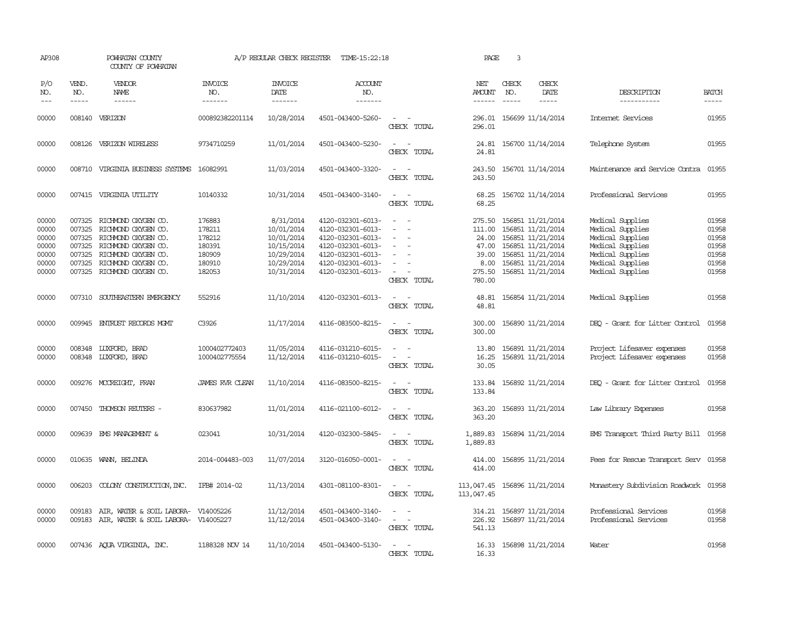| AP308                                                       |                             | POWHATAN COUNTY<br>COUNTY OF POWHATAN                                                                                                                                                                          |                                                                    | A/P REGULAR CHECK REGISTER                                                                    | TIME-15:22:18                                                                                                                                   |                                                                                                                                       | PAGE                                                                    | $\overline{\mathbf{3}}$     |                                                                                                                                                 |                                                                                                                                          |                                                             |
|-------------------------------------------------------------|-----------------------------|----------------------------------------------------------------------------------------------------------------------------------------------------------------------------------------------------------------|--------------------------------------------------------------------|-----------------------------------------------------------------------------------------------|-------------------------------------------------------------------------------------------------------------------------------------------------|---------------------------------------------------------------------------------------------------------------------------------------|-------------------------------------------------------------------------|-----------------------------|-------------------------------------------------------------------------------------------------------------------------------------------------|------------------------------------------------------------------------------------------------------------------------------------------|-------------------------------------------------------------|
| P/O<br>NO.<br>$---$                                         | VEND.<br>NO.<br>$- - - - -$ | VENDOR<br>NAME                                                                                                                                                                                                 | <b>INVOICE</b><br>NO.<br>-------                                   | <b>INVOICE</b><br>DATE<br>-------                                                             | <b>ACCOUNT</b><br>NO.<br>-------                                                                                                                |                                                                                                                                       | NET<br>AMOUNT<br>------                                                 | CHECK<br>NO.<br>$- - - - -$ | CHECK<br>DATE                                                                                                                                   | DESCRIPTION<br>-----------                                                                                                               | <b>BATCH</b>                                                |
| 00000                                                       |                             | 008140 VERIZON                                                                                                                                                                                                 | 000892382201114                                                    | 10/28/2014                                                                                    | 4501-043400-5260-                                                                                                                               | $\overline{\phantom{a}}$<br>CHECK TOTAL                                                                                               | 296.01                                                                  |                             | 296.01 156699 11/14/2014                                                                                                                        | Internet Services                                                                                                                        | 01955                                                       |
| 00000                                                       |                             | 008126 VERIZON WIRELESS                                                                                                                                                                                        | 9734710259                                                         | 11/01/2014                                                                                    | 4501-043400-5230-                                                                                                                               | CHECK TOTAL                                                                                                                           | 24.81                                                                   |                             | 24.81 156700 11/14/2014                                                                                                                         | Telephone System                                                                                                                         | 01955                                                       |
| 00000                                                       |                             | 008710 VIRGINIA BUSINESS SYSTEMS                                                                                                                                                                               | 16082991                                                           | 11/03/2014                                                                                    | 4501-043400-3320-                                                                                                                               | $\sim$ $\sim$<br>CHECK TOTAL                                                                                                          | 243.50<br>243.50                                                        |                             | 156701 11/14/2014                                                                                                                               | Maintenance and Service Contra                                                                                                           | 01955                                                       |
| 00000                                                       |                             | 007415 VIRGINIA UTILITY                                                                                                                                                                                        | 10140332                                                           | 10/31/2014                                                                                    | 4501-043400-3140-                                                                                                                               | $\frac{1}{2} \left( \frac{1}{2} \right) \left( \frac{1}{2} \right) = \frac{1}{2} \left( \frac{1}{2} \right)$<br>CHECK TOTAL           | 68.25<br>68.25                                                          |                             | 156702 11/14/2014                                                                                                                               | Professional Services                                                                                                                    | 01955                                                       |
| 00000<br>00000<br>00000<br>00000<br>00000<br>00000<br>00000 |                             | 007325 RICHMOND OXYGEN CO.<br>007325 RICHMOND OXYGEN CO.<br>007325 RICHMOND OXYGEN CO.<br>007325 RICHMOND OXYGEN CO.<br>007325 RICHMOND OXYGEN CO.<br>007325 RICHMOND OXYGEN CO.<br>007325 RICHMOND OXYGEN CO. | 176883<br>178211<br>178212<br>180391<br>180909<br>180910<br>182053 | 8/31/2014<br>10/01/2014<br>10/01/2014<br>10/15/2014<br>10/29/2014<br>10/29/2014<br>10/31/2014 | 4120-032301-6013-<br>4120-032301-6013-<br>4120-032301-6013-<br>4120-032301-6013-<br>4120-032301-6013-<br>4120-032301-6013-<br>4120-032301-6013- | $\overline{\phantom{a}}$<br>CHECK TOTAL                                                                                               | 275.50<br>111.00<br>24.00<br>47.00<br>39.00<br>8.00<br>275.50<br>780.00 |                             | 156851 11/21/2014<br>156851 11/21/2014<br>156851 11/21/2014<br>156851 11/21/2014<br>156851 11/21/2014<br>156851 11/21/2014<br>156851 11/21/2014 | Medical Supplies<br>Medical Supplies<br>Medical Supplies<br>Medical Supplies<br>Medical Supplies<br>Medical Supplies<br>Medical Supplies | 01958<br>01958<br>01958<br>01958<br>01958<br>01958<br>01958 |
| 00000                                                       |                             | 007310 SOUTHEASTERN EMERGENCY                                                                                                                                                                                  | 552916                                                             | 11/10/2014                                                                                    | 4120-032301-6013-                                                                                                                               | $\sim$ 100 $\mu$<br>CHECK TOTAL                                                                                                       | 48.81<br>48.81                                                          |                             | 156854 11/21/2014                                                                                                                               | Medical Supplies                                                                                                                         | 01958                                                       |
| 00000                                                       |                             | 009945 ENTRUST RECORDS MGMT                                                                                                                                                                                    | C3926                                                              | 11/17/2014                                                                                    | 4116-083500-8215-                                                                                                                               | $\sim$ 10 $\sim$ 10 $\sim$<br>CHECK TOTAL                                                                                             | 300.00<br>300.00                                                        |                             | 156890 11/21/2014                                                                                                                               | DEO - Grant for Litter Control                                                                                                           | 01958                                                       |
| 00000<br>00000                                              |                             | 008348 LUXFORD, BRAD<br>008348 LUXFORD, BRAD                                                                                                                                                                   | 1000402772403<br>1000402775554                                     | 11/05/2014<br>11/12/2014                                                                      | 4116-031210-6015-<br>4116-031210-6015-                                                                                                          | $\sim$<br>$\frac{1}{2} \left( \frac{1}{2} \right) \left( \frac{1}{2} \right) = \frac{1}{2} \left( \frac{1}{2} \right)$<br>CHECK TOTAL | 13.80<br>16.25<br>30.05                                                 |                             | 156891 11/21/2014<br>156891 11/21/2014                                                                                                          | Project Lifesaver expenses<br>Project Lifesaver expenses                                                                                 | 01958<br>01958                                              |
| 00000                                                       |                             | 009276 MCCREIGHT, FRAN                                                                                                                                                                                         | JAMES RVR CLEAN                                                    | 11/10/2014                                                                                    | 4116-083500-8215-                                                                                                                               | $\frac{1}{2} \left( \frac{1}{2} \right) \left( \frac{1}{2} \right) = \frac{1}{2} \left( \frac{1}{2} \right)$<br>CHECK TOTAL           | 133.84<br>133.84                                                        |                             | 156892 11/21/2014                                                                                                                               | DEO - Grant for Litter Control                                                                                                           | 01958                                                       |
| 00000                                                       | 007450                      | THOMSON REUTERS -                                                                                                                                                                                              | 830637982                                                          | 11/01/2014                                                                                    | 4116-021100-6012-                                                                                                                               | $\sim$<br>$\sim$<br>CHECK TOTAL                                                                                                       | 363.20<br>363.20                                                        |                             | 156893 11/21/2014                                                                                                                               | Law Library Expenses                                                                                                                     | 01958                                                       |
| 00000                                                       |                             | 009639 EMS MANAGEMENT &                                                                                                                                                                                        | 023041                                                             | 10/31/2014                                                                                    | 4120-032300-5845-                                                                                                                               | CHECK TOTAL                                                                                                                           | 1,889.83<br>1,889.83                                                    |                             | 156894 11/21/2014                                                                                                                               | EMS Transport Third Party Bill                                                                                                           | 01958                                                       |
| 00000                                                       |                             | 010635 WANN, BELINDA                                                                                                                                                                                           | 2014-004483-003                                                    | 11/07/2014                                                                                    | 3120-016050-0001-                                                                                                                               | $ -$<br>CHECK TOTAL                                                                                                                   | 414.00<br>414.00                                                        |                             | 156895 11/21/2014                                                                                                                               | Fees for Rescue Transport Serv 01958                                                                                                     |                                                             |
| 00000                                                       | 006203                      | COLONY CONSTRUCTION, INC.                                                                                                                                                                                      | IFB# 2014-02                                                       | 11/13/2014                                                                                    | 4301-081100-8301-                                                                                                                               | $\frac{1}{2} \left( \frac{1}{2} \right) \left( \frac{1}{2} \right) = \frac{1}{2} \left( \frac{1}{2} \right)$<br>CHECK TOTAL           | 113,047.45<br>113,047.45                                                |                             | 156896 11/21/2014                                                                                                                               | Monastery Subdivision Roadwork 01958                                                                                                     |                                                             |
| 00000<br>00000                                              | 009183                      | AIR, WATER & SOIL LABORA-<br>009183 AIR, WATER & SOIL LABORA- V14005227                                                                                                                                        | V14005226                                                          | 11/12/2014<br>11/12/2014                                                                      | 4501-043400-3140-<br>4501-043400-3140-                                                                                                          | $\overline{\phantom{a}}$<br>$\omega_{\rm{max}}$ and $\omega_{\rm{max}}$<br>CHECK TOTAL                                                | 314.21<br>226.92<br>541.13                                              |                             | 156897 11/21/2014<br>156897 11/21/2014                                                                                                          | Professional Services<br>Professional Services                                                                                           | 01958<br>01958                                              |
| 00000                                                       |                             | 007436 AQUA VIRGINIA, INC.                                                                                                                                                                                     | 1188328 NOV 14                                                     | 11/10/2014                                                                                    | 4501-043400-5130-                                                                                                                               | CHECK TOTAL                                                                                                                           | 16.33<br>16.33                                                          |                             | 156898 11/21/2014                                                                                                                               | Water                                                                                                                                    | 01958                                                       |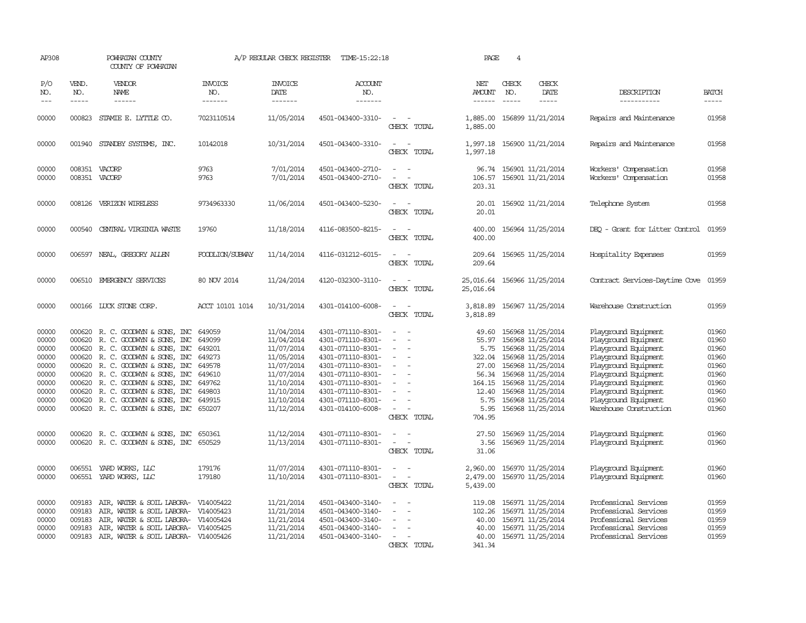| AP308                                                                                  |                                                          | POWHATAN COUNTY<br>COUNTY OF POWHATAN                                                                                                                                                                                                                                                                                     |                                                                                                  | A/P REGULAR CHECK REGISTER                                                                                                               | TIME-15:22:18                                                                                                                                                                                                  |                                                                                                                                                   | PAGE                                                                                    | $\overline{4}$                |                                                                                                                                                                                                                     |                                                                                                                                                                                                                                                |                                                                                        |
|----------------------------------------------------------------------------------------|----------------------------------------------------------|---------------------------------------------------------------------------------------------------------------------------------------------------------------------------------------------------------------------------------------------------------------------------------------------------------------------------|--------------------------------------------------------------------------------------------------|------------------------------------------------------------------------------------------------------------------------------------------|----------------------------------------------------------------------------------------------------------------------------------------------------------------------------------------------------------------|---------------------------------------------------------------------------------------------------------------------------------------------------|-----------------------------------------------------------------------------------------|-------------------------------|---------------------------------------------------------------------------------------------------------------------------------------------------------------------------------------------------------------------|------------------------------------------------------------------------------------------------------------------------------------------------------------------------------------------------------------------------------------------------|----------------------------------------------------------------------------------------|
| P/O<br>NO.<br>$- - -$                                                                  | VEND.<br>NO.<br>$\frac{1}{2}$                            | <b>VENDOR</b><br>NAME                                                                                                                                                                                                                                                                                                     | <b>INVOICE</b><br>NO.<br>-------                                                                 | <b>INVOICE</b><br>DATE<br>--------                                                                                                       | <b>ACCOUNT</b><br>NO.<br>-------                                                                                                                                                                               |                                                                                                                                                   | NET<br><b>AMOUNT</b><br>------                                                          | CHECK<br>NO.<br>$\frac{1}{2}$ | CHECK<br>DATE<br>$- - - - -$                                                                                                                                                                                        | DESCRIPTION<br>------------                                                                                                                                                                                                                    | <b>BATCH</b><br>$- - - - -$                                                            |
| 00000                                                                                  |                                                          | 000823 STAMIE E. LYTTLE CO.                                                                                                                                                                                                                                                                                               | 7023110514                                                                                       | 11/05/2014                                                                                                                               | 4501-043400-3310-                                                                                                                                                                                              | $\sim$<br>CHECK TOTAL                                                                                                                             | 1,885.00<br>1,885.00                                                                    |                               | 156899 11/21/2014                                                                                                                                                                                                   | Repairs and Maintenance                                                                                                                                                                                                                        | 01958                                                                                  |
| 00000                                                                                  |                                                          | 001940 STANDBY SYSTEMS, INC.                                                                                                                                                                                                                                                                                              | 10142018                                                                                         | 10/31/2014                                                                                                                               | 4501-043400-3310-                                                                                                                                                                                              | CHECK TOTAL                                                                                                                                       | 1,997.18                                                                                |                               | 1,997.18 156900 11/21/2014                                                                                                                                                                                          | Repairs and Maintenance                                                                                                                                                                                                                        | 01958                                                                                  |
| 00000<br>00000                                                                         |                                                          | 008351 VACORP<br>008351 VACORP                                                                                                                                                                                                                                                                                            | 9763<br>9763                                                                                     | 7/01/2014<br>7/01/2014                                                                                                                   | 4501-043400-2710-<br>4501-043400-2710-                                                                                                                                                                         | $\equiv$<br>CHECK TOTAL                                                                                                                           | 96.74<br>106.57<br>203.31                                                               |                               | 156901 11/21/2014<br>156901 11/21/2014                                                                                                                                                                              | Workers' Compensation<br>Workers' Compensation                                                                                                                                                                                                 | 01958<br>01958                                                                         |
| 00000                                                                                  |                                                          | 008126 VERIZON WIRELESS                                                                                                                                                                                                                                                                                                   | 9734963330                                                                                       | 11/06/2014                                                                                                                               | 4501-043400-5230-                                                                                                                                                                                              | CHECK TOTAL                                                                                                                                       | 20.01<br>20.01                                                                          |                               | 156902 11/21/2014                                                                                                                                                                                                   | Telephone System                                                                                                                                                                                                                               | 01958                                                                                  |
| 00000                                                                                  | 000540                                                   | CENTRAL VIRGINIA WASTE                                                                                                                                                                                                                                                                                                    | 19760                                                                                            | 11/18/2014                                                                                                                               | 4116-083500-8215-                                                                                                                                                                                              | CHECK TOTAL                                                                                                                                       | 400.00<br>400.00                                                                        |                               | 156964 11/25/2014                                                                                                                                                                                                   | DEQ - Grant for Litter Control                                                                                                                                                                                                                 | 01959                                                                                  |
| 00000                                                                                  | 006597                                                   | NEAL, GREGORY ALLEN                                                                                                                                                                                                                                                                                                       | FOODLION/SUBWAY                                                                                  | 11/14/2014                                                                                                                               | 4116-031212-6015-                                                                                                                                                                                              | CHECK TOTAL                                                                                                                                       | 209.64<br>209.64                                                                        |                               | 156965 11/25/2014                                                                                                                                                                                                   | Hospitality Expenses                                                                                                                                                                                                                           | 01959                                                                                  |
| 00000                                                                                  |                                                          | 006510 EMERGENCY SERVICES                                                                                                                                                                                                                                                                                                 | 80 NOV 2014                                                                                      | 11/24/2014                                                                                                                               | 4120-032300-3110-                                                                                                                                                                                              | CHECK TOTAL                                                                                                                                       | 25,016.64<br>25,016.64                                                                  |                               | 156966 11/25/2014                                                                                                                                                                                                   | Contract Services-Daytime Cove                                                                                                                                                                                                                 | 01959                                                                                  |
| 00000                                                                                  |                                                          | 000166 LUCK STONE CORP.                                                                                                                                                                                                                                                                                                   | ACCT 10101 1014                                                                                  | 10/31/2014                                                                                                                               | 4301-014100-6008-                                                                                                                                                                                              | $\sim$<br>CHECK TOTAL                                                                                                                             | 3,818.89<br>3,818.89                                                                    |                               | 156967 11/25/2014                                                                                                                                                                                                   | Warehouse Construction                                                                                                                                                                                                                         | 01959                                                                                  |
| 00000<br>00000<br>00000<br>00000<br>00000<br>00000<br>00000<br>00000<br>00000<br>00000 | 000620<br>000620<br>000620<br>000620<br>000620<br>000620 | 000620 R. C. GOODWYN & SONS, INC<br>R. C. GOODWYN & SONS, INC<br>R. C. GOODWIN & SONS, INC<br>000620 R. C. GOODWYN & SONS, INC<br>R. C. GOODWYN & SONS, INC<br>000620 R. C. GOODWYN & SONS, INC<br>R. C. GOODWYN & SONS, INC<br>R. C. GOODWYN & SONS, INC<br>R. C. GOODWYN & SONS, INC<br>000620 R.C. GOODWYN & SONS, INC | 649059<br>649099<br>649201<br>649273<br>649578<br>649610<br>649762<br>649803<br>649915<br>650207 | 11/04/2014<br>11/04/2014<br>11/07/2014<br>11/05/2014<br>11/07/2014<br>11/07/2014<br>11/10/2014<br>11/10/2014<br>11/10/2014<br>11/12/2014 | 4301-071110-8301-<br>4301-071110-8301-<br>4301-071110-8301-<br>4301-071110-8301-<br>4301-071110-8301-<br>4301-071110-8301-<br>4301-071110-8301-<br>4301-071110-8301-<br>4301-071110-8301-<br>4301-014100-6008- | $\overline{\phantom{a}}$<br>$\overline{\phantom{a}}$<br>$\equiv$<br>$\overline{\phantom{a}}$<br>$\overline{\phantom{a}}$<br>$\sim$<br>CHECK TOTAL | 49.60<br>55.97<br>5.75<br>322.04<br>27.00<br>56.34<br>164.15<br>12.40<br>5.75<br>704.95 |                               | 156968 11/25/2014<br>156968 11/25/2014<br>156968 11/25/2014<br>156968 11/25/2014<br>156968 11/25/2014<br>156968 11/25/2014<br>156968 11/25/2014<br>156968 11/25/2014<br>156968 11/25/2014<br>5.95 156968 11/25/2014 | Playground Equipment<br>Playground Equipment<br>Playground Equipment<br>Playground Equipment<br>Playground Equipment<br>Playground Equipment<br>Playground Equipment<br>Playground Equipment<br>Playground Equipment<br>Warehouse Construction | 01960<br>01960<br>01960<br>01960<br>01960<br>01960<br>01960<br>01960<br>01960<br>01960 |
| 00000<br>00000                                                                         |                                                          | 000620 R. C. GOODWYN & SONS, INC<br>000620 R. C. GOODWYN & SONS, INC                                                                                                                                                                                                                                                      | 650361<br>650529                                                                                 | 11/12/2014<br>11/13/2014                                                                                                                 | 4301-071110-8301-<br>4301-071110-8301-                                                                                                                                                                         | $\overline{\phantom{a}}$<br>$\sim$ $-$<br>CHECK TOTAL                                                                                             | 27.50<br>3.56<br>31.06                                                                  |                               | 156969 11/25/2014<br>156969 11/25/2014                                                                                                                                                                              | Playground Equipment<br>Playground Equipment                                                                                                                                                                                                   | 01960<br>01960                                                                         |
| 00000<br>00000                                                                         | 006551                                                   | YARD WORKS, LLC<br>006551 YARD WORKS, LLC                                                                                                                                                                                                                                                                                 | 179176<br>179180                                                                                 | 11/07/2014<br>11/10/2014                                                                                                                 | 4301-071110-8301-<br>4301-071110-8301-                                                                                                                                                                         | $\sim$<br>$\overline{\phantom{a}}$<br>CHECK TOTAL                                                                                                 | 2,960.00<br>2,479.00<br>5,439.00                                                        |                               | 156970 11/25/2014<br>156970 11/25/2014                                                                                                                                                                              | Playground Equipment<br>Playground Equipment                                                                                                                                                                                                   | 01960<br>01960                                                                         |
| 00000<br>00000<br>00000<br>00000<br>00000                                              | 009183<br>009183<br>009183<br>009183                     | AIR, WATER & SOIL LABORA-<br>AIR, WATER & SOIL LABORA- V14005423<br>AIR, WATER & SOIL LABORA- V14005424<br>AIR, WATER & SOIL LABORA-<br>009183 AIR, WATER & SOIL LABORA- V14005426                                                                                                                                        | V14005422<br>V14005425                                                                           | 11/21/2014<br>11/21/2014<br>11/21/2014<br>11/21/2014<br>11/21/2014                                                                       | 4501-043400-3140-<br>4501-043400-3140-<br>4501-043400-3140-<br>4501-043400-3140-<br>4501-043400-3140-                                                                                                          | $\equiv$<br>CHECK TOTAL                                                                                                                           | 119.08<br>102.26<br>40.00<br>40.00<br>40.00<br>341.34                                   |                               | 156971 11/25/2014<br>156971 11/25/2014<br>156971 11/25/2014<br>156971 11/25/2014<br>156971 11/25/2014                                                                                                               | Professional Services<br>Professional Services<br>Professional Services<br>Professional Services<br>Professional Services                                                                                                                      | 01959<br>01959<br>01959<br>01959<br>01959                                              |